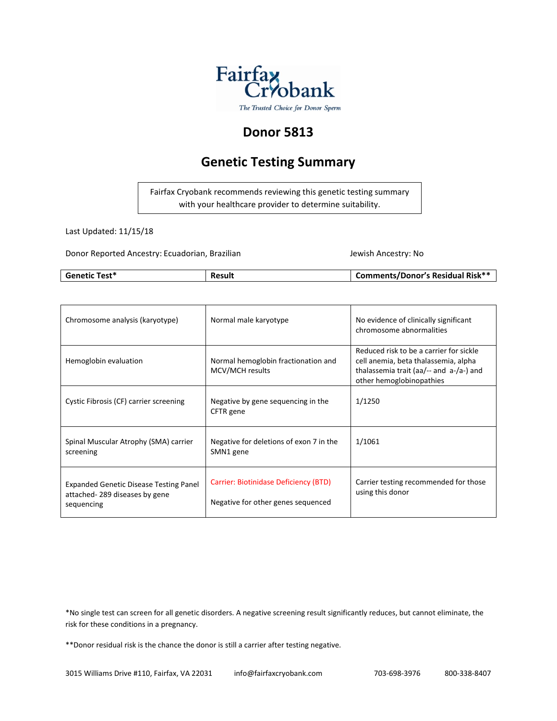

#### **Donor 5813**

#### **Genetic Testing Summary**



Last Updated: 11/15/18

Donor Reported Ancestry: Ecuadorian, Brazilian Jewish Ancestry: No

| <b>Genetic Test*</b> | Result | <b>Comments/Donor's Residual Risk**</b> |
|----------------------|--------|-----------------------------------------|

| Chromosome analysis (karyotype)                                                              | Normal male karyotype                                                       | No evidence of clinically significant<br>chromosome abnormalities                                                                                      |
|----------------------------------------------------------------------------------------------|-----------------------------------------------------------------------------|--------------------------------------------------------------------------------------------------------------------------------------------------------|
| Hemoglobin evaluation                                                                        | Normal hemoglobin fractionation and<br>MCV/MCH results                      | Reduced risk to be a carrier for sickle<br>cell anemia, beta thalassemia, alpha<br>thalassemia trait (aa/-- and a-/a-) and<br>other hemoglobinopathies |
| Cystic Fibrosis (CF) carrier screening                                                       | Negative by gene sequencing in the<br>CFTR gene                             | 1/1250                                                                                                                                                 |
| Spinal Muscular Atrophy (SMA) carrier<br>screening                                           | Negative for deletions of exon 7 in the<br>SMN1 gene                        | 1/1061                                                                                                                                                 |
| <b>Expanded Genetic Disease Testing Panel</b><br>attached-289 diseases by gene<br>sequencing | Carrier: Biotinidase Deficiency (BTD)<br>Negative for other genes sequenced | Carrier testing recommended for those<br>using this donor                                                                                              |

\*No single test can screen for all genetic disorders. A negative screening result significantly reduces, but cannot eliminate, the risk for these conditions in a pregnancy.

\*\*Donor residual risk is the chance the donor is still a carrier after testing negative.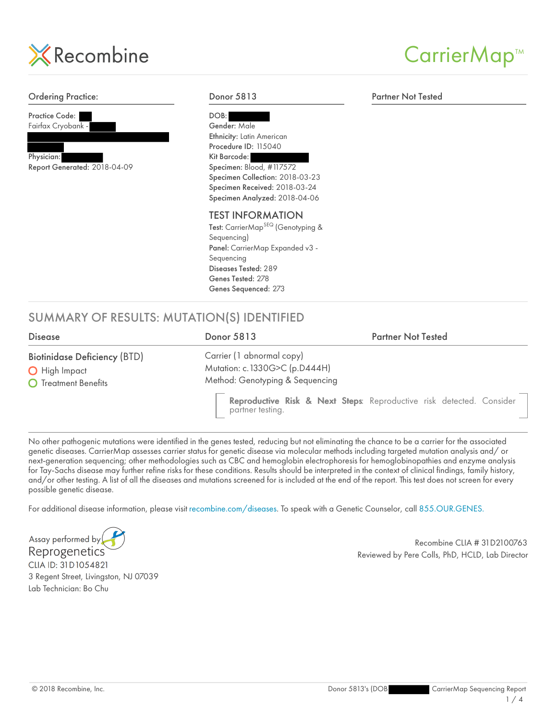

#### CarrierMap<sup>™</sup>

#### SUMMARY OF RESULTS: MUTATION(S) IDENTIFIED Ordering Practice: Practice Code: Fairfax Cryobank - Physician: Report Generated: 2018-04-09 Donor 5813 DOB: Gender: Male Ethnicity: Latin American Procedure ID: 115040 Kit Barcode: Specimen: Blood, #117572 Specimen Collection: 2018-03-23 Specimen Received: 2018-03-24 Specimen Analyzed: 2018-04-06 TEST INFORMATION Test: CarrierMap<sup>SEQ</sup> (Genotyping & Sequencing) Panel: CarrierMap Expanded v3 - Sequencing Diseases Tested: 289 Genes Tested: 278 Genes Sequenced: 273 Partner Not Tested Disease Donor 5813 Partner Not Tested Biotinidase Deficiency (BTD) **O** High Impact **O** Treatment Benefits Carrier (1 abnormal copy) Mutation: c.1330G>C (p.D444H) Method: Genotyping & Sequencing Reproductive Risk & Next Steps: Reproductive risk detected. Consider partner testing.

No other pathogenic mutations were identified in the genes tested, reducing but not eliminating the chance to be a carrier for the associated genetic diseases. CarrierMap assesses carrier status for genetic disease via molecular methods including targeted mutation analysis and/ or next-generation sequencing; other methodologies such as CBC and hemoglobin electrophoresis for hemoglobinopathies and enzyme analysis for Tay-Sachs disease may further refine risks for these conditions. Results should be interpreted in the context of clinical findings, family history, and/or other testing. A list of all the diseases and mutations screened for is included at the end of the report. This test does not screen for every possible genetic disease.

For additional disease information, please visit recombine.com/diseases. To speak with a Genetic Counselor, call 855.OUR.GENES.

Assay performed by Reprogenetics CLIA ID: 31D1054821 3 Regent Street, Livingston, NJ 07039 Lab Technician: Bo Chu

Recombine CLIA # 31D2100763 Reviewed by Pere Colls, PhD, HCLD, Lab Director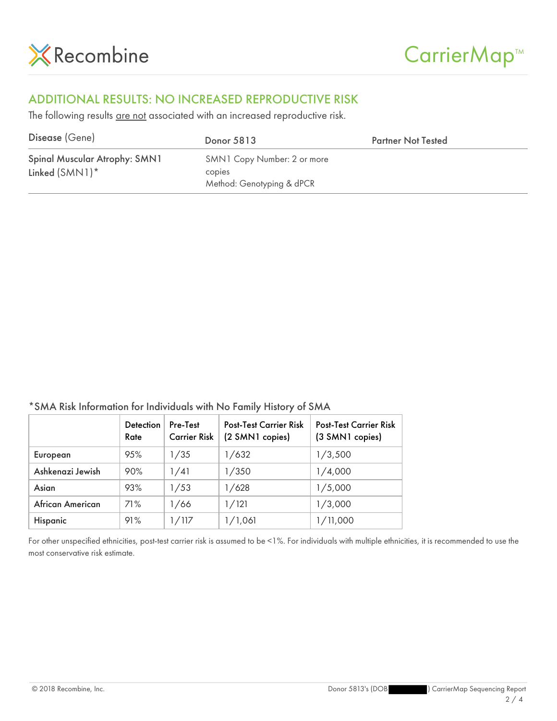

#### ADDITIONAL RESULTS: NO INCREASED REPRODUCTIVE RISK

The following results are not associated with an increased reproductive risk.

| Disease (Gene)                                     | Donor 5813                                                         | <b>Partner Not Tested</b> |
|----------------------------------------------------|--------------------------------------------------------------------|---------------------------|
| Spinal Muscular Atrophy: SMN1<br>Linked $(SMN1)^*$ | SMN1 Copy Number: 2 or more<br>copies<br>Method: Genotyping & dPCR |                           |

\*SMA Risk Information for Individuals with No Family History of SMA

|                  | <b>Detection</b><br>Rate | Pre-Test<br><b>Carrier Risk</b> | <b>Post-Test Carrier Risk</b><br>(2 SMN1 copies) | <b>Post-Test Carrier Risk</b><br>(3 SMN1 copies) |
|------------------|--------------------------|---------------------------------|--------------------------------------------------|--------------------------------------------------|
| European         | 95%                      | 1/35                            | 1/632                                            | 1/3,500                                          |
| Ashkenazi Jewish | 90%                      | 1/41                            | 1/350                                            | 1/4,000                                          |
| Asian            | 93%                      | 1/53                            | 1/628                                            | 1/5,000                                          |
| African American | 71%                      | 1/66                            | 1/121                                            | 1/3,000                                          |
| Hispanic         | 91%                      | 1/117                           | 1/1,061                                          | 1/11,000                                         |

For other unspecified ethnicities, post-test carrier risk is assumed to be <1%. For individuals with multiple ethnicities, it is recommended to use the most conservative risk estimate.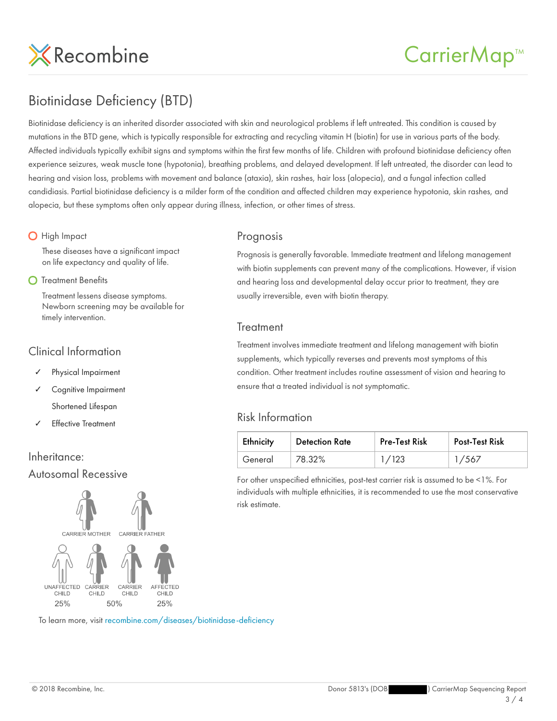

#### Biotinidase Deficiency (BTD)

Biotinidase deficiency is an inherited disorder associated with skin and neurological problems if left untreated. This condition is caused by mutations in the BTD gene, which is typically responsible for extracting and recycling vitamin H (biotin) for use in various parts of the body. Affected individuals typically exhibit signs and symptoms within the first few months of life. Children with profound biotinidase deficiency often experience seizures, weak muscle tone (hypotonia), breathing problems, and delayed development. If left untreated, the disorder can lead to hearing and vision loss, problems with movement and balance (ataxia), skin rashes, hair loss (alopecia), and a fungal infection called candidiasis. Partial biotinidase deficiency is a milder form of the condition and affected children may experience hypotonia, skin rashes, and alopecia, but these symptoms often only appear during illness, infection, or other times of stress.

#### **O** High Impact

These diseases have a significant impact on life expectancy and quality of life.

#### **O** Treatment Benefits

Treatment lessens disease symptoms. Newborn screening may be available for timely intervention.

#### Clinical Information

- Physical Impairment
- Cognitive Impairment

Shortened Lifespan

**Effective Treatment** 

#### Inheritance: Autosomal Recessive



To learn more, visit recombine.com/diseases/biotinidase-deficiency

#### Prognosis

Prognosis is generally favorable. Immediate treatment and lifelong management with biotin supplements can prevent many of the complications. However, if vision and hearing loss and developmental delay occur prior to treatment, they are usually irreversible, even with biotin therapy.

#### **Treatment**

Treatment involves immediate treatment and lifelong management with biotin supplements, which typically reverses and prevents most symptoms of this condition. Other treatment includes routine assessment of vision and hearing to ensure that a treated individual is not symptomatic.

#### Risk Information

| Ethnicity | <b>Detection Rate</b> | <b>Pre-Test Risk</b> | <b>Post-Test Risk</b> |
|-----------|-----------------------|----------------------|-----------------------|
| General   | 78.32%                | 1/123                | 1/567                 |

For other unspecified ethnicities, post-test carrier risk is assumed to be <1%. For individuals with multiple ethnicities, it is recommended to use the most conservative risk estimate.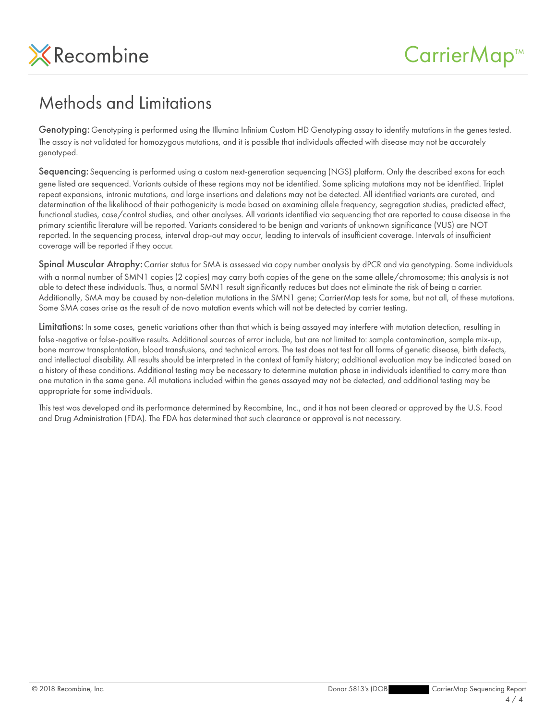

#### Methods and Limitations

Genotyping: Genotyping is performed using the Illumina Infinium Custom HD Genotyping assay to identify mutations in the genes tested. The assay is not validated for homozygous mutations, and it is possible that individuals affected with disease may not be accurately genotyped.

Sequencing: Sequencing is performed using a custom next-generation sequencing (NGS) platform. Only the described exons for each gene listed are sequenced. Variants outside of these regions may not be identified. Some splicing mutations may not be identified. Triplet repeat expansions, intronic mutations, and large insertions and deletions may not be detected. All identified variants are curated, and determination of the likelihood of their pathogenicity is made based on examining allele frequency, segregation studies, predicted effect, functional studies, case/control studies, and other analyses. All variants identified via sequencing that are reported to cause disease in the primary scientific literature will be reported. Variants considered to be benign and variants of unknown significance (VUS) are NOT reported. In the sequencing process, interval drop-out may occur, leading to intervals of insufficient coverage. Intervals of insufficient coverage will be reported if they occur.

Spinal Muscular Atrophy: Carrier status for SMA is assessed via copy number analysis by dPCR and via genotyping. Some individuals with a normal number of SMN1 copies (2 copies) may carry both copies of the gene on the same allele/chromosome; this analysis is not able to detect these individuals. Thus, a normal SMN1 result significantly reduces but does not eliminate the risk of being a carrier. Additionally, SMA may be caused by non-deletion mutations in the SMN1 gene; CarrierMap tests for some, but not all, of these mutations. Some SMA cases arise as the result of de novo mutation events which will not be detected by carrier testing.

Limitations: In some cases, genetic variations other than that which is being assayed may interfere with mutation detection, resulting in false-negative or false-positive results. Additional sources of error include, but are not limited to: sample contamination, sample mix-up, bone marrow transplantation, blood transfusions, and technical errors. The test does not test for all forms of genetic disease, birth defects, and intellectual disability. All results should be interpreted in the context of family history; additional evaluation may be indicated based on a history of these conditions. Additional testing may be necessary to determine mutation phase in individuals identified to carry more than one mutation in the same gene. All mutations included within the genes assayed may not be detected, and additional testing may be appropriate for some individuals.

This test was developed and its performance determined by Recombine, Inc., and it has not been cleared or approved by the U.S. Food and Drug Administration (FDA). The FDA has determined that such clearance or approval is not necessary.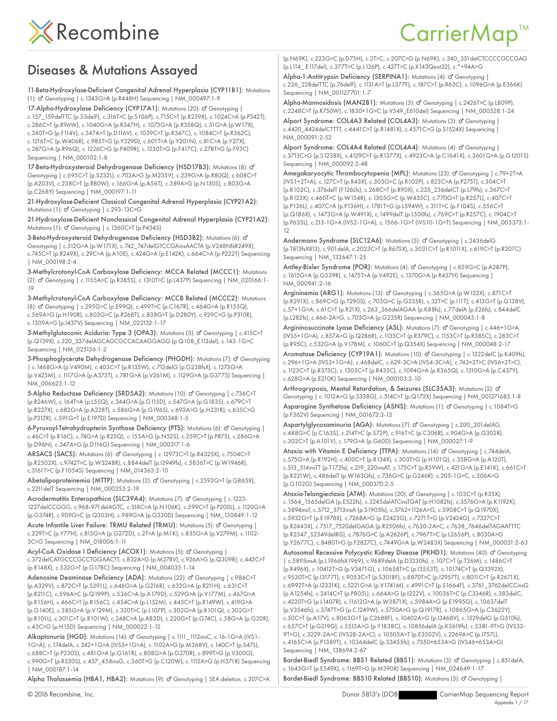

### CarrierMap<sup>™</sup>

#### Diseases & Mutations Assayed

11-Beta-Hydroxylase-Deficient Congenital Adrenal Hyperplasia (CYP11B1): Mutations (1): Genotyping | c.1343G>A (p.R448H) Sequencing | NM\_000497:1-9 ♂

17-Alpha-Hydroxylase Deficiency (CYP17A1): Mutations (20): o<sup>n</sup> Genotyping | c.157\_159delTTC (p.53delF), c.316T>C (p.S106P), c.715C>T (p.R239X), c.1024C>A (p.P342T), c.286C>T (p.R96W), c.1040G>A (p.R347H), c.1073G>A (p.R358Q), c.51G>A (p.W17X), c.340T>G (p.F114V), c.347A>T (p.D116V), c.1039C>T (p.R347C), c.1084C>T (p.R362C),

c.1216T>C (p.W406R), c.985T>G (p.Y329D), c.601T>A (p.Y201N), c.81C>A (p.Y27X), c.287G>A (p.R96Q), c.1226C>G (p.P409R), c.1250T>G (p.F417C), c.278T>G (p.F93C) Sequencing | NM\_000102:1-8

17-Beta-Hydroxysteroid Dehydrogenase Deficiency (HSD17B3): Mutations (8): o" Genotyping | c.695C>T (p.S232L), c.703A>G (p.M235V), c.239G>A (p.R80Q), c.608C>T (p.A203V), c.238C>T (p.R80W), c.166G>A (p.A56T), c.389A>G (p.N130S), c.803G>A (p.C268Y) Sequencing | NM\_000197:1-11

21-Hydroxylase-Deficient Classical Congenital Adrenal Hyperplasia (CYP21A2): Mutations (1): d' Genotyping | c.293-13C>G

21-Hydroxylase-Deficient Nonclassical Congenital Adrenal Hyperplasia (CYP21A2): Mutations (1): O' Genotyping | c.1360C>T (p.P454S)

3-Beta-Hydroxysteroid Dehydrogenase Deficiency (HSD3B2): Mutations (6): o' Genotyping | c.512G>A (p.W171X), c.742\_747delGTCCGAinsAACTA (p.V248NfsR249X), c.745C>T (p.R249X), c.29C>A (p.A10E), c.424G>A (p.E142K), c.664C>A (p.P222T) Sequencing | NM\_000198:2-4

3-Methylcrotonyl-CoA Carboxylase Deficiency: MCCA Related (MCCC1): Mutations (2): Genotyping | c.1155A>C (p.R385S), c.1310T>C (p.L437P) Sequencing | NM\_020166:1- ♂ 19

3-Methylcrotonyl-CoA Carboxylase Deficiency: MCCB Related (MCCC2): Mutations (8): Genotyping | c.295G>C (p.E99Q), c.499T>C (p.C167R), c.464G>A (p.R155Q), ♂ c.569A>G (p.H190R), c.803G>C (p.R268T), c.838G>T (p.D280Y), c.929C>G (p.P310R), c.1309A>G (p.I437V) Sequencing | NM\_022132:1-17

3-Methylglutaconic Aciduria: Type 3 (OPA3): Mutations (3): o' Genotyping | c.415C>T (p.Q139X), c.320\_337delAGCAGCGCCACAAGGAGG (p.Q108\_E113del), c.143-1G>C Sequencing | NM\_025136:1-2

3-Phosphoglycerate Dehydrogenase Deficiency (PHGDH): Mutations (7): O' Genotyping | c.1468G>A (p.V490M), c.403C>T (p.R135W), c.712delG (p.G238fsX), c.1273G>A (p.V425M), c.1117G>A (p.A373T), c.781G>A (p.V261M), c.1129G>A (p.G377S) Sequencing | NM\_006623:1-12

5-Alpha Reductase Deficiency (SRD5A2): Mutations (10): o' Genotyping | c.736C>T (p.R246W), c.164T>A (p.L55Q), c.344G>A (p.G115D), c.547G>A (p.G183S), c.679C>T (p.R227X), c.682G>A (p.A228T), c.586G>A (p.G196S), c.692A>G (p.H231R), c.635C>G (p.P212R), c.591G>T (p.E197D) Sequencing | NM\_000348:1-5

6-Pyruvoyl-Tetrahydropterin Synthase Deficiency (PTS): Mutations (6): o<sup>n</sup> Genotyping | c.46C>T (p.R16C), c.74G>A (p.R25Q), c.155A>G (p.N52S), c.259C>T (p.P87S), c.286G>A (p.D96N), c.347A>G (p.D116G) Sequencing | NM\_000317:1-6

ARSACS (SACS): Mutations (6):  $\sigma$ <sup>7</sup> Genotyping | c.12973C>T (p.R4325X), c.7504C>T (p.R2502X), c.9742T>C (p.W3248R), c.8844delT (p.I2949fs), c.5836T>C (p.W1946R), c.3161T>C (p.F1054S) Sequencing | NM\_014363:2-10

Abetalipoproteinemia (MTTP): Mutations (2): d' Genotyping | c.2593G>T (p.G865X), c.2211delT Sequencing | NM\_000253:2-19

Acrodermatitis Enteropathica (SLC39A4): Mutations (7): O' Genotyping | c.1223-1227delCCGGG, c.968-971delAGTC, c.318C>A (p.N106K), c.599C>T (p.P200L), c.1120G>A (p.G374R), c.909G>C (p.Q303H), c.989G>A (p.G330D) Sequencing | NM\_130849:1-12

Acute Infantile Liver Failure: TRMU Related (TRMU): Mutations (5): o' Genotyping | c.229T>C (p.Y77H), c.815G>A (p.G272D), c.2T>A (p.M1K), c.835G>A (p.V279M), c.1102- 3C>G Sequencing | NM\_018006:1-11

Acyl-CoA Oxidase I Deficiency (ACOX1): Mutations (5): o' Genotyping | c.372delCATGCCCGCCTGGAACTT, c.832A>G (p.M278V), c.926A>G (p.Q309R), c.442C>T (p.R148X), c.532G>T (p.G178C) Sequencing | NM\_004035:1-14

Adenosine Deaminase Deficiency (ADA): Mutations (22): O' Genotyping | c.986C>T (p.A329V), c.872C>T (p.S291L), c.646G>A (p.G216R), c.632G>A (p.R211H), c.631C>T (p.R211C), c.596A>C (p.Q199P), c.536C>A (p.A179D), c.529G>A (p.V177M), c.467G>A (p.R156H), c.466C>T (p.R156C), c.454C>A (p.L152M), c.445C>T (p.R149W), c.419G>A (p.G140E), c.385G>A (p.V129M), c.320T>C (p.L107P), c.302G>A (p.R101Q), c.302G>T (p.R101L), c.301C>T (p.R101W), c.248C>A (p.A83D), c.220G>T (p.G74C), c.58G>A (p.G20R), c.43C>G (p.H15D) Sequencing | NM\_000022:1-12

Alkaptonuria (HGD): Mutations (14): o' Genotyping | c.1111\_1112insC, c.16-1G>A (IVS1-1G>A), c.174delA, c.342+1G>A (IVS5+1G>A), c.1102A>G (p.M368V), c.140C>T (p.S47L), c.688C>T (p.P230S), c.481G>A (p.G161R), c.808G>A (p.G270R), c.899T>G (p.V300G), c.990G>T (p.R330S), c.457\_458insG, c.360T>G (p.C120W), c.1112A>G (p.H371R) Sequencing | NM\_000187:1-14

Alpha Thalassemia (HBA1, HBA2): Mutations (9): o' Genotyping | SEA deletion, c.207C>A

(p.N69K), c.223G>C (p.D75H), c.2T>C, c.207C>G (p.N69K), c.340\_351delCTCCCCGCCGAG (p.L114\_ E117del), c.377T>C (p.L126P), c.427T>C (p.X143Qext32), c.\*+94A>G Alpha-1-Antitrypsin Deficiency (SERPINA1): Mutations (4): o<sup>n</sup> Genotyping |

c.226\_228delTTC (p.76delF), c.1131A>T (p.L377F), c.187C>T (p.R63C), c.1096G>A (p.E366K) Sequencing | NM\_001127701:1-7

Alpha-Mannosidosis (MAN2B1): Mutations (3): O' Genotyping | c.2426T>C (p.L809P), c.2248C>T (p.R750W), c.1830+1G>C (p.V549\_E610del) Sequencing | NM\_000528:1-24

Alport Syndrome: COL4A3 Related (COL4A3): Mutations (3): o' Genotyping c.4420\_4424delCTTTT, c.4441C>T (p.R1481X), c.4571C>G (p.S1524X) Sequencing | NM\_000091:2-52

Alport Syndrome: COL4A4 Related (COL4A4): Mutations (4): O' Genotyping | c.3713C>G (p.S1238X), c.4129C>T (p.R1377X), c.4923C>A (p.C1641X), c.3601G>A (p.G1201S) Sequencing | NM\_000092:2-48

Amegakaryocytic Thrombocytopenia (MPL): Mutations (23): o' Genotyping | c.79+2T>A (IVS1+2T>A), c.127C>T (p.R43X), c.305G>C (p.R102P), c.823C>A (p.P275T), c.304C>T (p.R102C), c.376delT (F126Lfs), c.268C>T (p.R90X), c.235\_236delCT (p.L79fs), c.367C>T (p.R123X), c.460T>C (p.W154R), c.1305G>C (p.W435C), c.770G>T (p.R257L), c.407C>T (p.P136L), c.407C>A (p.P136H), c.1781T>G (p.L594W), c.311T>C (p.F104S), c.556C>T (p.Q186X), c.1473G>A (p.W491X), c.1499delT (p.L500fs), c.769C>T (p.R257C), c.1904C>T (p.P635L), c.213-1G>A (IVS2-1G>A), c.1566-1G>T (IVS10-1G>T) Sequencing | NM\_005373:1- 12

Andermann Syndrome (SLC12A6): Mutations (5): o' Genotyping | c.2436delG (p.T813fsX813), c.901delA, c.2023C>T (p.R675X), c.3031C>T (p.R1011X), c.619C>T (p.R207C) Sequencing | NM\_133647:1-25

Antley-Bixler Syndrome (POR): Mutations (4): o' Genotyping | c.859G>C (p.A287P), c.1615G>A (p.G539R), c.1475T>A (p.V492E), c.1370G>A (p.R457H) Sequencing | NM\_000941:2-16

Argininemia (ARG1): Mutations (13):  $\sigma^2$  Genotyping | c.365G>A (p.W122X), c.871C>T (p.R291X), c.869C>G (p.T290S), c.703G>C (p.G235R), c.32T>C (p.I11T), c.413G>T (p.G138V), c.57+1G>A, c.61C>T (p.R21X), c.263\_266delAGAA (p.K88fs), c.77delA (p.E26fs), c.844delC (p.L282fs), c.466-2A>G, c.703G>A (p.G235R) Sequencing | NM\_000045:1-8

Argininosuccinate Lyase Deficiency (ASL): Mutations (7): O' Genotyping | c.446+1G>A (IVS5+1G>A), c.857A>G (p.Q286R), c.1135C>T (p.R379C), c.1153C>T (p.R385C), c.283C>T (p.R95C), c.532G>A (p.V178M), c.1060C>T (p.Q354X) Sequencing | NM\_000048:2-17

Aromatase Deficiency (CYP19A1): Mutations (10): d' Genotyping | c.1222delC (p.K409fs), c.296+1G>A (IVS3+1G>A), c.468delC, c.629-3C>A (IVS4-3C>A), c.743+2T>C (IVS6+2T>C), c.1123C>T (p.R375C), c.1303C>T (p.R435C), c.1094G>A (p.R365Q), c.1310G>A (p.C437Y), c.628G>A (p.E210K) Sequencing | NM\_000103:2-10

Arthrogryposis, Mental Retardation, & Seizures (SLC35A3): Mutations (2): o<sup>7</sup> Genotyping | c.1012A>G (p.S338G), c.514C>T (p.Q172X) Sequencing | NM\_001271685:1-8 Asparagine Synthetase Deficiency (ASNS): Mutations (1): O' Genotyping | c.1084T>G (p.F362V) Sequencing | NM\_001673:3-13

Aspartylglycosaminuria (AGA): Mutations (7): o' Genotyping | c.200\_201 delAG, c.488G>C (p.C163S), c.214T>C (p.S72P), c.916T>C (p.C306R), c.904G>A (p.G302R), c.302C>T (p.A101V), c.179G>A (p.G60D) Sequencing | NM\_000027:1-9

Ataxia with Vitamin E Deficiency (TTPA): Mutations (14): O' Genotyping | c.744delA, c.575G>A (p.R192H), c.400C>T (p.R134X), c.303T>G (p.H101Q), c.358G>A (p.A120T), c.513\_514insTT (p.T172fs), c.219\_220insAT, c.175C>T (p.R59W), c.421G>A (p.E141K), c.661C>T (p.R221W), c.486delT (p.W163Gfs), c.736G>C (p.G246R), c.205-1G>C, c.306A>G (p.G102G) Sequencing | NM\_000370:2-5

Ataxia-Telangiectasia (ATM): Mutations (20): o' Genotyping | c.103C>T (p.R35X), c.1564\_1565delGA (p.E522fs), c.3245delATCinsTGAT (p.H1082fs), c.3576G>A (p.K1192K), c.3894insT, c.5712\_5713insA (p.S1905fs), c.5762+1126A>G, c.5908C>T (p.Q1970X), c.5932G>T (p.E1978X), c.7268A>G (p.E2423G), c.7271T>G (p.V2424G), c.7327C>T (p.R2443X), c.7517\_7520delGAGA (p.R2506fs), c.7630-2A>C, c.7638\_7646delTAGAATTTC (p.R2547\_S2549delRIS), c.7876G>C (p.A2626P), c.7967T>C (p.L2656P), c.8030A>G (p.Y2677C), c.8480T>G (p.F2827C), c.7449G>A (p.W2483X) Sequencing | NM\_000051:2-63

Autosomal Recessive Polycystic Kidney Disease (PKHD1): Mutations (40): o<sup>n</sup> Genotyping | c.5895insA (p.L1966fsX1969), c.9689delA (p.D3230fs), c.107C>T (p.T36M), c.1486C>T (p.R496X), c.10412T>G (p.V3471G), c.10658T>C (p.I3553T), c.10174C>T (p.Q3392X), c.9530T>C (p.I3177T), c.9053C>T (p.S3018F), c.8870T>C (p.I2957T), c.8011C>T (p.R2671X), c.6992T>A (p.I2331K), c.5221G>A (p.V1741M), c.4991C>T (p.S1664F), c.3761\_3762delCCinsG (p.A1254fs), c.2414C>T (p.P805L), c.664A>G (p.I222V), c.10036T>C (p.C3346R), c.383delC, c.4220T>G (p.L1407R), c.11612G>A (p.W3871X), c.5984A>G (p.E1995G), c.10637delT (p.V3546fs), c.3747T>G (p.C1249W), c.5750A>G (p.Q1917R), c.10865G>A (p.C3622Y), c.50C>T (p.A17V), c.8063G>T (p.C2688F), c.10402A>G (p.I3468V), c.1529delG (p.G510fs), c.657C>T (p.G219G), c.5513A>G (p.Y1838C), c.10856delA (p.K3619fs), c.5381-9T>G (IVS33- 9T>G), c.3229-2A>C (IVS28-2A>C), c.10505A>T (p.E3502V), c.2269A>C (p.I757L), c.4165C>A (p.P1389T), c.10364delC (p.S3455fs), c.7350+653A>G (IVS46+653A>G) Sequencing | NM\_138694:2-67

Bardet-Biedl Syndrome: BBS1 Related (BBS1): Mutations (3): O' Genotyping | c.851 delA, c.1645G>T (p.E549X), c.1169T>G (p.M390R) Sequencing | NM\_024649:1-17 Bardet-Biedl Syndrome: BBS10 Related (BBS10): Mutations (3): O' Genotyping |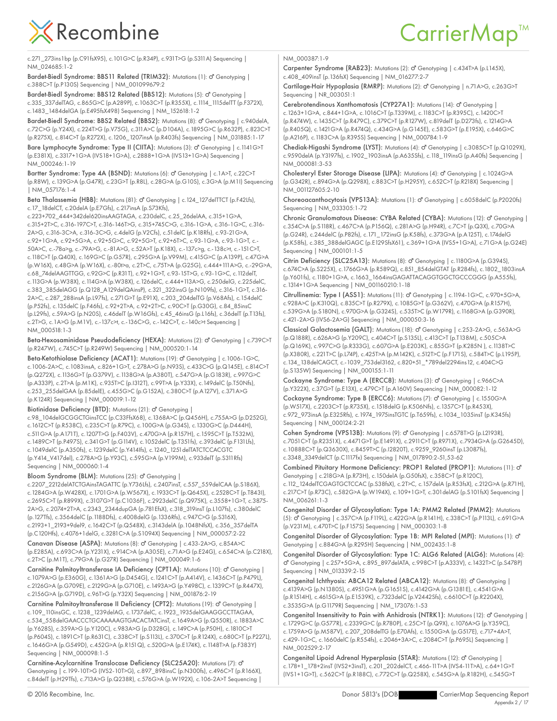#### CarrierMap<sup>™</sup>

c.271\_273ins1bp (p.C91fsX95), c.101G>C (p.R34P), c.931T>G (p.S311A) Sequencing | NM\_024685:1-2

Bardet-Biedl Syndrome: BBS11 Related (TRIM32): Mutations (1): O' Genotyping | c.388C>T (p.P130S) Sequencing | NM\_001099679:2

Bardet-Biedl Syndrome: BBS12 Related (BBS12): Mutations (5): O' Genotyping | c.335\_337delTAG, c.865G>C (p.A289P), c.1063C>T (p.R355X), c.1114\_1115delTT (p.F372X), c.1483\_1484delGA (p.E495fsX498) Sequencing | NM\_152618:1-2

Bardet-Biedl Syndrome: BBS2 Related (BBS2): Mutations (8): O' Genotyping | c.940delA, c.72C>G (p.Y24X), c.224T>G (p.V75G), c.311A>C (p.D104A), c.1895G>C (p.R632P), c.823C>T (p.R275X), c.814C>T (p.R272X), c.1206\_1207insA (p.R403fs) Sequencing | NM\_031885:1-17

Bare Lymphocyte Syndrome: Type II (CIITA): Mutations (3): o' Genotyping | c.1141G>T (p.E381X), c.3317+1G>A (IVS18+1G>A), c.2888+1G>A (IVS13+1G>A) Sequencing | NM\_000246:1-19

Bartter Syndrome: Type 4A (BSND): Mutations (6): o' Genotyping | c.1A>T, c.22C>T (p.R8W), c.139G>A (p.G47R), c.23G>T (p.R8L), c.28G>A (p.G10S), c.3G>A (p.M1I) Sequencing | NM\_057176:1-4

Beta Thalassemia (HBB): Mutations (81):  $\sigma$ <sup>7</sup> Genotyping | c.124\_127delTTCT (p.F42Lfs), c.17\_18delCT, c.20delA (p.E7Gfs), c.217insA (p.S73Kfs),

c.223+702\_444+342del620insAAGTAGA, c.230delC, c.25\_26delAA, c.315+1G>A, c.315+2T>C, c.316-197C>T, c.316-146T>G, c.315+745C>G, c.316-1G>A, c.316-1G>C, c.316- 2A>G, c.316-3C>A, c.316-3C>G, c.4delG (p.V2Cfs), c.51delC (p.K18Rfs), c.93-21G>A, c.92+1G>A, c.92+5G>A, c.92+5G>C, c.92+5G>T, c.92+6T>C, c.93-1G>A, c.93-1G>T, c.- 50A>C, c.-78a>g, c.-79A>G, c.-81A>G, c.52A>T (p.K18X), c.-137c>g, c.-138c>t, c.-151C>T, c.118C>T (p.Q40X), c.169G>C (p.G57R), c.295G>A (p.V99M), c.415G>C (p.A139P), c.47G>A (p.W16X), c.48G>A (p.W16X), c.-80t>a, c.2T>C, c.75T>A (p.G25G), c.444+111A>G, c.-29G>A, c.68\_74delAAGTTGG, c.92G>C (p.R31T), c.92+1G>T, c.93-15T>G, c.93-1G>C, c.112delT, c.113G>A (p.W38X), c.114G>A (p.W38X), c.126delC, c.444+113A>G, c.250delG, c.225delC, c.383\_385delAGG (p.Q128\_A129delQAinsP), c.321\_322insG (p.N109fs), c.316-1G>T, c.316- 2A>C, c.287\_288insA (p.L97fs), c.271G>T (p.E91X), c.203\_204delTG (p.V68Afs), c.154delC (p.P52fs), c.135delC (p.F46fs), c.92+2T>A, c.92+2T>C, c.90C>T (p.G30G), c.84\_85insC (p.L29fs), c.59A>G (p.N20S), c.46delT (p.W16Gfs), c.45\_46insG (p.L16fs), c.36delT (p.T13fs), c.2T>G, c.1A>G (p.M1V), c.-137c>t, c.-136C>G, c.-142C>T, c.-140c>t Sequencing | NM\_000518:1-3

Beta-Hexosaminidase Pseudodeficiency (HEXA): Mutations (2): O' Genotyping | c.739C>T (p.R247W), c.745C>T (p.R249W) Sequencing | NM\_000520:1-14

Beta-Ketothiolase Deficiency (ACAT1): Mutations (19): O' Genotyping | c.1006-1G>C, c.1006-2A>C, c.1083insA, c.826+1G>T, c.278A>G (p.N93S), c.433C>G (p.Q145E), c.814C>T (p.Q272X), c.1136G>T (p.G379V), c.1138G>A (p.A380T), c.547G>A (p.G183R), c.997G>C (p.A333P), c.2T>A (p.M1K), c.935T>C (p.I312T), c.99T>A (p.Y33X), c.149delC (p.T50Nfs), c.253\_255delGAA (p.85delE), c.455G>C (p.G152A), c.380C>T (p.A127V), c.371A>G (p.K124R) Sequencing | NM\_000019:1-12

Biotinidase Deficiency (BTD): Mutations (21): O' Genotyping |

c.98\_104delGCGGCTGinsTCC (p.C33FfsX68), c.1368A>C (p.Q456H), c.755A>G (p.D252G), c.1612C>T (p.R538C), c.235C>T (p.R79C), c.100G>A (p.G34S), c.1330G>C (p.D444H), c.511G>A (p.A171T), c.1207T>G (p.F403V), c.470G>A (p.R157H), c.1595C>T (p.T532M), c.1489C>T (p.P497S), c.341G>T (p.G114V), c.1052delC (p.T351fs), c.393delC (p.F131Lfs), c.1049delC (p.A350fs), c.1239delC (p.Y414Ifs), c.1240\_1251delTATCTCCACGTC (p.Y414\_V417del), c.278A>G (p.Y93C), c.595G>A (p.V199M), c.933delT (p.S311Rfs) Sequencing | NM\_000060:1-4

Bloom Syndrome (BLM): Mutations (25): d'Genotyping |

c.2207\_2212delATCTGAinsTAGATTC (p.Y736Lfs), c.2407insT, c.557\_559delCAA (p.S186X), c.1284G>A (p.W428X), c.1701G>A (p.W567X), c.1933C>T (p.Q645X), c.2528C>T (p.T843I), c.2695C>T (p.R899X), c.3107G>T (p.C1036F), c.2923delC (p.Q975K), c.3558+1G>T, c.3875- 2A>G, c.2074+2T>A, c.2343\_2344dupGA (p.781EfsX), c.318\_319insT (p.L107fs), c.380delC (p.127Tfs), c.3564delC (p.1188Dfs), c.4008delG (p.1336Rfs), c.947C>G (p.S316X), c.2193+1\_2193+9del9, c.1642C>T (p.Q548X), c.3143delA (p.1048NfsX), c.356\_357delTA (p.C120Hfs), c.4076+1delG, c.3281C>A (p.S1094X) Sequencing | NM\_000057:2-22

Canavan Disease (ASPA): Mutations (8): O' Genotyping | c.433-2A>G, c.854A>C (p.E285A), c.693C>A (p.Y231X), c.914C>A (p.A305E), c.71A>G (p.E24G), c.654C>A (p.C218X), c.2T>C (p.M1T), c.79G>A (p.G27R) Sequencing | NM\_000049:1-6

Carnitine Palmitoyltransferase IA Deficiency (CPT1A): Mutations (10): O' Genotyping | c.1079A>G (p.E360G), c.1361A>G (p.D454G), c.1241C>T (p.A414V), c.1436C>T (p.P479L), c.2126G>A (p.G709E), c.2129G>A (p.G710E), c.1493A>G (p.Y498C), c.1339C>T (p.R447X), c.2156G>A (p.G719D), c.96T>G (p.Y32X) Sequencing | NM\_001876:2-19

Carnitine Palmitoyltransferase II Deficiency (CPT2): Mutations (19): o<sup>7</sup> Genotyping | c.109\_110insGC, c.1238\_1239delAG, c.1737delC, c.1923\_1935delGAAGGCCTTAGAA, c.534\_558delGAACCCTGCAAAAAGTGACACTATCinsT, c.1649A>G (p.Q550R), c.1883A>C (p.Y628S), c.359A>G (p.Y120C), c.983A>G (p.D328G), c.149C>A (p.P50H), c.1810C>T (p.P604S), c.1891C>T (p.R631C), c.338C>T (p.S113L), c.370C>T (p.R124X), c.680C>T (p.P227L), c.1646G>A (p.G549D), c.452G>A (p.R151Q), c.520G>A (p.E174K), c.1148T>A (p.F383Y) Sequencing | NM\_000098:1-5

Carnitine-Acylcarnitine Translocase Deficiency (SLC25A20): Mutations (7): ♂ Genotyping | c.199-10T>G (IVS2-10T>G), c.897\_898insC (p.N300fs), c.496C>T (p.R166X), c.84delT (p.H29Tfs), c.713A>G (p.Q238R), c.576G>A (p.W192X), c.106-2A>T Sequencing |

NM\_000387:1-9

Carpenter Syndrome (RAB23): Mutations (2): o<sup>n</sup> Genotyping | c.434T>A (p.L145X), c.408\_409insT (p.136fsX) Sequencing | NM\_016277:2-7

Cartilage-Hair Hypoplasia (RMRP): Mutations (2): O' Genotyping | n.71A>G, c.263G>T Sequencing | NR\_003051:1

Cerebrotendinous Xanthomatosis (CYP27A1): Mutations (14): O' Genotyping | c.1263+1G>A, c.844+1G>A, c.1016C>T (p.T339M), c.1183C>T (p.R395C), c.1420C>T (p.R474W), c.1435C>T (p.R479C), c.379C>T (p.R127W), c.819delT (p.D273fs), c.1214G>A (p.R405Q), c.1421G>A (p.R474Q), c.434G>A (p.G145E), c.583G>T (p.E195X), c.646G>C (p.A216P), c.1183C>A (p.R395S) Sequencing | NM\_000784:1-9

Chediak-Higashi Syndrome (LYST): Mutations (4): o' Genotyping | c.3085C>T (p.Q1029X), c.9590delA (p.Y3197fs), c.1902\_1903insA (p.A635Sfs), c.118\_119insG (p.A40fs) Sequencing | NM\_000081:3-53

Cholesteryl Ester Storage Disease (LIPA): Mutations (4): O' Genotyping | c.1024G>A (p.G342R), c.894G>A (p.Q298X), c.883C>T (p.H295Y), c.652C>T (p.R218X) Sequencing | NM\_001127605:2-10

Choreoacanthocytosis (VPS13A): Mutations (1): d' Genotyping | c.6058delC (p.P2020fs) Sequencing | NM\_033305:1-72

Chronic Granulomatous Disease: CYBA Related (CYBA): Mutations (12): o' Genotyping | c.354C>A (p.S118R), c.467C>A (p.P156Q), c.281A>G (p.H94R), c.7C>T (p.Q3X), c.70G>A (p.G24R), c.244delC (p.P82fs), c.171\_172insG (p.K58fs), c.373G>A (p.A125T), c.174delG (p.K58fs), c.385\_388delGAGC (p.E129SfsX61), c.369+1G>A (IVS5+1G>A), c.71G>A (p.G24E) Sequencing | NM\_000101:1-5

Citrin Deficiency (SLC25A13): Mutations (8): o' Genotyping | c.1180G>A (p.G394S), c.674C>A (p.S225X), c.1766G>A (p.R589Q), c.851\_854delGTAT (p.R284fs), c.1802\_1803insA (p.Y601fs), c.1180+1G>A, c.1663\_1664insGAGATTACAGGTGGCTGCCCGGG (p.A555fs), c.1314+1G>A Sequencing | NM\_001160210:1-18

Citrullinemia: Type I (ASS1): Mutations (11): o' Genotyping | c.1194-1G>C, c.970+5G>A, c.928A>C (p.K310Q), c.835C>T (p.R279X), c.1085G>T (p.G362V), c.470G>A (p.R157H), c.539G>A (p.S180N), c.970G>A (p.G324S), c.535T>C (p.W179R), c.1168G>A (p.G390R), c.421-2A>G (IVS6-2A>G) Sequencing | NM\_000050:3-16

Classical Galactosemia (GALT): Mutations (18): d' Genotyping | c.253-2A>G, c.563A>G (p.Q188R), c.626A>G (p.Y209C), c.404C>T (p.S135L), c.413C>T (p.T138M), c.505C>A (p.Q169K), c.997C>G (p.R333G), c.607G>A (p.E203K), c.855G>T (p.K285N ), c.1138T>C (p.X380R), c.221T>C (p.L74P), c.425T>A (p.M142K), c.512T>C (p.F171S), c.584T>C (p.L195P), c.134\_138delCAGCT, c.-1039\_753del3162, c.820+51\_\*789del2294ins12, c.404C>G (p.S135W) Sequencing | NM\_000155:1-11

Cockayne Syndrome: Type A (ERCC8): Mutations (3): o'' Genotyping | c.966C>A (p.Y322X), c.37G>T (p.E13X), c.479C>T (p.A160V) Sequencing | NM\_000082:1-12

Cockayne Syndrome: Type B (ERCC6): Mutations (7): o'' Genotyping | c.1550G>A (p.W517X), c.2203C>T (p.R735X), c.1518delG (p.K506Nfs), c.1357C>T (p.R453X), c.972\_973insA (p.E325Rfs), c.1974\_1975insTGTC (p.T659fs), c.1034\_1035insT (p.K345fs) Sequencing | NM\_000124:2-21

Cohen Syndrome (VPS13B): Mutations (9): O' Genotyping | c.6578T>G (p.12193R), c.7051C>T (p.R2351X), c.4471G>T (p.E1491X), c.2911C>T (p.R971X), c.7934G>A (p.G2645D), c.10888C>T (p.Q3630X), c.8459T>C (p.I2820T), c.9259\_9260insT (p.L3087fs), c.3348\_3349delCT (p.C1117fx) Sequencing | NM\_017890:2-51,53-62

Combined Pituitary Hormone Deficiency: PROP1 Related (PROP1): Mutations (11): ♂ Genotyping | c.218G>A (p.R73H), c.150delA (p.G50fsX), c.358C>T (p.R120C), c.112\_124delTCGAGTGCTCCAC (p.S38fsX), c.2T>C, c.157delA (p.R53fsX), c.212G>A (p.R71H), c.217C>T (p.R73C), c.582G>A (p.W194X), c.109+1G>T, c.301delAG (p.S101fsX) Sequencing | NM\_006261:1-3

Congenital Disorder of Glycosylation: Type 1A: PMM2 Related (PMM2): Mutations (5): Genotyping | c.357C>A (p.F119L), c.422G>A (p.R141H), c.338C>T (p.P113L), c.691G>A ♂ (p.V231M), c.470T>C (p.F157S) Sequencing | NM\_000303:1-8

Congenital Disorder of Glycosylation: Type 1B: MPI Related (MPI): Mutations (1): ♂ Genotyping | c.884G>A (p.R295H) Sequencing | NM\_002435:1-8

Congenital Disorder of Glycosylation: Type 1C: ALG6 Related (ALG6): Mutations (4): ♂ Genotyping | c.257+5G>A, c.895\_897delATA, c.998C>T (p.A333V), c.1432T>C (p.S478P) Sequencing | NM\_013339:2-15

Congenital Ichthyosis: ABCA12 Related (ABCA12): Mutations (8): o' Genotyping | c.4139A>G (p.N1380S), c.4951G>A (p.G1651S), c.4142G>A (p.G1381E), c.4541G>A (p.R1514H), c.4615G>A (p.E1539K), c.7323delC (p.V2442Sfs), c.6610C>T (p.R2204X), c.3535G>A (p.G1179R) Sequencing | NM\_173076:1-53

Congenital Insensitivity to Pain with Anhidrosis (NTRK1): Mutations (12): O' Genotyping | c.1729G>C (p.G577R), c.2339G>C (p.R780P), c.25C>T (p.Q9X), c.1076A>G (p.Y359C), c.1759A>G (p.M587V), c.207\_208delTG (p.E70Afs), c.1550G>A (p.G517E), c.717+4A>T, c.429-1G>C, c.1660delC (p.R554fs), c.2046+3A>C, c.2084C>T (p.P695L) Sequencing | NM\_002529:2-17

Congenital Lipoid Adrenal Hyperplasia (STAR): Mutations (12): O' Genotyping | c.178+1\_178+2insT (IVS2+3insT), c.201\_202delCT, c.466-11T>A (IVS4-11T>A), c.64+1G>T (IVS1+1G>T), c.562C>T (p.R188C), c.772C>T (p.Q258X), c.545G>A (p.R182H), c.545G>T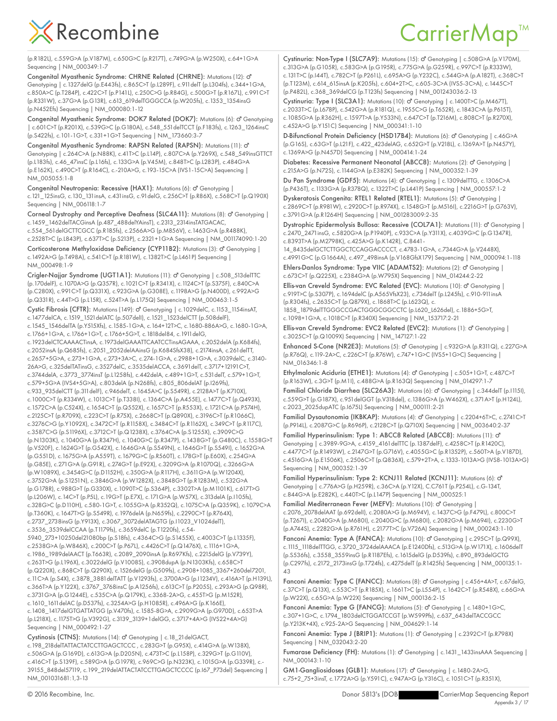### CarrierMap<sup>™</sup>

(p.R182L), c.559G>A (p.V187M), c.650G>C (p.R217T), c.749G>A (p.W250X), c.64+1G>A Sequencing | NM\_000349:1-7

Congenital Myasthenic Syndrome: CHRNE Related (CHRNE): Mutations (12): ♂ Genotyping | c.1327delG (p.E443fs), c.865C>T (p.L289F), c.911delT (p.L304fs), c.344+1G>A, c.850A>C (p.T284P), c.422C>T (p.P141L), c.250C>G (p.R84G), c.500G>T (p.R167L), c.991C>T (p.R331W), c.37G>A (p.G13R), c.613\_619delTGGGCCA (p.W205fs), c.1353\_1354insG (p.N452Efs) Sequencing | NM\_000080:1-12

Congenital Myasthenic Syndrome: DOK7 Related (DOK7): Mutations (6): o" Genotyping | c.601C>T (p.R201X), c.539G>C (p.G180A), c.548\_551delTCCT (p.F183fs), c.1263\_1264insC (p.S422fs), c.101-1G>T, c.331+1G>T Sequencing | NM\_173660:3-7

Congenital Myasthenic Syndrome: RAPSN Related (RAPSN): Mutations (11): ♂ Genotyping | c.264C>A (p.N88K), c.41T>C (p.L14P), c.807C>A (p.Y269X), c.548\_549insGTTCT (p.L183fs), c.46\_47insC (p.L16fs), c.133G>A (p.V45M), c.848T>C (p.L283P), c.484G>A (p.E162K), c.490C>T (p.R164C), c.-210A>G, c.193-15C>A (IVS1-15C>A) Sequencing | NM\_005055:1-8

Congenital Neutropenia: Recessive (HAX1): Mutations (6): O' Genotyping | c.121\_125insG, c.130\_131insA, c.431insG, c.91delG, c.256C>T (p.R86X), c.568C>T (p.Q190X) Sequencing | NM\_006118:1-7

Corneal Dystrophy and Perceptive Deafness (SLC4A11): Mutations (8): O' Genotyping | c.1459\_1462delTACGinsA (p.487\_488delYAinsT), c.2313\_2314insTATGACAC,

c.554\_561delGCTTCGCC (p.R185fs), c.2566A>G (p.M856V), c.1463G>A (p.R488K), c.2528T>C (p.L843P), c.637T>C (p.S213P), c.2321+1G>A Sequencing | NM\_001174090:1-20

Corticosterone Methyloxidase Deficiency (CYP11B2): Mutations (3): O' Genotyping | c.1492A>G (p.T498A), c.541C>T (p.R181W), c.1382T>C (p.L461P) Sequencing | NM\_000498:1-9

Crigler-Najjar Syndrome (UGT1A1): Mutations (11): o' Genotyping | c.508\_513delTTC (p.170delF), c.1070A>G (p.Q357R), c.1021C>T (p.R341X), c.1124C>T (p.S375F), c.840C>A (p.C280X), c.991C>T (p.Q331X), c.923G>A (p.G308E), c.1198A>G (p.N400D), c.992A>G (p.Q331R), c.44T>G (p.L15R), c.524T>A (p.L175Q) Sequencing | NM\_000463:1-5

Cystic Fibrosis (CFTR): Mutations (149): o<sup>n</sup> Genotyping | c.1029delC, c.1153\_1154insAT, c.1477delCA, c.1519\_1521delATC (p.507delI), c.1521\_1523delCTT (p.508delF), c.1545\_1546delTA (p.Y515Xfs), c.1585-1G>A, c.164+12T>C, c.1680-886A>G, c.1680-1G>A, c.1766+1G>A, c.1766+1G>T, c.1766+5G>T, c.1818del84, c.1911delG,

c.1923delCTCAAAACTinsA, c.1973delGAAATTCAATCCTinsAGAAA, c.2052delA (p.K684fs), c.2052insA (p.Q685fs), c.2051\_2052delAAinsG (p.K684SfsX38), c.2174insA, c.261delTT, c.2657+5G>A, c.273+1G>A, c.273+3A>C, c.274-1G>A, c.2988+1G>A, c.3039delC, c.3140- 26A>G, c.325delTATinsG, c.3527delC, c.3535delACCA, c.3691delT, c.3717+12191C>T, c.3744delA, c.3773\_3774insT (p.L1258fs), c.442delA, c.489+1G>T, c.531delT, c.579+1G>T, c.579+5G>A (IVS4+5G>A), c.803delA (p.N268fs), c.805\_806delAT (p.I269fs), c.933\_935delCTT (p.311delF), c.946delT, c.1645A>C (p.S549R), c.2128A>T (p.K710X), c.1000C>T (p.R334W), c.1013C>T (p.T338I), c.1364C>A (p.A455E), c.1477C>T (p.Q493X), c.1572C>A (p.C524X), c.1654C>T (p.Q552X), c.1657C>T (p.R553X), c.1721C>A (p.P574H), c.2125C>T (p.R709X), c.223C>T (p.R75X), c.2668C>T (p.Q890X), c.3196C>T (p.R1066C), c.3276C>G (p.Y1092X), c.3472C>T (p.R1158X), c.3484C>T (p.R1162X), c.349C>T (p.R117C), c.3587C>G (p.S1196X), c.3712C>T (p.Q1238X), c.3764C>A (p.S1255X), c.3909C>G (p.N1303K), c.1040G>A (p.R347H), c.1040G>C (p.R347P), c.1438G>T (p.G480C), c.1558G>T (p.V520F), c.1624G>T (p.G542X), c.1646G>A (p.S549N), c.1646G>T (p.S549I), c.1652G>A (p.G551D), c.1675G>A (p.A559T), c.1679G>C (p.R560T), c.178G>T (p.E60X), c.254G>A (p.G85E), c.271G>A (p.G91R), c.274G>T (p.E92X), c.3209G>A (p.R1070Q), c.3266G>A (p.W1089X), c.3454G>C (p.D1152H), c.350G>A (p.R117H), c.3611G>A (p.W1204X), c.3752G>A (p.S1251N), c.3846G>A (p.W1282X), c.3848G>T (p.R1283M), c.532G>A (p.G178R), c.988G>T (p.G330X), c.1090T>C (p.S364P), c.3302T>A (p.M1101K), c.617T>G (p.L206W), c.14C>T (p.P5L), c.19G>T (p.E7X), c.171G>A (p.W57X), c.313delA (p.I105fs), c.328G>C (p.D110H), c.580-1G>T, c.1055G>A (p.R352Q), c.1075C>A (p.Q359K), c.1079C>A (p.T360K), c.1647T>G (p.S549R), c.1976delA (p.N659fs), c.2290C>T (p.R764X), c.2737\_2738insG (p.Y913X), c.3067\_3072delATAGTG (p.I1023\_V1024delT), c.3536\_3539delCCAA (p.T1179fs), c.3659delC (p.T1220fs), c.54- 5940\_273+10250del21080bp (p.S18fs), c.4364C>G (p.S1455X), c.4003C>T (p.L1335F),

c.2538G>A (p.W846X), c.200C>T (p.P67L), c.4426C>T (p.Q1476X), c.1116+1G>A, c.1986\_1989delAACT (p.T663R), c.2089\_2090insA (p.R697Kfs), c.2215delG (p.V739Y), c.263T>G (p.L196X), c.3022delG (p.V1008S), c.3908dupA (p.N1303Kfs), c.658C>T (p.Q220X), c.868C>T (p.Q290X), c.1526delG (p.G509fs), c.2908+1085\_3367+260del7201, c.11C>A (p.S4X), c.3878\_3881delTATT (p.V1293fs), c.3700A>G (p.I1234V), c.416A>T (p.H139L), c.366T>A (p.Y122X), c.3767\_3768insC (p.A1256fs), c.613C>T (p.P205S), c.293A>G (p.Q98R), c.3731G>A (p.G1244E), c.535C>A (p.Q179K), c.3368-2A>G, c.455T>G (p.M152R), c.1610\_1611delAC (p.D537fs), c.3254A>G (p.H1085R), c.496A>G (p.K166E), c.1408\_1417delGTGATTATGG (p.V470fs), c.1585-8G>A, c.2909G>A (p.G970D), c.653T>A

(p.L218X), c.1175T>G (p.V392G), c.3139\_3139+1delGG, c.3717+4A>G (IVS22+4A>G) Sequencing | NM\_000492:1-27

Cystinosis (CTNS): Mutations (14): o' Genotyping | c.18\_21 delGACT, c.198\_218delTATTACTATCCTTGAGCTCCC , c.283G>T (p.G95X), c.414G>A (p.W138X), c.506G>A (p.G169D), c.613G>A (p.D205N), c.473T>C (p.L158P), c.329G>T (p.G110V), c.416C>T (p.S139F), c.589G>A (p.G197R), c.969C>G (p.N323K), c.1015G>A (p.G339R), c.- 39155\_848del57119, c.199\_219delATTACTATCCTTGAGCTCCCC (p.I67\_P73del) Sequencing | NM\_001031681:1,3-13

Cystinuria: Non-Type I (SLC7A9): Mutations (15): o' Genotyping | c.508G>A (p.V170M), c.313G>A (p.G105R), c.583G>A (p.G195R), c.775G>A (p.G259R), c.997C>T (p.R333W), c.131T>C (p.I44T), c.782C>T (p.P261L), c.695A>G (p.Y232C), c.544G>A (p.A182T), c.368C>T (p.T123M), c.614\_615insA (p.K205fs), c.604+2T>C, c.605-3C>A (IVS5-3C>A), c.1445C>T (p.P482L), c.368\_369delCG (p.T123fs) Sequencing | NM\_001243036:2-13

Cystinuria: Type I (SLC3A1): Mutations (10): d' Genotyping | c.1400T>C (p.M467T), c.2033T>C (p.L678P), c.542G>A (p.R181Q), c.1955C>G (p.T652R), c.1843C>A (p.P615T), c.1085G>A (p.R362H), c.1597T>A (p.Y533N), c.647C>T (p.T216M), c.808C>T (p.R270X), c.452A>G (p.Y151C) Sequencing | NM\_000341:1-10

D-Bifunctional Protein Deficiency (HSD17B4): Mutations (6): O' Genotyping | c.46G>A (p.G16S), c.63G>T (p.L21F), c.422\_423delAG, c.652G>T (p.V218L), c.1369A>T (p.N457Y), c.1369A>G (p.N457D) Sequencing | NM\_000414:1-24

Diabetes: Recessive Permanent Neonatal (ABCC8): Mutations (2): O' Genotyping | c.215A>G (p.N72S), c.1144G>A (p.E382K) Sequencing | NM\_000352:1-39

Du Pan Syndrome (GDF5): Mutations (4): O' Genotyping | c.1309delTTG, c.1306C>A (p.P436T), c.1133G>A (p.R378Q), c.1322T>C (p.L441P) Sequencing | NM\_000557:1-2

Dyskeratosis Congenita: RTEL1 Related (RTEL1): Mutations (5): O' Genotyping | c.2869C>T (p.R981W), c.2920C>T (p.R974X), c.1548G>T (p.M516I), c.2216G>T (p.G763V), c.3791G>A (p.R1264H) Sequencing | NM\_001283009:2-35

Dystrophic Epidermolysis Bullosa: Recessive (COL7A1): Mutations (11): o' Genotyping | c.2470\_2471insG, c.5820G>A (p.P1940P), c.933C>A (p.Y311X), c.4039G>C (p.G1347R), c.8393T>A (p.M2798K), c.425A>G (p.K142R), C.8441-

14\_8435delGCTCTTGGCTCCAGGACCCCT, c.4783-1G>A, c.7344G>A (p.V2448X), c.4991G>C (p.G1664A), c.497\_498insA (p.V168GfsX179) Sequencing | NM\_000094:1-118 Ehlers-Danlos Syndrome: Type VIIC (ADAMTS2): Mutations (2): O' Genotyping |

c.673C>T (p.Q225X), c.2384G>A (p.W795X) Sequencing | NM\_014244:2-22 Ellis-van Creveld Syndrome: EVC Related (EVC): Mutations (10): o' Genotyping | c.919T>C (p.S307P), c.1694delC (p.A565VfsX23), c.734delT (p.L245fs), c.910-911insA (p.R304fs), c.2635C>T (p.Q879X), c.1868T>C (p.L623Q), c.

1858\_1879delTTGGGCCGACTGGGCGGCCTC (p.L620\_L626del), c.1886+5G>T, c.1098+1G>A, c.1018C>T (p.R340X) Sequencing | NM\_153717:2-21

Ellis-van Creveld Syndrome: EVC2 Related (EVC2): Mutations (1): O' Genotyping | c.3025C>T (p.Q1009X) Sequencing | NM\_147127:1-22

Enhanced S-Cone (NR2E3): Mutations (5): o' Genotyping | c.932G>A (p.R311Q), c.227G>A (p.R76Q), c.119-2A>C, c.226C>T (p.R76W), c.747+1G>C (IVS5+1G>C) Sequencing | NM\_016346:1-8

Ethylmalonic Aciduria (ETHE1): Mutations (4): O' Genotyping | c.505+1G>T, c.487C>T (p.R163W), c.3G>T (p.M1I), c.488G>A (p.R163Q) Sequencing | NM\_014297:1-7

Familial Chloride Diarrhea (SLC26A3): Mutations (6): o' Genotyping | c.344delT (p.11151), c.559G>T (p.G187X), c.951delGGT (p.V318del), c.1386G>A (p.W462X), c.371A>T (p.H124L), c.2023\_2025dupATC (p.I675L) Sequencing | NM\_000111:2-21

Familial Dysautonomia (IKBKAP): Mutations (4): d<sup>o</sup> Genotyping | c.2204+6T>C, c.2741C>T (p.P914L), c.2087G>C (p.R696P), c.2128C>T (p.Q710X) Sequencing | NM\_003640:2-37

Familial Hyperinsulinism: Type 1: ABCC8 Related (ABCC8): Mutations (11): o' Genotyping | c.3989-9G>A, c.4159\_4161delTTC (p.1387delF), c.4258C>T (p.R1420C), c.4477C>T (p.R1493W), c.2147G>T (p.G716V), c.4055G>C (p.R1352P), c.560T>A (p.V187D), c.4516G>A (p.E1506K), c.2506C>T (p.Q836X), c.579+2T>A, c.1333-1013A>G (IVS8-1013A>G) Sequencing | NM\_000352:1-39

Familial Hyperinsulinism: Type 2: KCNJ11 Related (KCNJ11): Mutations (6): ♂ Genotyping | c.776A>G (p.H259R), c.36C>A (p.Y12X), C.C761T (p.P254L), c.G-134T, c.844G>A (p.E282K), c.440T>C (p.L147P) Sequencing | NM\_000525:1

Familial Mediterranean Fever (MEFV): Mutations (10): O' Genotyping | c.2076\_2078delAAT (p.692delI), c.2080A>G (p.M694V), c.1437C>G (p.F479L), c.800C>T (p.T267I), c.2040G>A (p.M680I), c.2040G>C (p.M680I), c.2082G>A (p.M694I), c.2230G>T (p.A744S), c.2282G>A (p.R761H), c.2177T>C (p.V726A) Sequencing | NM\_000243:1-10

Fanconi Anemia: Type A (FANCA): Mutations (10): O' Genotyping | c.295C>T (p.Q99X), c.1115\_1118delTTGG, c.3720\_3724delAAACA (p.E1240Dfs), c.513G>A (p.W171X), c.1606delT (p.S536fs), c.3558\_3559insG (p.R1187Efs), c.1615delG (p.D539fs), c.890\_893delGCTG (p.C297fs), c.2172\_2173insG (p.T724fs), c.4275delT (p.R1425fs) Sequencing | NM\_000135:1- 43

Fanconi Anemia: Type C (FANCC): Mutations (8): o'' Genotyping | c.456+4A>T, c.67delG, c.37C>T (p.Q13X), c.553C>T (p.R185X), c.1661T>C (p.L554P), c.1642C>T (p.R548X), c.66G>A (p.W22X), c.65G>A (p.W22X) Sequencing | NM\_000136:2-15

Fanconi Anemia: Type G (FANCG): Mutations (5): o' Genotyping | c.1480+1G>C, c.307+1G>C, c.1794\_1803delCTGGATCCGT (p.W599Pfs), c.637\_643delTACCGCC (p.Y213K+4X), c.925-2A>G Sequencing | NM\_004629:1-14

Fanconi Anemia: Type J (BRIP1): Mutations (1): O' Genotyping | c.2392C>T (p.R798X) Sequencing | NM\_032043:2-20

Fumarase Deficiency (FH): Mutations (1): O' Genotyping | c. 1431\_1433insAAA Sequencing | NM\_000143:1-10

GM1-Gangliosidoses (GLB1): Mutations (17): o' Genotyping | c.1480-2A>G, c.75+2\_75+3insT, c.1772A>G (p.Y591C), c.947A>G (p.Y316C), c.1051C>T (p.R351X),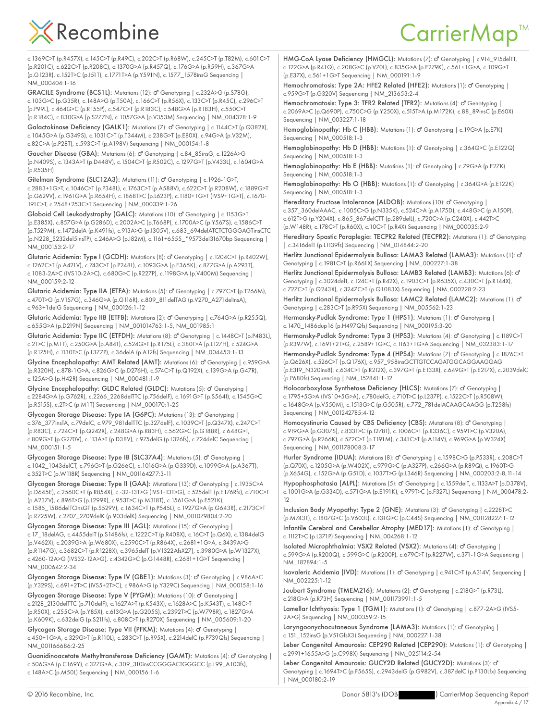### CarrierMap<sup>™</sup>

c.1369C>T (p.R457X), c.145C>T (p.R49C), c.202C>T (p.R68W), c.245C>T (p.T82M), c.601C>T (p.R201C), c.622C>T (p.R208C), c.1370G>A (p.R457Q), c.176G>A (p.R59H), c.367G>A (p.G123R), c.152T>C (p.I51T), c.1771T>A (p.Y591N), c.1577\_1578insG Sequencing | NM\_000404:1-16

GRACILE Syndrome (BCS1L): Mutations (12): d' Genotyping | c.232A>G (p.S78G), c.103G>C (p.G35R), c.148A>G (p.T50A), c.166C>T (p.R56X), c.133C>T (p.R45C), c.296C>T (p.P99L), c.464G>C (p.R155P), c.547C>T (p.R183C), c.548G>A (p.R183H), c.550C>T (p.R184C), c.830G>A (p.S277N), c.1057G>A (p.V353M) Sequencing | NM\_004328:1-9

Galactokinase Deficiency (GALK1): Mutations (7): o' Genotyping | c.1144C>T (p.Q382X), c.1045G>A (p.G349S), c.1031C>T (p.T344M), c.238G>T (p.E80X), c.94G>A (p.V32M), c.82C>A (p.P28T), c.593C>T (p.A198V) Sequencing | NM\_000154:1-8

Gaucher Disease (GBA): Mutations (6): O' Genotyping | c.84\_85insG, c.1226A>G (p.N409S), c.1343A>T (p.D448V), c.1504C>T (p.R502C), c.1297G>T (p.V433L), c.1604G>A (p.R535H)

Gitelman Syndrome (SLC12A3): Mutations (11): o'' Genotyping | c.1926-1G>T, c.2883+1G>T, c.1046C>T (p.P348L), c.1763C>T (p.A588V), c.622C>T (p.R208W), c.1889G>T (p.G629V), c.1961G>A (p.R654H), c.1868T>C (p.L623P), c.1180+1G>T (IVS9+1G>T), c.1670- 191C>T, c.2548+253C>T Sequencing | NM\_000339:1-26

Globoid Cell Leukodystrophy (GALC): Mutations (10): o' Genotyping | c.1153G>T (p.E385X), c.857G>A (p.G286D), c.2002A>C (p.T668P), c.1700A>C (p.Y567S), c.1586C>T (p.T529M), c.1472delA (p.K491fs), c.913A>G (p.I305V), c.683\_694delATCTCTGGGAGTinsCTC (p.N228\_S232del5insTP), c.246A>G (p.I82M), c.1161+6555\_\*9573del31670bp Sequencing | NM\_000153:2-17

Glutaric Acidemia: Type I (GCDH): Mutations (8): o' Genotyping | c.1204C>T (p.R402W), c.1262C>T (p.A421V), c.743C>T (p.P248L), c.1093G>A (p.E365K), c.877G>A (p.A293T), c.1083-2A>C (IVS10-2A>C), c.680G>C (p.R227P), c.1198G>A (p.V400M) Sequencing | NM\_000159:2-12

Glutaric Acidemia: Type IIA (ETFA): Mutations (5): O' Genotyping | c.797C>T (p.T266M), c.470T>G (p.V157G), c.346G>A (p.G116R), c.809\_811delTAG (p.V270\_A271delinsA), c.963+1delG Sequencing | NM\_000126:1-12

Glutaric Acidemia: Type IIB (ETFB): Mutations (2): o' Genotyping | c.764G>A (p.R255Q), c.655G>A (p.D219N) Sequencing | NM\_001014763:1-5, NM\_001985:1

Glutaric Acidemia: Type IIC (ETFDH): Mutations (8): O' Genotyping | c.1448C>T (p.P483L), c.2T>C (p.M1T), c.250G>A (p.A84T), c.524G>T (p.R175L), c.380T>A (p.L127H), c.524G>A (p.R175H), c.1130T>C (p.L377P), c.36delA (p.A12fs) Sequencing | NM\_004453:1-13

Glycine Encephalopathy: AMT Related (AMT): Mutations (6): O' Genotyping | c.959G>A (p.R320H), c.878-1G>A, c.826G>C (p.D276H), c.574C>T (p.Q192X), c.139G>A (p.G47R), c.125A>G (p.H42R) Sequencing | NM\_000481:1-9

Glycine Encephalopathy: GLDC Related (GLDC): Mutations (5): o' Genotyping | c.2284G>A (p.G762R), c.2266\_2268delTTC (p.756delF), c.1691G>T (p.S564I), c.1545G>C (p.R515S), c.2T>C (p.M1T) Sequencing | NM\_000170:1-25

Glycogen Storage Disease: Type IA (G6PC): Mutations (13): o' Genotyping | c.376\_377insTA, c.79delC, c.979\_981delTTC (p.327delF), c.1039C>T (p.Q347X), c.247C>T (p.R83C), c.724C>T (p.Q242X), c.248G>A (p.R83H), c.562G>C (p.G188R), c.648G>T, c.809G>T (p.G270V), c.113A>T (p.D38V), c.975delG (p.L326fs), c.724delC Sequencing | NM\_000151:1-5

Glycogen Storage Disease: Type IB (SLC37A4): Mutations (5): O' Genotyping | c.1042\_1043delCT, c.796G>T (p.G266C), c.1016G>A (p.G339D), c.1099G>A (p.A367T), c.352T>C (p.W118R) Sequencing | NM\_001164277:3-11

Glycogen Storage Disease: Type II (GAA): Mutations (13): o' Genotyping | c.1935C>A (p.D645E), c.2560C>T (p.R854X), c.-32-13T>G (IVS1-13T>G), c.525delT (p.E176Rfs), c.710C>T (p.A237V), c.896T>G (p.L299R), c.953T>C (p.M318T), c.1561G>A (p.E521K), c.1585\_1586delTCinsGT (p.S529V), c.1634C>T (p.P545L), c.1927G>A (p.G643R), c.2173C>T (p.R725W), c.2707\_2709delK (p.903delK) Sequencing | NM\_001079804:2-20

Glycogen Storage Disease: Type III (AGL): Mutations (15): o' Genotyping | c.17\_18delAG, c.4455delT (p.S1486fs), c.1222C>T (p.R408X), c.16C>T (p.Q6X), c.1384delG (p.V462X), c.2039G>A (p.W680X), c.2590C>T (p.R864X), c.2681+1G>A, c.3439A>G (p.R1147G), c.3682C>T (p.R1228X), c.3965delT (p.V1322AfsX27), c.3980G>A (p.W1327X), c.4260-12A>G (IVS32-12A>G), c.4342G>C (p.G1448R), c.2681+1G>T Sequencing | NM\_000642:2-34

Glycogen Storage Disease: Type IV (GBE1): Mutations (3): o' Genotyping | c.986A>C (p.Y329S), c.691+2T>C (IVS5+2T>C), c.986A>G (p.Y329C) Sequencing | NM\_000158:1-16

Glycogen Storage Disease: Type V (PYGM): Mutations (10): o' Genotyping | c.2128\_2130delTTC (p.710delF), c.1627A>T (p.K543X), c.1628A>C (p.K543T), c.148C>T (p.R50X), c.255C>A (p.Y85X), c.613G>A (p.G205S), c.2392T>C (p.W798R), c.1827G>A (p.K609K), c.632delG (p.S211fs), c.808C>T (p.R270X) Sequencing | NM\_005609:1-20

Glycogen Storage Disease: Type VII (PFKM): Mutations (4): O' Genotyping | c.450+1G>A, c.329G>T (p.R110L), c.283C>T (p.R95X), c.2214delC (p.P739Qfs) Sequencing | NM\_001166686:2-25

Guanidinoacetate Methyltransferase Deficiency (GAMT): Mutations (4): o' Genotyping | c.506G>A (p.C169Y), c.327G>A, c.309\_310insCCGGGACTGGGCC (p.L99\_A103fs), c.148A>C (p.M50L) Sequencing | NM\_000156:1-6

HMG-CoA Lyase Deficiency (HMGCL): Mutations (7): o' Genotyping | c.914\_915delTT, c.122G>A (p.R41Q), c.208G>C (p.V70L), c.835G>A (p.E279K), c.561+1G>A, c.109G>T (p.E37X), c.561+1G>T Sequencing | NM\_000191:1-9

Hemochromatosis: Type 2A: HFE2 Related (HFE2): Mutations (1): o' Genotyping | c.959G>T (p.G320V) Sequencing | NM\_213653:2-4

Hemochromatosis: Type 3: TFR2 Related (TFR2): Mutations (4): O' Genotyping | c.2069A>C (p.Q690P), c.750C>G (p.Y250X), c.515T>A (p.M172K), c.88\_89insC (p.E60X) Sequencing | NM\_003227:1-18

Hemoglobinopathy: Hb C (HBB): Mutations (1): o' Genotyping | c.19G>A (p.E7K) Sequencing | NM\_000518:1-3

Hemoglobinopathy: Hb D (HBB): Mutations (1): O' Genotyping | c.364G>C (p.E122Q) Sequencing | NM\_000518:1-3

Hemoglobinopathy: Hb E (HBB): Mutations (1): o' Genotyping | c.79G>A (p.E27K) Sequencing | NM\_000518:1-3

Hemoglobinopathy: Hb O (HBB): Mutations (1): o' Genotyping | c.364G>A (p.E122K) Sequencing | NM\_000518:1-3

Hereditary Fructose Intolerance (ALDOB): Mutations (10): o' Genotyping | c.357\_360delAAAC, c.1005C>G (p.N335K), c.524C>A (p.A175D), c.448G>C (p.A150P), c.612T>G (p.Y204X), c.865\_867delCTT (p.289delL), c.720C>A (p.C240X), c.442T>C (p.W148R), c.178C>T (p.R60X), c.10C>T (p.R4X) Sequencing | NM\_000035:2-9

Hereditary Spastic Paraplegia: TECPR2 Related (TECPR2): Mutations (1): o' Genotyping | c.3416delT (p.L1139fs) Sequencing | NM\_014844:2-20

Herlitz Junctional Epidermolysis Bullosa: LAMA3 Related (LAMA3): Mutations (1): o<sup>7</sup> Genotyping | c.1981C>T (p.R661X) Sequencing | NM\_000227:1-38

Herlitz Junctional Epidermolysis Bullosa: LAMB3 Related (LAMB3): Mutations (6): o<sup>7</sup> Genotyping | c.3024delT, c.124C>T (p.R42X), c.1903C>T (p.R635X), c.430C>T (p.R144X), c.727C>T (p.Q243X), c.3247C>T (p.Q1083X) Sequencing | NM\_000228:2-23

Herlitz Junctional Epidermolysis Bullosa: LAMC2 Related (LAMC2): Mutations (1): o' Genotyping | c.283C>T (p.R95X) Sequencing | NM\_005562:1-23

Hermansky-Pudlak Syndrome: Type 1 (HPS1): Mutations (1): O' Genotyping | c.1470\_1486dup16 (p.H497Qfs) Sequencing | NM\_000195:3-20

Hermansky-Pudlak Syndrome: Type 3 (HPS3): Mutations (4): O' Genotyping | c.1189C>T (p.R397W), c.1691+2T>G, c.2589+1G>C, c.1163+1G>A Sequencing | NM\_032383:1-17

Hermansky-Pudlak Syndrome: Type 4 (HPS4): Mutations (7): O' Genotyping | c.1876C>T (p.Q626X), c.526C>T (p.Q176X), c.957\_958insGCTTGTCCAGATGGCAGGAAGGAG (p.E319\_N320ins8), c.634C>T (p.R212X), c.397G>T (p.E133X), c.649G>T (p.E217X), c.2039delC (p.P680fs) Sequencing | NM\_152841:1-12

Holocarboxylase Synthetase Deficiency (HLCS): Mutations (7): O' Genotyping | c.1795+5G>A (IVS10+5G>A), c.780delG, c.710T>C (p.L237P), c.1522C>T (p.R508W), c.1648G>A (p.V550M), c.1513G>C (p.G505R), c.772\_781delACAAGCAAGG (p.T258fs) Sequencing | NM\_001242785:4-12

Homocystinuria Caused by CBS Deficiency (CBS): Mutations (8): o' Genotyping | c.919G>A (p.G307S), c.833T>C (p.I278T), c.1006C>T (p.R336C), c.959T>C (p.V320A), c.797G>A (p.R266K), c.572C>T (p.T191M), c.341C>T (p.A114V), c.969G>A (p.W324X) Sequencing | NM\_001178008:3-17

Hurler Syndrome (IDUA): Mutations (8): d' Genotyping | c.1598C>G (p.P533R), c.208C>T (p.Q70X), c.1205G>A (p.W402X), c.979G>C (p.A327P), c.266G>A (p.R89Q), c.1960T>G (p.X654G), c.152G>A (p.G51D), c.1037T>G (p.L346R) Sequencing | NM\_000203:2-8,11-14

Hypophosphatasia (ALPL): Mutations (5): o' Genotyping | c.1559delT, c.1133A>T (p.D378V), c.1001G>A (p.G334D), c.571G>A (p.E191K), c.979T>C (p.F327L) Sequencing | NM\_000478:2- 12

Inclusion Body Myopathy: Type 2 (GNE): Mutations (3): o' Genotyping | c.2228T>C (p.M743T), c.1807G>C (p.V603L), c.131G>C (p.C44S) Sequencing | NM\_001128227:1-12

Infantile Cerebral and Cerebellar Atrophy (MED17): Mutations (1): o' Genotyping | c.1112T>C (p.L371P) Sequencing | NM\_004268:1-12

Isolated Microphthalmia: VSX2 Related (VSX2): Mutations (4): O' Genotyping | c.599G>A (p.R200Q), c.599G>C (p.R200P), c.679C>T (p.R227W), c.371-1G>A Sequencing | NM\_182894:1-5

Isovaleric Acidemia (IVD): Mutations (1): d' Genotyping | c.941C>T (p.A314V) Sequencing | NM\_002225:1-12

Joubert Syndrome (TMEM216): Mutations (2): O' Genotyping | c.218G>T (p.R73L), c.218G>A (p.R73H) Sequencing | NM\_001173991:1-5

Lamellar Ichthyosis: Type 1 (TGM1): Mutations (1): o' Genotyping | c.877-2A>G (IVS5-2A>G) Sequencing | NM\_000359:2-15

Laryngoonychocutaneous Syndrome (LAMA3): Mutations (1): o' Genotyping | c.151\_152insG (p.V51GfsX3) Sequencing | NM\_000227:1-38

Leber Congenital Amaurosis: CEP290 Related (CEP290): Mutations (1): o' Genotyping | c.2991+1655A>G (p.C998X) Sequencing | NM\_025114:2-54

Leber Congenital Amaurosis: GUCY2D Related (GUCY2D): Mutations (3): ♂ Genotyping | c.1694T>C (p.F565S), c.2943delG (p.G982V), c.387delC (p.P130Lfx) Sequencing | NM\_000180:2-19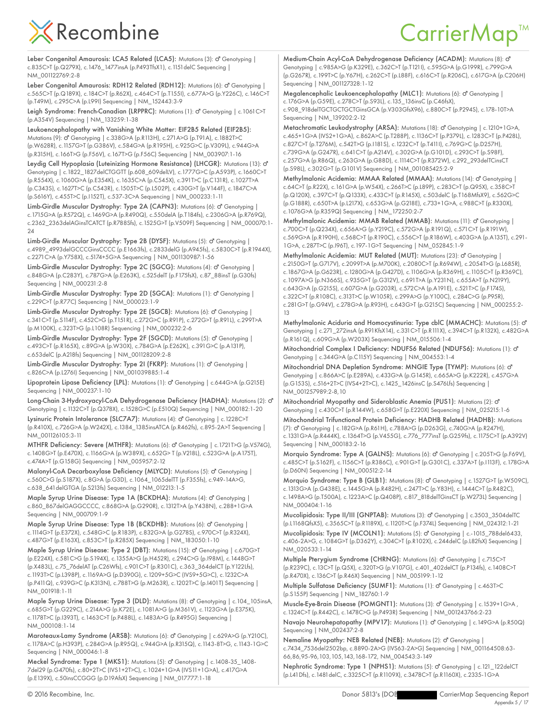Leber Congenital Amaurosis: LCA5 Related (LCA5): Mutations (3): o' Genotyping | c.835C>T (p.Q279X), c.1476\_1477insA (p.P493TfsX1), c.1151delC Sequencing | NM\_001122769:2-8

Leber Congenital Amaurosis: RDH12 Related (RDH12): Mutations (6): o<sup>n</sup> Genotyping | c.565C>T (p.Q189X), c.184C>T (p.R62X), c.464C>T (p.T155I), c.677A>G (p.Y226C), c.146C>T (p.T49M), c.295C>A (p.L99I) Sequencing | NM\_152443:3-9

Leigh Syndrome: French-Canadian (LRPPRC): Mutations (1): O' Genotyping | c.1061C>T (p.A354V) Sequencing | NM\_133259:1-38

Leukoencephalopathy with Vanishing White Matter: EIF2B5 Related (EIF2B5): Mutations (9): d' Genotyping | c.338G>A (p.R113H), c.271A>G (p.T91A), c.1882T>C (p.W628R), c.1157G>T (p.G386V), c.584G>A (p.R195H), c.925G>C (p.V309L), c.944G>A (p.R315H), c.166T>G (p.F56V), c.167T>G (p.F56C) Sequencing | NM\_003907:1-16

Leydig Cell Hypoplasia (Luteinizing Hormone Resistance) (LHCGR): Mutations (13): o<sup>7</sup> Genotyping | c.1822\_1827delCTGGTT (p.608\_609delLV), c.1777G>C (p.A593P), c.1660C>T (p.R554X), c.1060G>A (p.E354K), c.1635C>A (p.C545X), c.391T>C (p.C131R), c.1027T>A (p.C343S), c.1627T>C (p.C543R), c.1505T>C (p.L502P), c.430G>T (p.V144F), c.1847C>A (p.S616Y), c.455T>C (p.I152T), c.537-3C>A Sequencing | NM\_000233:1-11

Limb-Girdle Muscular Dystrophy: Type 2A (CAPN3): Mutations (6): o' Genotyping | c.1715G>A (p.R572Q), c.1469G>A (p.R490Q), c.550delA (p.T184fs), c.2306G>A (p.R769Q), c.2362\_2363delAGinsTCATCT (p.R788Sfs), c.1525G>T (p.V509F) Sequencing | NM\_000070:1- 24

Limb-Girdle Muscular Dystrophy: Type 2B (DYSF): Mutations (5): o' Genotyping | c.4989\_4993delGCCCGinsCCCC (p.E1663fs), c.2833delG (p.A945fs), c.5830C>T (p.R1944X), c.2271C>A (p.Y758X), c.5174+5G>A Sequencing | NM\_001130987:1-56

Limb-Girdle Muscular Dystrophy: Type 2C (SGCG): Mutations (4): O' Genotyping | c.848G>A (p.C283Y), c.787G>A (p.E263K), c.525delT (p.F175fsX), c.87\_88insT (p.G30fs) Sequencing | NM\_000231:2-8

Limb-Girdle Muscular Dystrophy: Type 2D (SGCA): Mutations (1): O' Genotyping | c.229C>T (p.R77C) Sequencing | NM\_000023:1-9

Limb-Girdle Muscular Dystrophy: Type 2E (SGCB): Mutations (6): o' Genotyping | c.341C>T (p.S114F), c.452C>G (p.T151R), c.272G>C (p.R91P), c.272G>T (p.R91L), c.299T>A (p.M100K), c.323T>G (p.L108R) Sequencing | NM\_000232:2-6

Limb-Girdle Muscular Dystrophy: Type 2F (SGCD): Mutations (5): O' Genotyping | c.493C>T (p.R165X), c.89G>A (p.W30X), c.784G>A (p.E262K), c.391G>C (p.A131P), c.653delC (p.A218fs) Sequencing | NM\_001128209:2-8

Limb-Girdle Muscular Dystrophy: Type 21 (FKRP): Mutations (1): o' Genotyping | c.826C>A (p.L276I) Sequencing | NM\_001039885:1-4

Lipoprotein Lipase Deficiency (LPL): Mutations (1): o' Genotyping | c.644G>A (p.G215E) Sequencing | NM\_000237:1-10

Long-Chain 3-Hydroxyacyl-CoA Dehydrogenase Deficiency (HADHA): Mutations (2): o' Genotyping | c.1132C>T (p.Q378X), c.1528G>C (p.E510Q) Sequencing | NM\_000182:1-20

Lysinuric Protein Intolerance (SLC7A7): Mutations (4): o<sup>n</sup> Genotyping | c.1228C>T (p.R410X), c.726G>A (p.W242X), c.1384\_1385insATCA (p.R462fs), c.895-2A>T Sequencing | NM\_001126105:3-11

MTHFR Deficiency: Severe (MTHFR): Mutations (6): o' Genotyping | c.1721T>G (p.V574G), c.1408G>T (p.E470X), c.1166G>A (p.W389X), c.652G> T (p.V218L), c.523G>A (p.A175T), c.474A>T (p.G158G) Sequencing | NM\_005957:2-12

Malonyl-CoA Decarboxylase Deficiency (MLYCD): Mutations (5): o' Genotyping | c.560C>G (p.S187X), c.8G>A (p.G3D), c.1064\_1065delTT (p.F355fs), c.949-14A>G, c.638\_641delGTGA (p.S213fs) Sequencing | NM\_012213:1-5

Maple Syrup Urine Disease: Type 1A (BCKDHA): Mutations (4): O' Genotyping | c.860\_867delGAGGCCCC, c.868G>A (p.G290R), c.1312T>A (p.Y438N), c.288+1G>A Sequencing | NM\_000709:1-9

Maple Syrup Urine Disease: Type 1B (BCKDHB): Mutations (6): O' Genotyping | c.1114G>T (p.E372X), c.548G>C (p.R183P), c.832G>A (p.G278S), c.970C>T (p.R324X), c.487G>T (p.E163X), c.853C>T (p.R285X) Sequencing | NM\_183050:1-10

Maple Syrup Urine Disease: Type 2 (DBT): Mutations (15): o<sup>n</sup> Genotyping | c.670G>T (p.E224X), c.581C>G (p.S194X), c.1355A>G (p.H452R), c.294C>G (p.I98M), c.1448G>T (p.X483L), c.75\_76delAT (p.C26Wfs), c.901C>T (p.R301C), c.363\_364delCT (p.Y122Lfs), c.1193T>C (p.L398P), c.1169A>G (p.D390G), c.1209+5G>C (IVS9+5G>C), c.1232C>A (p.P411Q), c.939G>C (p.K313N), c.788T>G (p.M263R), c.1202T>C (p.I401T) Sequencing | NM\_001918:1-11

Maple Syrup Urine Disease: Type 3 (DLD): Mutations (8): O' Genotyping | c.104\_105insA, c.685G>T (p.G229C), c.214A>G (p.K72E), c.1081A>G (p.M361V), c.1123G>A (p.E375K), c.1178T>C (p.I393T), c.1463C>T (p.P488L), c.1483A>G (p.R495G) Sequencing | NM\_000108:1-14

Maroteaux-Lamy Syndrome (ARSB): Mutations (6): o' Genotyping | c.629A>G (p.Y210C), c.1178A>C (p.H393P), c.284G>A (p.R95Q), c.944G>A (p.R315Q), c.1143-8T>G, c.1143-1G>C Sequencing | NM\_000046:1-8

Meckel Syndrome: Type 1 (MKS1): Mutations (5): O' Genotyping | c. 1408-35\_1408-7del29 (p.G470fs), c.80+2T>C (IVS1+2T>C), c.1024+1G>A (IVS11+1G>A), c.417G>A (p.E139X), c.50insCCGGG (p.D19AfsX) Sequencing | NM\_017777:1-18

Medium-Chain Acyl-CoA Dehydrogenase Deficiency (ACADM): Mutations (8): ♂ Genotyping | c.985A>G (p.K329E), c.362C>T (p.T121I), c.595G>A (p.G199R), c.799G>A (p.G267R), c.199T>C (p.Y67H), c.262C>T (p.L88F), c.616C>T (p.R206C), c.617G>A (p.C206H) Sequencing | NM\_001127328:1-12

Megalencephalic Leukoencephalopathy (MLC1): Mutations (6): o' Genotyping | c.176G>A (p.G59E), c.278C>T (p.S93L), c.135\_136insC (p.C46fsX), c.908\_918delTGCTGCTGCTGinsGCA (p.V303GfsX96), c.880C>T (p.P294S), c.178-10T>A Sequencing | NM\_139202:2-12

Metachromatic Leukodystrophy (ARSA): Mutations (18): O' Genotyping | c.1210+1G>A, c.465+1G>A (IVS2+1G>A), c.862A>C (p.T288P), c.1136C>T (p.P379L), c.1283C>T (p.P428L), c.827C>T (p.T276M), c.542T>G (p.I181S), c.1232C>T (p.T411I), c.769G>C (p.D257H), c.739G>A (p.G247R), c.641C>T (p.A214V), c.302G>A (p.G101D), c.293C>T (p.S98F), c.257G>A (p.R86Q), c.263G>A (p.G88D), c.1114C>T (p.R372W), c.292\_293delTCinsCT (p.S98L), c.302G>T (p.G101V) Sequencing | NM\_001085425:2-9

Methylmalonic Acidemia: MMAA Related (MMAA): Mutations (14): O' Genotyping | c.64C>T (p.R22X), c.161G>A (p.W54X), c.266T>C (p.L89P), c.283C>T (p.Q95X), c.358C>T (p.Q120X), c.397C>T (p.Q133X), c.433C>T (p.R145X), c.503delC (p.T168MfsX9), c.562G>C (p.G188R), c.650T>A (p.L217X), c.653G>A (p.G218E), c.733+1G>A, c.988C>T (p.R330X), c.1076G>A (p.R359Q) Sequencing | NM\_172250:2-7

Methylmalonic Acidemia: MMAB Related (MMAB): Mutations (11): o<sup>n</sup> Genotyping | c.700C>T (p.Q234X), c.656A>G (p.Y219C), c.572G>A (p.R191Q), c.571C>T (p.R191W), c.569G>A (p.R190H), c.568C>T (p.R190C), c.556C>T (p.R186W), c.403G>A (p.A135T), c.291- 1G>A, c.287T>C (p.I96T), c.197-1G>T Sequencing | NM\_052845:1-9

Methylmalonic Acidemia: MUT Related (MUT): Mutations (23): o' Genotyping | c.2150G>T (p.G717V), c.2099T>A (p.M700K), c.2080C>T (p.R694W), c.2054T>G (p.L685R), c.1867G>A (p.G623R), c.1280G>A (p.G427D), c.1106G>A (p.R369H), c.1105C>T (p.R369C), c.1097A>G (p.N366S), c.935G>T (p.G312V), c.691T>A (p.Y231N), c.655A>T (p.N219Y), c.643G>A (p.G215S), c.607G>A (p.G203R), c.572C>A (p.A191E), c.521T>C (p.F174S), c.322C>T (p.R108C), c.313T>C (p.W105R), c.299A>G (p.Y100C), c.284C>G (p.P95R), c.281G>T (p.G94V), c.278G>A (p.R93H), c.643G>T (p.G215C) Sequencing | NM\_000255:2- 13

Methylmalonic Aciduria and Homocystinuria: Type cblC (MMACHC): Mutations (5): ♂ Genotyping | c.271\_272insA (p.R91KfsX14), c.331C>T (p.R111X), c.394C>T (p.R132X), c.482G>A (p.R161Q), c.609G>A (p.W203X) Sequencing | NM\_015506:1-4

Mitochondrial Complex I Deficiency: NDUFS6 Related (NDUFS6): Mutations (1): ♂ Genotyping | c.344G>A (p.C115Y) Sequencing | NM\_004553:1-4

Mitochondrial DNA Depletion Syndrome: MNGIE Type (TYMP): Mutations (6): ♂ Genotyping | c.866A>C (p.E289A), c.433G>A (p.G145R), c.665A>G (p.K222R), c.457G>A (p.G153S), c.516+2T>C (IVS4+2T>C), c.1425\_1426insC (p.S476Lfs) Sequencing | NM\_001257989:2-8,10

Mitochondrial Myopathy and Sideroblastic Anemia (PUS1): Mutations (2): o' Genotyping | c.430C>T (p.R144W), c.658G>T (p.E220X) Sequencing | NM\_025215:1-6

Mitochondrial Trifunctional Protein Deficiency: HADHB Related (HADHB): Mutations (7): Genotyping | c.182G>A (p.R61H), c.788A>G (p.D263G), c.740G>A (p.R247H), ♂ c.1331G>A (p.R444K), c.1364T>G (p.V455G), c.776\_777insT (p.G259fs), c.1175C>T (p.A392V) Sequencing | NM\_000183:2-16

Morquio Syndrome: Type A (GALNS): Mutations (6): o'' Genotyping | c.205T>G (p.F69V), c.485C>T (p.S162F), c.1156C>T (p.R386C), c.901G>T (p.G301C), c.337A>T (p.I113F), c.178G>A (p.D60N) Sequencing | NM\_000512:2-14

Morquio Syndrome: Type B (GLB1): Mutations (8): o' Genotyping | c.1527G>T (p.W509C), c.1313G>A (p.G438E), c.1445G>A (p.R482H), c.247T>C (p.Y83H), c.1444C>T (p.R482C), c.1498A>G (p.T500A), c.1223A>C (p.Q408P), c.817\_818delTGinsCT (p.W273L) Sequencing | NM\_000404:1-16

Mucolipidosis: Type II/III (GNPTAB): Mutations (3): o' Genotyping | c.3503\_3504delTC (p.L1168QfsX5), c.3565C>T (p.R1189X), c.1120T>C (p.F374L) Sequencing | NM\_024312:1-21 Mucolipidosis: Type IV (MCOLN1): Mutations (5): o' Genotyping | c.-1015\_788del6433, c.406-2A>G, c.1084G>T (p.D362Y), c.304C>T (p.R102X), c.244delC (p.L82fsX) Sequencing | NM\_020533:1-14

Multiple Pterygium Syndrome (CHRNG): Mutations (6): o' Genotyping | c.715C>T (p.R239C), c.13C>T (p.Q5X), c.320T>G (p.V107G), c.401\_402delCT (p.P134fs), c.1408C>T (p.R470X), c.136C>T (p.R46X) Sequencing | NM\_005199:1-12

Multiple Sulfatase Deficiency (SUMF1): Mutations (1): O' Genotyping | c.463T>C (p.S155P) Sequencing | NM\_182760:1-9

Muscle-Eye-Brain Disease (POMGNT1): Mutations (3): o' Genotyping | c.1539+1G>A, c.1324C>T (p.R442C), c.1478C>G (p.P493R) Sequencing | NM\_001243766:2-23

Navajo Neurohepatopathy (MPV17): Mutations (1): o' Genotyping | c.149G>A (p.R50Q) Sequencing | NM\_002437:2-8

Nemaline Myopathy: NEB Related (NEB): Mutations (2): o' Genotyping | c.7434\_7536del2502bp, c.8890-2A>G (IVS63-2A>G) Sequencing | NM\_001164508:63- 66,86,95-96,103,105,143,168-172, NM\_004543:3-149

Nephrotic Syndrome: Type 1 (NPHS1): Mutations (5): o' Genotyping | c.121\_122delCT (p.L41Dfs), c.1481delC, c.3325C>T (p.R1109X), c.3478C>T (p.R1160X), c.2335-1G>A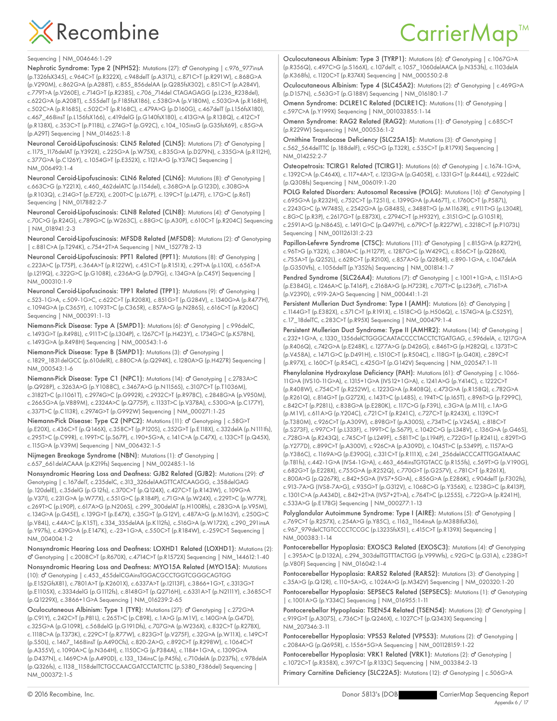### CarrierMap<sup>™</sup>

Sequencing | NM\_004646:1-29

Nephrotic Syndrome: Type 2 (NPHS2): Mutations (27): o<sup>n</sup> Genotyping | c.976 977insA (p.T326fsX345), c.964C>T (p.R322X), c.948delT (p.A317L), c.871C>T (p.R291W), c.868G>A (p.V290M), c.862G>A (p.A288T), c.855\_856delAA (p.Q285fsX302), c.851C>T (p.A284V), c.779T>A (p.V260E), c.714G>T (p.R238S), c.706\_714del CTAGAGAGG (p.L236\_R238del), c.622G>A (p.A208T), c.555delT (p.F185fsX186), c.538G>A (p.V180M), c.503G>A (p.R168H), c.502C>A (p.R168S), c.502C>T (p.R168C), c.479A>G (p.D160G), c.467delT (p.L156fsX180), c.467\_468insT (p.L156fsX166), c.419delG (p.G140fsX180), c.413G>A (p.R138Q), c.412C>T (p.R138X), c.353C>T (p.P118L), c.274G>T (p.G92C), c.104\_105insG (p.G35fsX69), c.85G>A (p.A29T) Sequencing | NM\_014625:1-8

Neuronal Ceroid-Lipofuscinosis: CLN5 Related (CLN5): Mutations (7): o' Genotyping | c.1175\_1176delAT (p.Y392X), c.225G>A (p.W75X), c.835G>A (p.D279N), c.335G>A (p.R112H), c.377G>A (p.C126Y), c.1054G>T (p.E352X), c.1121A>G (p.Y374C) Sequencing | NM\_006493:1-4

Neuronal Ceroid-Lipofuscinosis: CLN6 Related (CLN6): Mutations (8): O' Genotyping | c.663C>G (p.Y221X), c.460\_462delATC (p.I154del), c.368G>A (p.G123D), c.308G>A (p.R103Q), c.214G>T (p.E72X), c.200T>C (p.L67P), c.139C>T (p.L47F), c.17G>C (p.R6T) Sequencing | NM\_017882:2-7

Neuronal Ceroid-Lipofuscinosis: CLN8 Related (CLN8): Mutations (4): o' Genotyping | c.70C>G (p.R24G), c.789G>C (p.W263C), c.88G>C (p.A30P), c.610C>T (p.R204C) Sequencing | NM\_018941:2-3

Neuronal Ceroid-Lipofuscinosis: MFSD8 Related (MFSD8): Mutations (2): O' Genotyping | c.881C>A (p.T294K), c.754+2T>A Sequencing | NM\_152778:2-13

Neuronal Ceroid-Lipofuscinosis: PPT1 Related (PPT1): Mutations (8): o' Genotyping | c.223A>C (p.T75P), c.364A>T (p.R122W), c.451C>T (p.R151X), c.29T>A (p.L10X), c.656T>A (p.L219Q), c.322G>C (p.G108R), c.236A>G (p.D79G), c.134G>A (p.C45Y) Sequencing | NM\_000310:1-9

Neuronal Ceroid-Lipofuscinosis: TPP1 Related (TPP1): Mutations (9): o<sup>n</sup> Genotyping | c.523-1G>A, c.509-1G>C, c.622C>T (p.R208X), c.851G>T (p.G284V), c.1340G>A (p.R477H), c.1094G>A (p.C365Y), c.1093T>C (p.C365R), c.857A>G (p.N286S), c.616C>T (p.R206C) Sequencing | NM\_000391:1-13

Niemann-Pick Disease: Type A (SMPD1): Mutations (6): o' Genotyping | c.996delC, c.1493G>T (p.R498L), c.911T>C (p.L304P), c.1267C>T (p.H423Y), c.1734G>C (p.K578N), c.1493G>A (p.R498H) Sequencing | NM\_000543:1-6

Niemann-Pick Disease: Type B (SMPD1): Mutations (3): o' Genotyping | c.1829\_1831delGCC (p.610delR), c.880C>A (p.Q294K), c.1280A>G (p.H427R) Sequencing | NM\_000543:1-6

Niemann-Pick Disease: Type C1 (NPC1): Mutations (14): o' Genotyping | c.2783A>C (p.Q928P), c.3263A>G (p.Y1088C), c.3467A>G (p.N1156S), c.3107C>T (p.T1036M), c.3182T>C (p.I1061T), c.2974G>C (p.G992R), c.2932C>T (p.R978C), c.2848G>A (p.V950M), c.2665G>A (p.V889M), c.2324A>C (p.Q775P), c.1133T>C (p.V378A), c.530G>A (p.C177Y), c.337T>C (p.C113R), c.2974G>T (p.G992W) Sequencing | NM\_000271:1-25

Niemann-Pick Disease: Type C2 (NPC2): Mutations (11): o' Genotyping | c.58G>T (p.E20X), c.436C>T (p.Q146X), c.358C>T (p.P120S), c.352G>T (p.E118X), c.332delA (p.N111Ifs), c.295T>C (p.C99R), c.199T>C (p.S67P), c.190+5G>A, c.141C>A (p.C47X), c.133C>T (p.Q45X), c.115G>A (p.V39M) Sequencing | NM\_006432:1-5

Nijmegen Breakage Syndrome (NBN): Mutations (1): O' Genotyping | c.657\_661delACAAA (p.K219fs) Sequencing | NM\_002485:1-16

Nonsyndromic Hearing Loss and Deafness: GJB2 Related (GJB2): Mutations (29): ♂ Genotyping | c.167delT, c.235delC, c.313\_326delAAGTTCATCAAGGG, c.358delGAG (p.120delE), c.35delG (p.G12fs), c.370C>T (p.Q124X), c.427C>T (p.R143W), c.109G>A (p.V37I), c.231G>A (p.W77X), c.551G>C (p.R184P), c.71G>A (p.W24X), c.229T>C (p.W77R), c.269T>C (p.L90P), c.617A>G (p.N206S), c.299\_300delAT (p.H100Rfs), c.283G>A (p.V95M), c.134G>A (p.G45E), c.139G>T (p.E47X), c.35G>T (p.G12V), c.487A>G (p.M163V), c.250G>C (p.V84L), c.44A>C (p.K15T), c.334\_335delAA (p.K112fs), c.516G>A (p.W172X), c.290\_291insA (p.Y97fs), c.439G>A (p.E147K), c.-23+1G>A, c.550C>T (p.R184W), c.-259C>T Sequencing | NM\_004004:1-2

Nonsyndromic Hearing Loss and Deafness: LOXHD1 Related (LOXHD1): Mutations (2): ♂ Genotyping | c.2008C>T (p.R670X), c.4714C>T (p.R1572X) Sequencing | NM\_144612:1-40

Nonsyndromic Hearing Loss and Deafness: MYO15A Related (MYO15A): Mutations (10):  $\sigma$ <sup>7</sup> Genotyping | c.453\_455delCGAinsTGGACGCCTGGTCGGCAGTGG (p.E152GfsX81), c.7801A>T (p.K2601X), c.6337A>T (p.I2113F), c.3866+1G>T, c.3313G>T (p.E1105X), c.3334delG (p.G1112fs), c.8148G>T (p.Q2716H), c.6331A>T (p.N2111Y), c.3685C>T (p.Q1229X), c.3866+1G>A Sequencing | NM\_016239:2-65

Oculocutaneous Albinism: Type 1 (TYR): Mutations (27): o' Genotyping | c.272G>A (p.C91Y), c.242C>T (p.P81L), c.265T>C (p.C89R), c.1A>G (p.M1V), c.140G>A (p.G47D), c.325G>A (p.G109R), c.568delG (p.G191Dfs), c.707G>A (p.W236X), c.832C>T (p.R278X), c.1118C>A (p.T373K), c.229C>T (p.R77W), c.823G>T (p.V275F), c.32G>A (p.W11X), c.149C>T (p.S50L), c.1467\_1468insT (p.A490Cfs), c.820-2A>G, c.892C>T (p.R298W), c.1064C>T (p.A355V), c.1090A>C (p.N364H), c.1150C>G (p.P384A), c.1184+1G>A, c.1309G>A (p.D437N), c.1469C>A (p.A490D), c.133\_134insC (p.P45fs), c.710delA (p.D237fs), c.978delA (p.Q326fs), c.1138\_1158delTCTGCCAACGATCCTATCTTC (p.S380\_F386del) Sequencing | NM\_000372:1-5

Oculocutaneous Albinism: Type 3 (TYRP1): Mutations (6): o' Genotyping | c.1067G>A (p.R356Q), c.497C>G (p.S166X), c.107delT, c.1057\_1060delAACA (p.N353fs), c.1103delA (p.K368fs), c.1120C>T (p.R374X) Sequencing | NM\_000550:2-8

Oculocutaneous Albinism: Type 4 (SLC45A2): Mutations (2): o' Genotyping | c.469G>A (p.D157N), c.563G>T (p.G188V) Sequencing | NM\_016180:1-7

Omenn Syndrome: DCLRE1C Related (DCLRE1C): Mutations (1): o' Genotyping | c.597C>A (p.Y199X) Sequencing | NM\_001033855:1-14

Omenn Syndrome: RAG2 Related (RAG2): Mutations (1): O' Genotyping | c.685C>T (p.R229W) Sequencing | NM\_000536:1-2

Ornithine Translocase Deficiency (SLC25A15): Mutations (3): o" Genotyping | c.562\_564delTTC (p.188delF), c.95C>G (p.T32R), c.535C>T (p.R179X) Sequencing | NM\_014252:2-7

Osteopetrosis: TCIRG1 Related (TCIRG1): Mutations (6): O' Genotyping | c.1674-1G>A, c.1392C>A (p.C464X), c.117+4A>T, c.1213G>A (p.G405R), c.1331G>T (p.R444L), c.922delC (p.Q308fs) Sequencing | NM\_006019:1-20

POLG Related Disorders: Autosomal Recessive (POLG): Mutations (16): o' Genotyping | c.695G>A (p.R232H), c.752C>T (p.T251I), c.1399G>A (p.A467T), c.1760C>T (p.P587L), c.2243G>C (p.W748S), c.2542G>A (p.G848S), c.3488T>G (p.M1163R), c.911T>G (p.L304R), c.8G>C (p.R3P), c.2617G>T (p.E873X), c.2794C>T (p.H932Y), c.3151G>C (p.G1051R), c.2591A>G (p.N864S), c.1491G>C (p.Q497H), c.679C>T (p.R227W), c.3218C>T (p.P1073L) Sequencing | NM\_001126131:2-23

Papillon-Lefevre Syndrome (CTSC): Mutations (11): O' Genotyping | c.815G>A (p.R272H), c.96T>G (p.Y32X), c.380A>C (p.H127P), c.1287G>C (p.W429C), c.856C>T (p.Q286X), c.755A>T (p.Q252L), c.628C>T (p.R210X), c.857A>G (p.Q286R), c.890-1G>A, c.1047delA (p.G350Vfs), c.1056delT (p.Y352fs) Sequencing | NM\_001814:1-7

Pendred Syndrome (SLC26A4): Mutations (7): O' Genotyping | c.1001+1G>A, c.1151A>G (p.E384G), c.1246A>C (p.T416P), c.2168A>G (p.H723R), c.707T>C (p.L236P), c.716T>A (p.V239D), c.919-2A>G Sequencing | NM\_000441:1-21

Persistent Mullerian Duct Syndrome: Type I (AMH): Mutations (6): o<sup>n</sup> Genotyping | c.1144G>T (p.E382X), c.571C>T (p.R191X), c.1518C>G (p.H506Q), c.1574G>A (p.C525Y), c.17\_18delTC, c.283C>T (p.R95X) Sequencing | NM\_000479:1-4

Persistent Mullerian Duct Syndrome: Type II (AMHR2): Mutations (14): O' Genotyping | c.232+1G>A, c.1330\_1356delCTGGGCAATACCCCTACCTCTGATGAG, c.596delA, c.1217G>A (p.R406Q), c.742G>A (p.E248K), c.1277A>G (p.D426G), c.846T>G (p.H282Q), c.1373T>C (p.V458A), c.1471G>C (p.D491H), c.1510C>T (p.R504C), c.118G>T (p.G40X), c.289C>T (p.R97X), c.160C>T (p.R54C), c.425G>T (p.G142V) Sequencing | NM\_020547:1-11

Phenylalanine Hydroxylase Deficiency (PAH): Mutations (61): O' Genotyping | c.1066-11G>A (IVS10-11G>A), c.1315+1G>A (IVS12+1G>A), c.1241A>G (p.Y414C), c.1222C>T (p.R408W), c.754C>T (p.R252W), c.1223G>A (p.R408Q), c.473G>A (p.R158Q), c.782G>A (p.R261Q), c.814G>T (p.G272X), c.143T>C (p.L48S), c.194T>C (p.I65T), c.896T>G (p.F299C), c.842C>T (p.P281L), c.838G>A (p.E280K), c.117C>G (p.F39L), c.3G>A (p.M1I), c.1A>G (p.M1V), c.611A>G (p.Y204C), c.721C>T (p.R241C), c.727C>T (p.R243X), c.1139C>T (p.T380M), c.926C>T (p.A309V), c.898G>T (p.A300S), c.734T>C (p.V245A), c.818C>T (p.S273F), c.997C>T (p.L333F), c.199T>C (p.S67P), c.1042C>G (p.L348V), c.136G>A (p.G46S), c.728G>A (p.R243Q), c.745C>T (p.L249F), c.581T>C (p.L194P), c.722G>T (p.R241L), c.829T>G (p.Y277D), c.899C>T (p.A300V), c.926C>A (p.A309D), c.1045T>C (p.S349P), c.1157A>G (p.Y386C), c.1169A>G (p.E390G), c.331C>T (p.R111X), c.241\_256delACCCATTTGGATAAAC (p.T81fs), c.442-1G>A (IVS4-1G>A), c.463\_464insTGTGTACC (p.R155fs), c.569T>G (p.V190G), c.682G>T (p.E228X), c.755G>A (p.R252Q), c.770G>T (p.G257V), c.781C>T (p.R261X), c.800A>G (p.Q267R), c.842+5G>A (IVS7+5G>A), c.856G>A (p.E286K), c.904delT (p.F302fs), c.913-7A>G (IVS8-7A>G), c.935G>T (p.G312V), c.1068C>G (p.Y356X), c.1238G>C (p.R413P), c.1301C>A (p.A434D), c.842+2T>A (IVS7+2T>A), c.764T>C (p.L255S), c.722G>A (p.R241H), c.533A>G (p.E178G) Sequencing | NM\_000277:1-13

Polyglandular Autoimmune Syndrome: Type I (AIRE): Mutations (5): O' Genotyping | c.769C>T (p.R257X), c.254A>G (p.Y85C), c.1163\_1164insA (p.M388IfsX36), c.967\_979delCTGTCCCCTCCGC (p.L323SfsX51), c.415C>T (p.R139X) Sequencing | NM\_000383:1-14

Pontocerebellar Hypoplasia: EXOSC3 Related (EXOSC3): Mutations (4): o' Genotyping | c.395A>C (p.D132A), c.294\_303delTGTTTACTGG (p.V99Wfs), c.92G>C (p.G31A), c.238G>T (p.V80F) Sequencing | NM\_016042:1-4

Pontocerebellar Hypoplasia: RARS2 Related (RARS2): Mutations (3): o' Genotyping | c.35A>G (p.Q12R), c.110+5A>G, c.1024A>G (p.M342V) Sequencing | NM\_020320:1-20 Pontocerebellar Hypoplasia: SEPSECS Related (SEPSECS): Mutations (1): o' Genotyping | c.1001A>G (p.Y334C) Sequencing | NM\_016955:1-11

Pontocerebellar Hypoplasia: TSEN54 Related (TSEN54): Mutations (3): O' Genotyping | c.919G>T (p.A307S), c.736C>T (p.Q246X), c.1027C>T (p.Q343X) Sequencing | NM\_207346:3-11

Pontocerebellar Hypoplasia: VPS53 Related (VPS53): Mutations (2): o' Genotyping | c.2084A>G (p.Q695R), c.1556+5G>A Sequencing | NM\_001128159:1-22

Pontocerebellar Hypoplasia: VRK1 Related (VRK1): Mutations (2): d' Genotyping | c.1072C>T (p.R358X), c.397C>T (p.R133C) Sequencing | NM\_003384:2-13

Primary Carnitine Deficiency (SLC22A5): Mutations (12): o' Genotyping | c.506G>A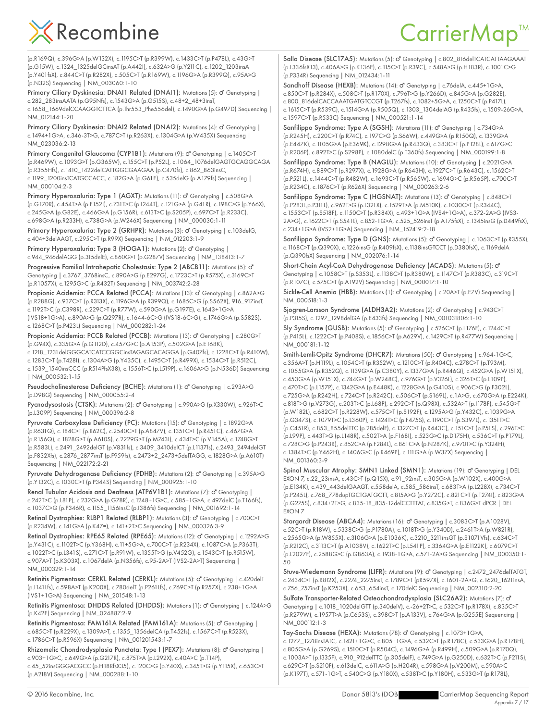(p.R169Q), c.396G>A (p.W132X), c.1195C>T (p.R399W), c.1433C>T (p.P478L), c.43G>T (p.G15W), c.1324\_1325delGCinsAT (p.A442I), c.632A>G (p.Y211C), c.1202\_1203insA (p.Y401fsX), c.844C>T (p.R282X), c.505C>T (p.R169W), c.1196G>A (p.R399Q), c.95A>G (p.N32S) Sequencing | NM\_003060:1-10

Primary Ciliary Dyskinesia: DNAI1 Related (DNAI1): Mutations (5): O' Genotyping | c.282\_283insAATA (p.G95Nfs), c.1543G>A (p.G515S), c.48+2\_48+3insT, c.1658\_1669delCCAAGGTCTTCA (p.Thr553\_Phe556del), c.1490G>A (p.G497D) Sequencing | NM\_012144:1-20

Primary Ciliary Dyskinesia: DNAI2 Related (DNAI2): Mutations (4): o' Genotyping | c.1494+1G>A, c.346-3T>G, c.787C>T (p.R263X), c.1304G>A (p.W435X) Sequencing | NM\_023036:2-13

Primary Congenital Glaucoma (CYP1B1): Mutations (9): o' Genotyping | c.1405C>T (p.R469W), c.1093G>T (p.G365W), c.155C>T (p.P52L), c.1064\_1076delGAGTGCAGGCAGA (p.R355Hfs), c.1410\_1422delCATTGGCGAAGAA (p.C470fs), c.862\_863insC, c.1199\_1200insTCATGCCACC, c.182G>A (p.G61E), c.535delG (p.A179fs) Sequencing | NM\_000104:2-3

Primary Hyperoxaluria: Type 1 (AGXT): Mutations (11): o' Genotyping | c.508G>A (p.G170R), c.454T>A (p.F152I), c.731T>C (p.I244T), c.121G>A (p.G41R), c.198C>G (p.Y66X), c.245G>A (p.G82E), c.466G>A (p.G156R), c.613T>C (p.S205P), c.697C>T (p.R233C), c.698G>A (p.R233H), c.738G>A (p.W246X) Sequencing | NM\_000030:1-11

Primary Hyperoxaluria: Type 2 (GRHPR): Mutations (3): o' Genotyping | c.103delG, c.404+3delAAGT, c.295C>T (p.R99X) Sequencing | NM\_012203:1-9

Primary Hyperoxaluria: Type 3 (HOGA1): Mutations (2): o' Genotyping | c.944\_946delAGG (p.315delE), c.860G>T (p.G287V) Sequencing | NM\_138413:1-7 Progressive Familial Intrahepatic Cholestasis: Type 2 (ABCB11): Mutations (5): o<sup>n</sup> Genotyping | c.3767\_3768insC, c.890A>G (p.E297G), c.1723C>T (p.R575X), c.3169C>T (p.R1057X), c.1295G>C (p.R432T) Sequencing | NM\_003742:2-28

Propionic Acidemia: PCCA Related (PCCA): Mutations (13): O' Genotyping | c.862A>G (p.R288G), c.937C>T (p.R313X), c.1196G>A (p.R399Q), c.1685C>G (p.S562X), 916\_917insT, c.1192T>C (p.C398R), c.229C>T (p.R77W), c.590G>A (p.G197E), c.1643+1G>A (IVS18+1G>A), c.890A>G (p.Q297R), c.1644-6C>G (IVS18-6C>G), c.1746G>A (p.S582S), c.1268C>T (p.P423L) Sequencing | NM\_000282:1-24

Propionic Acidemia: PCCB Related (PCCB): Mutations (13): o' Genotyping | c.280G>T (p.G94X), c.335G>A (p.G112D), c.457G>C (p.A153P), c.502G>A (p.E168K), c.1218\_1231delGGGCATCATCCGGCinsTAGAGCACAGGA (p.G407fs), c.1228C>T (p.R410W), c.1283C>T (p.T428I), c.1304A>G (p.Y435C), c.1495C>T (p.R499X), c.1534C>T (p.R512C), c.1539\_1540insCCC (p.R514PfsX38), c.1556T>C (p.L519P), c.1606A>G (p.N536D) Sequencing | NM\_000532:1-15

Pseudocholinesterase Deficiency (BCHE): Mutations (1): o' Genotyping | c.293A>G (p.D98G) Sequencing | NM\_000055:2-4

Pycnodysostosis (CTSK): Mutations (2): o<sup>n</sup> Genotyping | c.990A>G (p.X330W), c.926T>C (p.L309P) Sequencing | NM\_000396:2-8

Pyruvate Carboxylase Deficiency (PC): Mutations (15): O' Genotyping | c.1892G>A (p.R631Q), c.184C>T (p.R62C), c.2540C>T (p.A847V), c.1351C>T (p.R451C), c.467G>A (p.R156Q), c.1828G>T (p.A610S), c.2229G>T (p.M743I), c.434T>C (p.V145A), c.1748G>T (p.R583L), c.2491\_2492delGT (p.V831fs), c.3409\_3410delCT (p.L1137fs), c.2493\_2494delGT (p.F832Xfs), c.2876\_2877insT (p.F959fs), c.2473+2\_2473+5delTAGG, c.1828G>A (p.A610T) Sequencing | NM\_022172:2-21

Pyruvate Dehydrogenase Deficiency (PDHB): Mutations (2): o' Genotyping | c.395A>G (p.Y132C), c.1030C>T (p.P344S) Sequencing | NM\_000925:1-10

Renal Tubular Acidosis and Deafness (ATP6V1B1): Mutations (7): O' Genotyping | c.242T>C (p.L81P), c.232G>A (p.G78R), c.1248+1G>C, c.585+1G>A, c.497delC (p.T166fs), c.1037C>G (p.P346R), c.1155\_1156insC (p.I386fs) Sequencing | NM\_001692:1-14

Retinal Dystrophies: RLBP1 Related (RLBP1): Mutations (3): O' Genotyping | c.700C>T (p.R234W), c.141G>A (p.K47=), c.141+2T>C Sequencing | NM\_000326:3-9

Retinal Dystrophies: RPE65 Related (RPE65): Mutations (12): d' Genotyping | c.1292A>G (p.Y431C), c.1102T>C (p.Y368H), c.11+5G>A, c.700C>T (p.R234X), c.1087C>A (p.P363T), c.1022T>C (p.L341S), c.271C>T (p.R91W), c.1355T>G (p.V452G), c.1543C>T (p.R515W), c.907A>T (p.K303X), c.1067delA (p.N356fs), c.95-2A>T (IVS2-2A>T) Sequencing | NM\_000329:1-14

Retinitis Pigmentosa: CERKL Related (CERKL): Mutations (5): O' Genotyping | c.420delT (p.I141Lfs), c.598A>T (p.K200X), c.780delT (p.P261Lfs), c.769C>T (p.R257X), c.238+1G>A (IVS1+1G>A) Sequencing | NM\_201548:1-13

Retinitis Pigmentosa: DHDDS Related (DHDDS): Mutations (1): O' Genotyping | c.124A>G (p.K42E) Sequencing | NM\_024887:2-9

Retinitis Pigmentosa: FAM161A Related (FAM161A): Mutations (5): O' Genotyping | c.685C>T (p.R229X), c.1309A>T, c.1355\_1356delCA (p.T452fs), c.1567C>T (p.R523X), c.1786C>T (p.R596X) Sequencing | NM\_001201543:1-7

Rhizomelic Chondrodysplasia Punctata: Type I (PEX7): Mutations (8): o' Genotyping | c.903+1G>C, c.649G>A (p.G217R), c.875T>A (p.L292X), c.40A>C (p.T14P), c.45\_52insGGGACGCC (p.H18RfsX35), c.120C>G (p.Y40X), c.345T>G (p.Y115X), c.653C>T (p.A218V) Sequencing | NM\_000288:1-10

Salla Disease (SLC17A5): Mutations (5): o<sup>n</sup> Genotyping | c.802\_816delTCATCATTAAGAAAT (p.L336fsX13), c.406A>G (p.K136E), c.115C>T (p.R39C), c.548A>G (p.H183R), c.1001C>G (p.P334R) Sequencing | NM\_012434:1-11

Sandhoff Disease (HEXB): Mutations (14): O' Genotyping | c.76delA, c.445+1G>A, c.850C>T (p.R284X), c.508C>T (p.R170X), c.796T>G (p.Y266D), c.845G>A (p.G282E), c.800\_816delCACCAAATGATGTCCGT (p.T267fs), c.1082+5G>A, c.1250C>T (p.P417L), c.1615C>T (p.R539C), c.1514G>A (p.R505Q), c.1303\_1304delAG (p.R435fs), c.1509-26G>A, c.1597C>T (p.R533C) Sequencing | NM\_000521:1-14

Sanfilippo Syndrome: Type A (SGSH): Mutations (11): O' Genotyping | c.734G>A (p.R245H), c.220C>T (p.R74C), c.197C>G (p.S66W), c.449G>A (p.R150Q), c.1339G>A (p.E447K), c.1105G>A (p.E369K), c.1298G>A (p.R433Q), c.383C>T (p.P128L), c.617G>C (p.R206P), c.892T>C (p.S298P), c.1080delC (p.T360fs) Sequencing | NM\_000199:1-8

Sanfilippo Syndrome: Type B (NAGLU): Mutations (10): o' Genotyping | c.2021G>A (p.R674H), c.889C>T (p.R297X), c.1928G>A (p.R643H), c.1927C>T (p.R643C), c.1562C>T (p.P521L), c.1444C>T (p.R482W), c.1693C>T (p.R565W), c.1694G>C (p.R565P), c.700C>T (p.R234C), c.1876C>T (p.R626X) Sequencing | NM\_000263:2-6

Sanfilippo Syndrome: Type C (HGSNAT): Mutations (13): o' Genotyping | c.848C>T (p.P283L,p.P311L), c.962T>G (p.L321X), c.1529T>A (p.M510K), c.1030C>T (p.R344C), c.1553C>T (p.S518F), c.1150C>T (p.R384X), c.493+1G>A (IVS4+1G>A), c.372-2A>G (IVS3- 2A>G), c.1622C>T (p.S541L), c.852-1G>A, c.525\_526insT (p.A175fsX), c.1345insG (p.D449fsX), c.234+1G>A (IVS2+1G>A) Sequencing | NM\_152419:2-18

Sanfilippo Syndrome: Type D (GNS): Mutations (5): o' Genotyping | c.1063C>T (p.R355X), c.1168C>T (p.Q390X), c.1226insG (p.R409fsX), c.1138insGTCCT (p.D380fsX), c.1169delA (p.Q390fsX) Sequencing | NM\_002076:1-14

Short-Chain Acyl-CoA Dehydrogenase Deficiency (ACADS): Mutations (5): o' Genotyping | c.1058C>T (p.S353L), c.1138C>T (p.R380W), c.1147C>T (p.R383C), c.319C>T (p.R107C), c.575C>T (p.A192V) Sequencing | NM\_000017:1-10

Sickle-Cell Anemia (HBB): Mutations (1): O' Genotyping | c.20A>T (p.E7V) Sequencing | NM\_000518:1-3

Sjogren-Larsson Syndrome (ALDH3A2): Mutations (2): o' Genotyping | c.943C>T (p.P315S), c.1297\_1298delGA (p.E433fs) Sequencing | NM\_001031806:1-10

Sly Syndrome (GUSB): Mutations (5): O' Genotyping | c.526C>T (p.L176F), c.1244C>T (p.P415L), c.1222C>T (p.P408S), c.1856C>T (p.A629V), c.1429C>T (p.R477W) Sequencing | NM\_000181:1-12

Smith-Lemli-Opitz Syndrome (DHCR7): Mutations (50): o' Genotyping | c.964-1G>C, c.356A>T (p.H119L), c.1054C>T (p.R352W), c.1210C>T (p.R404C), c.278C>T (p.T93M), c.1055G>A (p.R352Q), c.1139G>A (p.C380Y), c.1337G>A (p.R446Q), c.452G>A (p.W151X), c.453G>A (p.W151X), c.744G>T (p.W248C), c.976G>T (p.V326L), c.326T>C (p.L109P), c.470T>C (p.L157P), c.1342G>A (p.E448K), c.1228G>A (p.G410S), c.906C>G (p.F302L), c.725G>A (p.R242H), c.724C>T (p.R242C), c.506C>T (p.S169L), c.1A>G, c.670G>A (p.E224K), c.818T>G (p.V273G), c.203T>C (p.L68P), c.292C>T (p.Q98X), c.532A>T (p.I178F), c.545G>T (p.W182L), c.682C>T (p.R228W), c.575C>T (p.S192F), c.1295A>G (p.Y432C), c.1039G>A (p.G347S), c.1079T>C (p.L360P), c.1424T>C (p.F475S), c.1190C>T (p.S397L), c.1351T>C (p.C451R), c.853\_855delTTC (p.285delF), c.1327C>T (p.R443C), c.151C>T (p.P51S), c.296T>C (p.L99P), c.443T>G (p.L148R), c.502T>A (p.F168I), c.523G>C (p.D175H), c.536C>T (p.P179L), c.728C>G (p.P243R), c.852C>A (p.F284L), c.861C>A (p.N287K), c.970T>C (p.Y324H), c.1384T>C (p.Y462H), c.1406G>C (p.R469P), c.111G>A (p.W37X) Sequencing | NM\_001360:3-9

Spinal Muscular Atrophy: SMN1 Linked (SMN1): Mutations (19): o' Genotyping | DEL EXON 7, c.22\_23insA, c.43C>T (p.Q15X), c.91\_92insT, c.305G>A (p.W102X), c.400G>A (p.E134K), c.439\_443delGAAGT, c.558delA, c.585\_586insT, c.683T>A (p.L228X), c.734C>T (p.P245L), c.768\_778dupTGCTGATGCTT, c.815A>G (p.Y272C), c.821C>T (p.T274I), c.823G>A (p.G275S), c.834+2T>G, c.835-18\_835-12delCCTTTAT, c.835G>T, c.836G>T dPCR | DEL EXON 7

Stargardt Disease (ABCA4): Mutations (16): O' Genotyping | c.3083C>T (p.A1028V), c.52C>T (p.R18W), c.5338C>G (p.P1780A), c.1018T>G (p.Y340D), c.2461T>A (p.W821R), c.2565G>A (p.W855X), c.3106G>A (p.E1036K), c.3210\_3211insGT (p.S1071Vfs), c.634C>T (p.R212C), c.3113C>T (p.A1038V), c.1622T>C (p.L541P), c.3364G>A (p.E1122K), c.6079C>T (p.L2027F), c.2588G>C (p.G863A), c.1938-1G>A, c.571-2A>G Sequencing | NM\_000350:1- 50

Stuve-Wiedemann Syndrome (LIFR): Mutations (9): o' Genotyping | c.2472\_2476delTATGT, c.2434C>T (p.R812X), c.2274\_2275insT, c.1789C>T (pR597X), c.1601-2A>G, c.1620\_1621insA, c.756\_757insT (p.K253X), c.653\_654insT, c.170delC Sequencing | NM\_002310:2-20

Sulfate Transporter-Related Osteochondrodysplasia (SLC26A2): Mutations (7): ♂ Genotyping | c.1018\_1020delGTT (p.340delV), c.-26+2T>C, c.532C>T (p.R178X), c.835C>T (p.R279W), c.1957T>A (p.C653S), c.398C>T (p.A133V), c.764G>A (p.G255E) Sequencing | NM\_000112:1-3

Tay-Sachs Disease (HEXA): Mutations (78): d' Genotyping | c.1073+1G>A, c.1277\_1278insTATC, c.1421+1G>C, c.805+1G>A, c.532C>T (p.R178C), c.533G>A (p.R178H), c.805G>A (p.G269S), c.1510C>T (p.R504C), c.1496G>A (p.R499H), c.509G>A (p.R170Q), c.1003A>T (p.I335F), c.910\_912delTTC (p.305delF), c.749G>A (p.G250D), c.632T>C (p.F211S), c.629C>T (p.S210F), c.613delC, c.611A>G (p.H204R), c.598G>A (p.V200M), c.590A>C (p.K197T), c.571-1G>T, c.540C>G (p.Y180X), c.538T>C (p.Y180H), c.533G>T (p.R178L),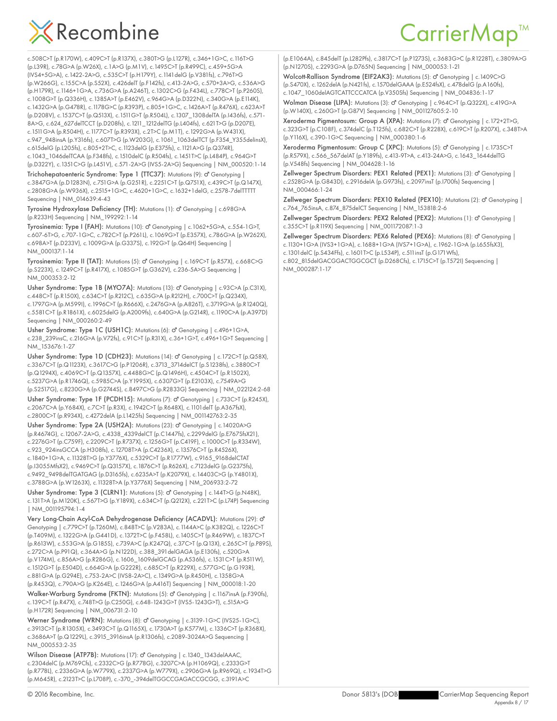

#### CarrierMap<sup>™</sup>

c.508C>T (p.R170W), c.409C>T (p.R137X), c.380T>G (p.L127R), c.346+1G>C, c.116T>G (p.L39R), c.78G>A (p.W26X), c.1A>G (p.M1V), c.1495C>T (p.R499C), c.459+5G>A (IVS4+5G>A), c.1422-2A>G, c.535C>T (p.H179Y), c.1141delG (p.V381fs), c.796T>G (p.W266G), c.155C>A (p.S52X), c.426delT (p.F142fs), c.413-2A>G, c.570+3A>G, c.536A>G (p.H179R), c.1146+1G>A, c.736G>A (p.A246T), c.1302C>G (p.F434L), c.778C>T (p.P260S), c.1008G>T (p.Q336H), c.1385A>T (p.E462V), c.964G>A (p.D322N), c.340G>A (p.E114K), c.1432G>A (p.G478R), c.1178G>C (p.R393P), c.805+1G>C, c.1426A>T (p.R476X), c.623A>T (p.D208V), c.1537C>T (p.Q513X), c.1511G>T (p.R504L), c.1307\_1308delTA (p.I436fs), c.571- 8A>G, c.624\_627delTCCT (p.D208fs), c.1211\_1212delTG (p.L404fs), c.621T>G (p.D207E), c.1511G>A (p.R504H), c.1177C>T (p.R393X), c.2T>C (p.M1T), c.1292G>A (p.W431X), c.947\_948insA (p.Y316fs), c.607T>G (p.W203G), c.1061\_1063delTCT (p.F354\_Y355delinsX), c.615delG (p.L205fs), c.805+2T>C, c.1123delG (p.E375fs), c.1121A>G (p.Q374R), c.1043\_1046delTCAA (p.F348fs), c.1510delC (p.R504fs), c.1451T>C (p.L484P), c.964G>T (p.D322Y), c.1351C>G (p.L451V), c.571-2A>G (IVS5-2A>G) Sequencing | NM\_000520:1-14

Trichohepatoenteric Syndrome: Type 1 (TTC37): Mutations (9): o' Genotyping | c.3847G>A (p.D1283N), c.751G>A (p.G251R), c.2251C>T (p.Q751X), c.439C>T (p.Q147X), c.2808G>A (p.W936X), c.2515+1G>C, c.4620+1G>C, c.1632+1delG, c.2578-7delTTTTT Sequencing | NM\_014639:4-43

Tyrosine Hydroxylase Deficiency (TH): Mutations (1): O' Genotyping | c.698G>A (p.R233H) Sequencing | NM\_199292:1-14

Tyrosinemia: Type I (FAH): Mutations (10): o' Genotyping | c.1062+5G>A, c.554-1G>T, c.607-6T>G, c.707-1G>C, c.782C>T (p.P261L), c.1069G>T (p.E357X), c.786G>A (p.W262X), c.698A>T (p.D233V), c.1009G>A (p.G337S), c.192G>T (p.Q64H) Sequencing | NM\_000137:1-14

Tyrosinemia: Type II (TAT): Mutations (5): o' Genotyping | c.169C>T (p.R57X), c.668C>G (p.S223X), c.1249C>T (p.R417X), c.1085G>T (p.G362V), c.236-5A>G Sequencing | NM\_000353:2-12

Usher Syndrome: Type 1B (MYO7A): Mutations (13): O' Genotyping | c.93C>A (p.C31X), c.448C>T (p.R150X), c.634C>T (p.R212C), c.635G>A (p.R212H), c.700C>T (p.Q234X), c.1797G>A (p.M599I), c.1996C>T (p.R666X), c.2476G>A (p.A826T), c.3719G>A (p.R1240Q), c.5581C>T (p.R1861X), c.6025delG (p.A2009fs), c.640G>A (p.G214R), c.1190C>A (p.A397D) Sequencing | NM\_000260:2-49

Usher Syndrome: Type 1C (USH1C): Mutations (6): O' Genotyping | c.496+1G>A, c.238\_239insC, c.216G>A (p.V72fs), c.91C>T (p.R31X), c.36+1G>T, c.496+1G>T Sequencing | NM\_153676:1-27

Usher Syndrome: Type 1D (CDH23): Mutations (14): o' Genotyping | c.172C>T (p.Q58X), c.3367C>T (p.Q1123X), c.3617C>G (p.P1206R), c.3713\_3714delCT (p.S1238fs), c.3880C>T (p.Q1294X), c.4069C>T (p.Q1357X), c.4488G>C (p.Q1496H), c.4504C>T (p.R1502X), c.5237G>A (p.R1746Q), c.5985C>A (p.Y1995X), c.6307G>T (p.E2103X), c.7549A>G (p.S2517G), c.8230G>A (p.G2744S), c.8497C>G (p.R2833G) Sequencing | NM\_022124:2-68

Usher Syndrome: Type 1F (PCDH15): Mutations (7): o' Genotyping | c.733C>T (p.R245X), c.2067C>A (p.Y684X), c.7C>T (p.R3X), c.1942C>T (p.R648X), c.1101delT (p.A367fsX), c.2800C>T (p.R934X), c.4272delA (p.L1425fs) Sequencing | NM\_001142763:2-35

Usher Syndrome: Type 2A (USH2A): Mutations (23): o' Genotyping | c.14020A>G (p.R4674G), c.12067-2A>G, c.4338\_4339delCT (p.C1447fs), c.2299delG (p.E767SfsX21), c.2276G>T (p.C759F), c.2209C>T (p.R737X), c.1256G>T (p.C419F), c.1000C>T (p.R334W), c.923\_924insGCCA (p.H308fs), c.12708T>A (p.C4236X), c.13576C>T (p.R4526X), c.1840+1G>A, c.11328T>G (p.Y3776X), c.5329C>T (p.R1777W), c.9165\_9168delCTAT (p.I3055MfsX2), c.9469C>T (p.Q3157X), c.1876C>T (p.R626X), c.7123delG (p.G2375fs), c.9492\_9498delTGATGAG (p.D3165fs), c.6235A>T (p.K2079X), c.14403C>G (p.Y4801X), c.3788G>A (p.W1263X), c.11328T>A (p.Y3776X) Sequencing | NM\_206933:2-72

Usher Syndrome: Type 3 (CLRN1): Mutations (5): o<sup>7</sup> Genotyping | c.144T>G (p.N48K), c.131T>A (p.M120K), c.567T>G (p.Y189X), c.634C>T (p.Q212X), c.221T>C (p.L74P) Sequencing | NM\_001195794:1-4

Very Long-Chain Acyl-CoA Dehydrogenase Deficiency (ACADVL): Mutations (29): ♂ Genotyping | c.779C>T (p.T260M), c.848T>C (p.V283A), c.1144A>C (p.K382Q), c.1226C>T (p.T409M), c.1322G>A (p.G441D), c.1372T>C (p.F458L), c.1405C>T (p.R469W), c.1837C>T (p.R613W), c.553G>A (p.G185S), c.739A>C (p.K247Q), c.37C>T (p.Q13X), c.265C>T (p.P89S), c.272C>A (p.P91Q), c.364A>G (p.N122D), c.388\_391delGAGA (p.E130fs), c.520G>A (p.V174M), c.856A>G (p.R286G), c.1606\_1609delGCAG (p.A536fs), c.1531C>T (p.R511W), c.1512G>T (p.E504D), c.664G>A (p.G222R), c.685C>T (p.R229X), c.577G>C (p.G193R), c.881G>A (p.G294E), c.753-2A>C (IVS8-2A>C), c.1349G>A (p.R450H), c.1358G>A (p.R453Q), c.790A>G (p.K264E), c.1246G>A (p.A416T) Sequencing | NM\_000018:1-20

Walker-Warburg Syndrome (FKTN): Mutations (5):  $\sigma$ <sup>7</sup> Genotyping | c.1167insA (p.F390fs), c.139C>T (p.R47X), c.748T>G (p.C250G), c.648-1243G>T (IVS5-1243G>T), c.515A>G (p.H172R) Sequencing | NM\_006731:2-10

Werner Syndrome (WRN): Mutations (8): d' Genotyping | c.3139-1G>C (IVS25-1G>C), c.3913C>T (p.R1305X), c.3493C>T (p.Q1165X), c.1730A>T (p.K577M), c.1336C>T (p.R368X), c.3686A>T (p.Q1229L), c.3915\_3916insA (p.R1306fs), c.2089-3024A>G Sequencing | NM\_000553:2-35

Wilson Disease (ATP7B): Mutations (17): o<sup>n</sup> Genotyping | c.1340\_1343delAAAC, c.2304delC (p.M769Cfs), c.2332C>G (p.R778G), c.3207C>A (p.H1069Q), c.2333G>T (p.R778L), c.2336G>A (p.W779X), c.2337G>A (p.W779X), c.2906G>A (p.R969Q), c.1934T>G (p.M645R), c.2123T>C (p.L708P), c.-370\_-394delTGGCCGAGACCGCGG, c.3191A>C

(p.E1064A), c.845delT (p.L282Pfs), c.3817C>T (p.P1273S), c.3683G>C (p.R1228T), c.3809A>G (p.N1270S), c.2293G>A (p.D765N) Sequencing | NM\_000053:1-21

Wolcott-Rallison Syndrome (EIF2AK3): Mutations (5): o' Genotyping | c.1409C>G (p.S470X), c.1262delA (p.N421fs), c.1570delGAAA (p.E524fsX), c.478delG (p.A160fs), c.1047\_1060delAGTCATTCCCATCA (p.V350Sfs) Sequencing | NM\_004836:1-17

Wolman Disease (LIPA): Mutations (3): O' Genotyping | c.964C>T (p.Q322X), c.419G>A (p.W140X), c.260G>T (p.G87V) Sequencing | NM\_001127605:2-10

Xeroderma Pigmentosum: Group A (XPA): Mutations (7): o' Genotyping | c.172+2T>G, c.323G>T (p.C108F), c.374delC (p.T125fs), c.682C>T (p.R228X), c.619C>T (p.R207X), c.348T>A (p.Y116X), c.390-1G>C Sequencing | NM\_000380:1-6

Xeroderma Pigmentosum: Group C (XPC): Mutations (5): o<sup>7</sup> Genotyping | c.1735C>T (p.R579X), c.566\_567delAT (p.Y189fs), c.413-9T>A, c.413-24A>G, c.1643\_1644delTG (p.V548fs) Sequencing | NM\_004628:1-16

Zellweger Spectrum Disorders: PEX1 Related (PEX1): Mutations (3): o' Genotyping | c.2528G>A (p.G843D), c.2916delA (p.G973fs), c.2097insT (p.I700fs) Sequencing | NM\_000466:1-24

Zellweger Spectrum Disorders: PEX10 Related (PEX10): Mutations (2): o<sup>n</sup> Genotyping | c.764\_765insA, c.874\_875delCT Sequencing | NM\_153818:2-6

Zellweger Spectrum Disorders: PEX2 Related (PEX2): Mutations (1): O' Genotyping | c.355C>T (p.R119X) Sequencing | NM\_001172087:1-3

Zellweger Spectrum Disorders: PEX6 Related (PEX6): Mutations (8): o<sup>n</sup> Genotyping | c.1130+1G>A (IVS3+1G>A), c.1688+1G>A (IVS7+1G>A), c.1962-1G>A (p.L655fsX3), c.1301delC (p.S434Ffs), c.1601T>C (p.L534P), c.511insT (p.G171Wfs),

c.802\_815delGACGGACTGGCGCT (p.D268Cfs), c.1715C>T (p.T572I) Sequencing | NM\_000287:1-17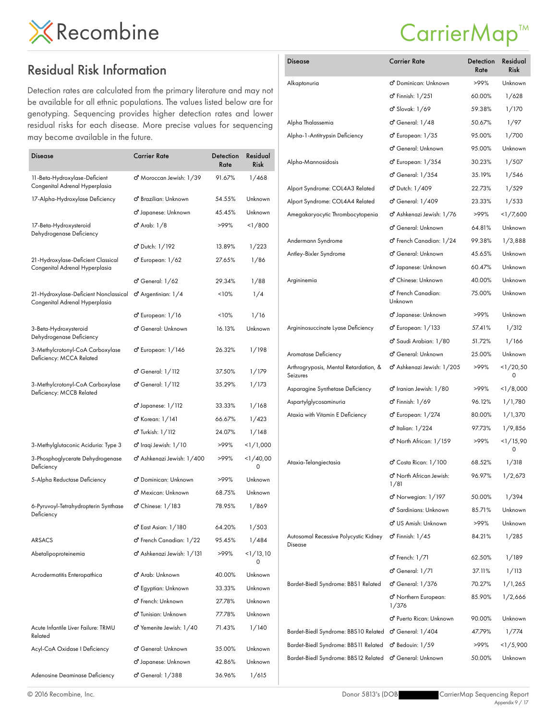#### Residual Risk Information

Detection rates are calculated from the primary literature and may not be available for all ethnic populations. The values listed below are for genotyping. Sequencing provides higher detection rates and lower residual risks for each disease. More precise values for sequencing may become available in the future.

| <b>Disease</b>                                                          | Carrier Rate                             | Detection<br>Rate | Residual<br><b>Risk</b> |
|-------------------------------------------------------------------------|------------------------------------------|-------------------|-------------------------|
| 11-Beta-Hydroxylase-Deficient<br>Congenital Adrenal Hyperplasia         | ඒ Moroccan Jewish: 1/39                  | 91.67%            | 1/468                   |
| 17-Alpha-Hydroxylase Deficiency                                         | o <sup>n</sup> Brazilian: Unknown        | 54.55%            | Unknown                 |
|                                                                         | ඒ Japanese: Unknown                      | 45.45%            | Unknown                 |
| 17-Beta-Hydroxysteroid<br>Dehydrogenase Deficiency                      | <b>්</b> Arab: 1/8                       | >99%              | 1/800                   |
|                                                                         | ඒ Dutch: 1/192                           | 13.89%            | 1/223                   |
| 21-Hydroxylase-Deficient Classical<br>Congenital Adrenal Hyperplasia    | o <sup>7</sup> European: 1/62            | 27.65%            | 1/86                    |
|                                                                         | ර General: 1/62                          | 29.34%            | 1/88                    |
| 21-Hydroxylase-Deficient Nonclassical<br>Congenital Adrenal Hyperplasia | $\sigma$ <sup>2</sup> Argentinian: $1/4$ | 10%               | 1/4                     |
|                                                                         | ර් European: 1/16                        | 10%               | 1/16                    |
| 3-Beta-Hydroxysteroid<br>Dehydrogenase Deficiency                       | <b>්</b> General: Unknown                | 16.13%            | Unknown                 |
| 3-Methylcrotonyl-CoA Carboxylase<br>Deficiency: MCCA Related            | o <sup>7</sup> European: 1/146           | 26.32%            | 1/198                   |
|                                                                         | ර General: 1/112                         | 37.50%            | 1/179                   |
| 3-Methylcrotonyl-CoA Carboxylase<br>Deficiency: MCCB Related            | ර General: 1/112                         | 35.29%            | 1/173                   |
|                                                                         | o <sup>7</sup> Japanese: 1/112           | 33.33%            | 1/168                   |
|                                                                         | ඒ Korean: 1/141                          | 66.67%            | 1/423                   |
|                                                                         | <b>්</b> Turkish: 1/112                  | 24.07%            | 1/148                   |
| 3-Methylglutaconic Aciduria: Type 3                                     | ඒ Iraqi Jewish: 1/10                     | >99%              | <1/1,000                |
| 3-Phosphoglycerate Dehydrogenase<br>Deficiency                          | o <sup>7</sup> Ashkenazi Jewish: 1/400   | >99%              | 1/40,00<br>0            |
| 5-Alpha Reductase Deficiency                                            | ඒ Dominican: Unknown                     | >99%              | Unknown                 |
|                                                                         | o <sup>7</sup> Mexican: Unknown          | 68.75%            | Unknown                 |
| 6-Pyruvoyl-Tetrahydropterin Synthase<br>Deficiency                      | ර Chinese: 1/183                         | 78.95%            | 1/869                   |
|                                                                         | ඒ East Asian: 1/180                      | 64.20%            | 1/503                   |
| <b>ARSACS</b>                                                           | o <sup>7</sup> French Canadian: 1/22     | 95.45%            | 1/484                   |
| Abetalipoproteinemia                                                    | <mark>o"</mark> Ashkenazi Jewish: 1/131  | >99%              | 1/13,10<br>0            |
| Acrodermatitis Enteropathica                                            | o <sup>7</sup> Arab: Unknown             | 40.00%            | Unknown                 |
|                                                                         | ඒ Egyptian: Unknown                      | 33.33%            | Unknown                 |
|                                                                         | ඒ French: Unknown                        | 27.78%            | Unknown                 |
|                                                                         | O' Tunisian: Unknown                     | 77.78%            | Unknown                 |
| Acute Infantile Liver Failure: TRMU<br>Related                          | o <sup>7</sup> Yemenite Jewish: 1/40     | 71.43%            | 1/140                   |
| Acyl-CoA Oxidase   Deficiency                                           | ඒ General: Unknown                       | 35.00%            | Unknown                 |
|                                                                         | O' Japanese: Unknown                     | 42.86%            | Unknown                 |
| Adenosine Deaminase Deficiency                                          | ර් General: 1/388                        | 36.96%            | 1/615                   |

#### CarrierMap<sup>™</sup>

| <b>Disease</b>                                    | <b>Carrier Rate</b>                        | Detection<br>Rate | Residual<br><b>Risk</b> |
|---------------------------------------------------|--------------------------------------------|-------------------|-------------------------|
| Alkaptonuria                                      | o <sup>n</sup> Dominican: Unknown          | >99%              | Unknown                 |
|                                                   | <b>්</b> Finnish: 1/251                    | 60.00%            | 1/628                   |
|                                                   | o' Slovak: 1/69                            | 59.38%            | 1/170                   |
| Alpha Thalassemia                                 | o <sup>7</sup> General: 1/48               | 50.67%            | 1/97                    |
| Alpha-1-Antitrypsin Deficiency                    | o <sup>7</sup> European: 1/35              | 95.00%            | 1/700                   |
|                                                   | <b>්</b> General: Unknown                  | 95.00%            | Unknown                 |
| Alpha-Mannosidosis                                | ඒ European: 1/354                          | 30.23%            | 1/507                   |
|                                                   | o <sup>7</sup> General: 1/354              | 35.19%            | 1/546                   |
| Alport Syndrome: COL4A3 Related                   | o <sup>7</sup> Dutch: 1/409                | 22.73%            | 1/529                   |
| Alport Syndrome: COL4A4 Related                   | ෆ් General: 1/409                          | 23.33%            | 1/533                   |
| Amegakaryocytic Thrombocytopenia                  | o <sup>7</sup> Ashkenazi Jewish: 1/76      | >99%              | <1/7,600                |
|                                                   | o <sup>7</sup> General: Unknown            | 64.81%            | Unknown                 |
| Andermann Syndrome                                | o <sup>7</sup> French Canadian: 1/24       | 99.38%            | 1/3,888                 |
| Antley-Bixler Syndrome                            | ඒ General: Unknown                         | 45.65%            | Unknown                 |
|                                                   | o <sup>7</sup> Japanese: Unknown           | 60.47%            | Unknown                 |
| Argininemia                                       | o <sup>n</sup> Chinese: Unknown            | 40.00%            | Unknown                 |
|                                                   | o <sup>n</sup> French Canadian:<br>Unknown | 75.00%            | Unknown                 |
|                                                   | o <sup>n</sup> Japanese: Unknown           | >99%              | Unknown                 |
| Argininosuccinate Lyase Deficiency                | $\sigma$ <sup>2</sup> European: $1/133$    | 57.41%            | 1/312                   |
|                                                   | o" Saudi Arabian: 1/80                     | 51.72%            | 1/166                   |
| Aromatase Deficiency                              | ඒ General: Unknown                         | 25.00%            | Unknown                 |
| Arthrogryposis, Mental Retardation, &<br>Seizures | o" Ashkenazi Jewish: 1/205                 | >99%              | <1/20,50<br>0           |
| Asparagine Synthetase Deficiency                  | o <sup>n</sup> Iranian Jewish: 1/80        | >99%              | <1/8,000                |
| Aspartylglycosaminuria                            | <b>්</b> Finnish: 1/69                     | 96.12%            | 1/1,780                 |
| Ataxia with Vitamin E Deficiency                  | o <sup>7</sup> European: 1/274             | 80.00%            | 1/1,370                 |
|                                                   | o <sup>7</sup> Italian: 1/224              | 97.73%            | 1/9,856                 |
|                                                   | o <sup>7</sup> North African: 1/159        | >99%              | <1/15,90<br>0           |
| Ataxia-Telangiectasia                             | ඒ Costa Rican: 1/100                       | 68.52%            | 1/318                   |
|                                                   | o" North African Jewish:<br>1/81           | 96.97%            | 1/2,673                 |
|                                                   | o'' Norwegian: 1/197                       | 50.00%            | 1/394                   |
|                                                   | o <sup>n</sup> Sardinians: Unknown         | 85.71%            | Unknown                 |
|                                                   | o <sup>n</sup> US Amish: Unknown           | >99%              | Unknown                 |
| Autosomal Recessive Polycystic Kidney<br>Disease  | $\sigma$ <sup>r</sup> Finnish: $1/45$      | 84.21%            | 1/285                   |
|                                                   | ර් French: 1/71                            | 62.50%            | 1/189                   |
|                                                   | $\sigma$ <sup>7</sup> General: $1/71$      | 37.11%            | 1/113                   |
| Bardet-Biedl Syndrome: BBS1 Related               | ර General: 1/376                           | 70.27%            | 1/1,265                 |
|                                                   | ඒ Northern European:<br>1/376              | 85.90%            | 1/2,666                 |
|                                                   | O' Puerto Rican: Unknown                   | 90.00%            | Unknown                 |
| Bardet-Biedl Syndrome: BBS10 Related              | $\sigma$ <sup>c</sup> General: $1/404$     | 47.79%            | 1/774                   |
| Bardet-Biedl Syndrome: BBS11 Related              | o <sup>7</sup> Bedouin: 1/59               | >99%              | <1/5,900                |
| Bardet-Biedl Syndrome: BBS12 Related              | ඒ General: Unknown                         | 50.00%            | Unknown                 |

© 2016 Recombine, Inc.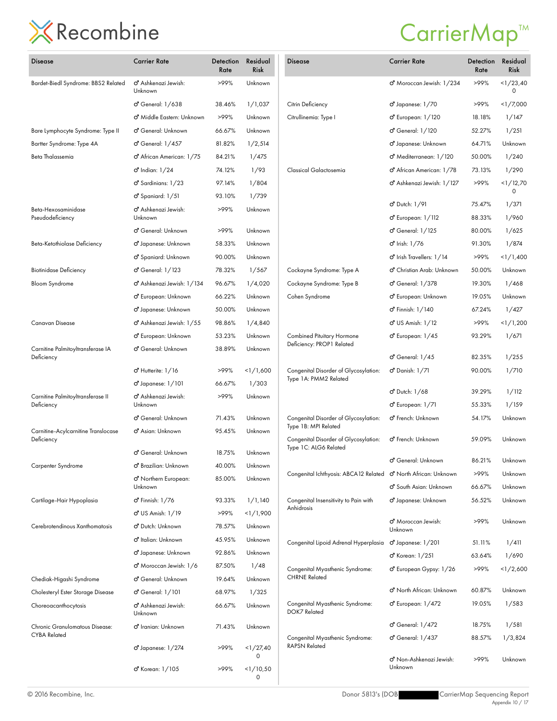| Disease                                           | <b>Carrier Rate</b>                         | Detection<br>Rate | Residual<br><b>Risk</b> | Disease                                                         | <b>Carrier Rate</b>                              | Detection<br>Rate | Residual<br><b>Risk</b> |
|---------------------------------------------------|---------------------------------------------|-------------------|-------------------------|-----------------------------------------------------------------|--------------------------------------------------|-------------------|-------------------------|
| Bardet-Biedl Syndrome: BBS2 Related               | o <sup>7</sup> Ashkenazi Jewish:<br>Unknown | >99%              | Unknown                 |                                                                 | o <sup>7</sup> Moroccan Jewish: 1/234            | >99%              | <1/23.40<br>0           |
|                                                   | ර General: 1/638                            | 38.46%            | 1/1,037                 | Citrin Deficiency                                               | o <sup>7</sup> Japanese: 1/70                    | >99%              | <1/7,000                |
|                                                   | o <sup>7</sup> Middle Eastern: Unknown      | >99%              | Unknown                 | Citrullinemia: Type I                                           | o <sup>7</sup> European: 1/120                   | 18.18%            | 1/147                   |
| Bare Lymphocyte Syndrome: Type II                 | o' General: Unknown                         | 66.67%            | Unknown                 |                                                                 | o <sup>7</sup> General: 1/120                    | 52.27%            | 1/251                   |
| Bartter Syndrome: Type 4A                         | ෆ් General: 1/457                           | 81.82%            | 1/2,514                 |                                                                 | o <sup>7</sup> Japanese: Unknown                 | 64.71%            | Unknown                 |
| Beta Thalassemia                                  | o <sup>7</sup> African American: 1/75       | 84.21%            | 1/475                   |                                                                 | o <sup>7</sup> Mediterranean: 1/120              | 50.00%            | 1/240                   |
|                                                   | o <sup>7</sup> Indian: 1/24                 | 74.12%            | 1/93                    | Classical Galactosemia                                          | o <sup>7</sup> African American: 1/78            | 73.13%            | 1/290                   |
|                                                   | o <sup>7</sup> Sardinians: 1/23             | 97.14%            | 1/804                   |                                                                 | o <sup>7</sup> Ashkenazi Jewish: 1/127           | >99%              | <1/12,70                |
|                                                   | o <sup>7</sup> Spaniard: 1/51               | 93.10%            | 1/739                   |                                                                 |                                                  |                   | $\Omega$                |
| Beta-Hexosaminidase<br>Pseudodeficiency           | o" Ashkenazi Jewish:<br>Unknown             | >99%              | Unknown                 |                                                                 | o' Dutch: 1/91<br>o <sup>7</sup> European: 1/112 | 75.47%<br>88.33%  | 1/371<br>1/960          |
|                                                   | o' General: Unknown                         | >99%              | Unknown                 |                                                                 | o <sup>7</sup> General: 1/125                    | 80.00%            | 1/625                   |
| Beta-Ketothiolase Deficiency                      | d' Japanese: Unknown                        | 58.33%            | Unknown                 |                                                                 | o <sup>7</sup> Irish: 1/76                       | 91.30%            | 1/874                   |
|                                                   | o" Spaniard: Unknown                        | 90.00%            | Unknown                 |                                                                 | o <sup>7</sup> Irish Travellers: 1/14            | >99%              | <1/1,400                |
| <b>Biotinidase Deficiency</b>                     | o' General: 1/123                           | 78.32%            | 1/567                   | Cockayne Syndrome: Type A                                       | o <sup>n</sup> Christian Arab: Unknown           | 50.00%            | Unknown                 |
| <b>Bloom Syndrome</b>                             | O' Ashkenazi Jewish: 1/134                  | 96.67%            | 1/4,020                 | Cockayne Syndrome: Type B                                       | <b>්</b> General: 1/378                          | 19.30%            | 1/468                   |
|                                                   | o <sup>7</sup> European: Unknown            | 66.22%            | Unknown                 | Cohen Syndrome                                                  | o <sup>7</sup> European: Unknown                 | 19.05%            | Unknown                 |
|                                                   | o Japanese: Unknown                         | 50.00%            | Unknown                 |                                                                 | $\sigma$ Finnish: $1/140$                        | 67.24%            | 1/427                   |
| Canavan Disease                                   | O Ashkenazi Jewish: 1/55                    | 98.86%            | 1/4,840                 |                                                                 | o <sup>7</sup> US Amish: 1/12                    | >99%              | <1/1,200                |
|                                                   | o <sup>7</sup> European: Unknown            | 53.23%            | Unknown                 | Combined Pituitary Hormone                                      | o <sup>7</sup> European: 1/45                    | 93.29%            | 1/671                   |
| Carnitine Palmitoyltransferase IA<br>Deficiency   | <b>්</b> General: Unknown                   | 38.89%            | Unknown                 | Deficiency: PROP1 Related                                       | o <sup>7</sup> General: 1/45                     | 82.35%            | 1/255                   |
|                                                   | o <sup>7</sup> Hutterite: 1/16              | >99%              | <1/1,600                | Congenital Disorder of Glycosylation:                           | o' Danish: 1/71                                  | 90.00%            | 1/710                   |
|                                                   | o <sup>7</sup> Japanese: 1/101              | 66.67%            | 1/303                   | Type 1A: PMM2 Related                                           |                                                  |                   |                         |
| Carnitine Palmitoyltransferase II                 | o <sup>7</sup> Ashkenazi Jewish:            | >99%              | Unknown                 |                                                                 | o <sup>7</sup> Dutch: 1/68                       | 39.29%            | 1/112                   |
| Deficiency                                        | Unknown                                     |                   |                         |                                                                 | o <sup>7</sup> European: 1/71                    | 55.33%            | 1/159                   |
|                                                   | o' General: Unknown                         | 71.43%            | Unknown                 | Congenital Disorder of Glycosylation:<br>Type 1B: MPI Related   | o <sup>7</sup> French: Unknown                   | 54.17%            | Unknown                 |
| Carnitine-Acylcarnitine Translocase<br>Deficiency | o <sup>n</sup> Asian: Unknown               | 95.45%            | Unknown                 | Congenital Disorder of Glycosylation:<br>Type 1C: ALG6 Related  | o <sup>7</sup> French: Unknown                   | 59.09%            | Unknown                 |
|                                                   | <b>්</b> General: Unknown                   | 18.75%            | Unknown                 |                                                                 | ර General: Unknown                               | 86.21%            | Unknown                 |
| Carpenter Syndrome                                | ඒ Brazilian: Unknown                        | 40.00%            | Unknown                 | Congenital Ichthyosis: ABCA12 Related o' North African: Unknown |                                                  | >99%              | Unknown                 |
|                                                   | o" Northern European:<br>Unknown            | 85.00%            | Unknown                 |                                                                 | o <sup>n</sup> South Asian: Unknown              | 66.67%            | Unknown                 |
| Cartilage-Hair Hypoplasia                         | o <sup>7</sup> Finnish: 1/76                | 93.33%            | 1/1,140                 | Congenital Insensitivity to Pain with                           | o <sup>7</sup> Japanese: Unknown                 | 56.52%            | Unknown                 |
|                                                   | o' US Amish: 1/19                           | >99%              | <1/1,900                | Anhidrosis                                                      |                                                  |                   |                         |
| Cerebrotendinous Xanthomatosis                    | O' Dutch: Unknown                           | 78.57%            | Unknown                 |                                                                 | o <sup>7</sup> Moroccan Jewish:<br>Unknown       | >99%              | Unknown                 |
|                                                   | o <sup>n</sup> Italian: Unknown             | 45.95%            | Unknown                 | Congenital Lipoid Adrenal Hyperplasia                           | $\sigma$ Japanese: $1/201$                       | 51.11%            | 1/411                   |
|                                                   | d' Japanese: Unknown                        | 92.86%            | Unknown                 |                                                                 | o' Korean: 1/251                                 | 63.64%            | 1/690                   |
|                                                   | o <sup>7</sup> Moroccan Jewish: 1/6         | 87.50%            | 1/48                    | Congenital Myasthenic Syndrome:                                 | o <sup>7</sup> European Gypsy: 1/26              | >99%              | 1/2,600                 |
| Chediak-Higashi Syndrome                          | o <sup>7</sup> General: Unknown             | 19.64%            | Unknown                 | <b>CHRNE Related</b>                                            |                                                  |                   |                         |
| Cholesteryl Ester Storage Disease                 | <b>්</b> General: 1/101                     | 68.97%            | 1/325                   |                                                                 | o <sup>n</sup> North African: Unknown            | 60.87%            | Unknown                 |
| Choreoacanthocytosis                              | o" Ashkenazi Jewish:<br>Unknown             | 66.67%            | Unknown                 | Congenital Myasthenic Syndrome:<br>DOK7 Related                 | $\sigma$ European: $1/472$                       | 19.05%            | 1/583                   |
| Chronic Granulomatous Disease:                    | o <sup>7</sup> Iranian: Unknown             | 71.43%            | Unknown                 |                                                                 | ඒ General: 1/472                                 | 18.75%            | 1/581                   |
| <b>CYBA Related</b>                               | o <sup>7</sup> Japanese: 1/274              | >99%              | <1/27,40<br>0           | Congenital Myasthenic Syndrome:<br><b>RAPSN Related</b>         | o <sup>7</sup> General: 1/437                    | 88.57%            | 1/3,824                 |
|                                                   | ර Korean: 1/105                             | >99%              | <1/10,50<br>0           |                                                                 | o" Non-Ashkenazi Jewish:<br>Unknown              | >99%              | Unknown                 |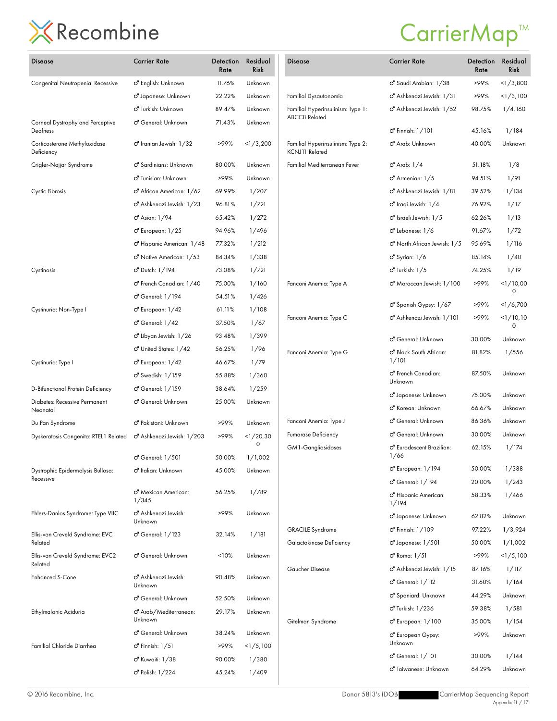| <b>Disease</b>                               | <b>Carrier Rate</b>                         | Detection<br>Rate | Residual<br><b>Risk</b> | Disease                                             | <b>Carrier Rate</b>                                   | Detection<br>Rate | Residual<br><b>Risk</b> |
|----------------------------------------------|---------------------------------------------|-------------------|-------------------------|-----------------------------------------------------|-------------------------------------------------------|-------------------|-------------------------|
| Congenital Neutropenia: Recessive            | o <sup>n</sup> English: Unknown             | 11.76%            | Unknown                 |                                                     | O' Saudi Arabian: 1/38                                | >99%              | <1/3,800                |
|                                              | o <sup>7</sup> Japanese: Unknown            | 22.22%            | Unknown                 | Familial Dysautonomia                               | o <sup>7</sup> Ashkenazi Jewish: 1/31                 | >99%              | <1/3,100                |
|                                              | o <sup>n</sup> Turkish: Unknown             | 89.47%            | Unknown                 | Familial Hyperinsulinism: Type 1:                   | o <sup>7</sup> Ashkenazi Jewish: 1/52                 | 98.75%            | 1/4,160                 |
| Corneal Dystrophy and Perceptive<br>Deafness | o' General: Unknown                         | 71.43%            | Unknown                 | <b>ABCC8 Related</b>                                | o <sup>7</sup> Finnish: 1/101                         | 45.16%            | 1/184                   |
| Corticosterone Methyloxidase<br>Deficiency   | $\sigma$ Iranian Jewish: $1/32$             | >99%              | <1/3,200                | Familial Hyperinsulinism: Type 2:<br>KCNJ11 Related | o <sup>7</sup> Arab: Unknown                          | 40.00%            | Unknown                 |
| Crigler-Najjar Syndrome                      | ් Sardinians: Unknown                       | 80.00%            | Unknown                 | Familial Mediterranean Fever                        | ඒ Arab: 1/4                                           | 51.18%            | 1/8                     |
|                                              | o <sup>7</sup> Tunisian: Unknown            | >99%              | Unknown                 |                                                     | $\sigma$ <sup>2</sup> Armenian: $1/5$                 | 94.51%            | 1/91                    |
| Cystic Fibrosis                              | o <sup>7</sup> African American: 1/62       | 69.99%            | 1/207                   |                                                     | o <sup>7</sup> Ashkenazi Jewish: 1/81                 | 39.52%            | 1/134                   |
|                                              | o <sup>7</sup> Ashkenazi Jewish: 1/23       | 96.81%            | 1/721                   |                                                     | o <sup>7</sup> Iraqi Jewish: 1/4                      | 76.92%            | 1/17                    |
|                                              | o <sup>7</sup> Asian: 1/94                  | 65.42%            | 1/272                   |                                                     | o <sup>7</sup> Israeli Jewish: 1/5                    | 62.26%            | 1/13                    |
|                                              | $\sigma$ European: $1/25$                   | 94.96%            | 1/496                   |                                                     | o <sup>7</sup> Lebanese: 1/6                          | 91.67%            | 1/72                    |
|                                              | o <sup>7</sup> Hispanic American: 1/48      | 77.32%            | 1/212                   |                                                     | o <sup>n</sup> North African Jewish: 1/5              | 95.69%            | 1/116                   |
|                                              | o <sup>7</sup> Native American: 1/53        | 84.34%            | 1/338                   |                                                     | $\sigma$ <sup>2</sup> Syrian: $1/6$                   | 85.14%            | 1/40                    |
| Cystinosis                                   | <b>්</b> Dutch: 1/194                       | 73.08%            | 1/721                   |                                                     | $\sigma$ <sup>T</sup> Turkish: $1/5$                  | 74.25%            | 1/19                    |
|                                              | o <sup>7</sup> French Canadian: 1/40        | 75.00%            | 1/160                   | Fanconi Anemia: Type A                              | ඒ Moroccan Jewish: 1/100                              | >99%              | <1/10,00                |
|                                              | o' General: 1/194                           | 54.51%            | 1/426                   |                                                     |                                                       |                   | 0                       |
| Cystinuria: Non-Type I                       | $\sigma$ European: $1/42$                   | 61.11%            | 1/108                   |                                                     | o <sup>7</sup> Spanish Gypsy: 1/67                    | >99%              | 1/6,700                 |
|                                              | $\sigma$ <sup>7</sup> General: $1/42$       | 37.50%            | 1/67                    | Fanconi Anemia: Type C                              | o <sup>7</sup> Ashkenazi Jewish: 1/101                | >99%              | <1/10,10<br>0           |
|                                              | o <sup>7</sup> Libyan Jewish: 1/26          | 93.48%            | 1/399                   |                                                     | o <sup>7</sup> General: Unknown                       | 30.00%            | Unknown                 |
|                                              | o <sup>7</sup> United States: 1/42          | 56.25%            | 1/96                    | Fanconi Anemia: Type G                              | o Black South African:                                | 81.82%            | 1/556                   |
| Cystinuria: Type I                           | $\sigma$ European: $1/42$                   | 46.67%            | 1/79                    |                                                     | 1/101                                                 |                   |                         |
|                                              | o <sup>7</sup> Swedish: 1/159               | 55.88%            | 1/360                   |                                                     | o <sup>7</sup> French Canadian:                       | 87.50%            | Unknown                 |
| D-Bifunctional Protein Deficiency            | o' General: 1/159                           | 38.64%            | 1/259                   |                                                     | Unknown                                               |                   |                         |
| Diabetes: Recessive Permanent                | o' General: Unknown                         | 25.00%            | Unknown                 |                                                     | o <sup>7</sup> Japanese: Unknown                      | 75.00%            | Unknown                 |
| Neonatal                                     |                                             |                   |                         |                                                     | o <sup>7</sup> Korean: Unknown                        | 66.67%            | Unknown                 |
| Du Pan Syndrome                              | o <sup>7</sup> Pakistani: Unknown           | >99%              | Unknown                 | Fanconi Anemia: Type J                              | <b>්</b> General: Unknown                             | 86.36%            | Unknown                 |
| Dyskeratosis Congenita: RTEL1 Related        | o <sup>7</sup> Ashkenazi Jewish: 1/203      | >99%              | <1/20,30<br>0           | <b>Fumarase Deficiency</b>                          | o' General: Unknown                                   | 30.00%            | Unknown                 |
|                                              | o' General: 1/501                           | 50.00%            | 1/1,002                 | GM1-Gangliosidoses                                  | o" Eurodescent Brazilian:<br>1/66                     | 62.15%            | 1/174                   |
| Dystrophic Epidermolysis Bullosa:            | o <sup>n</sup> Italian: Unknown             | 45.00%            | Unknown                 |                                                     | o <sup>7</sup> European: 1/194                        | 50.00%            | 1/388                   |
| Recessive                                    |                                             |                   |                         |                                                     | o' General: 1/194                                     | 20.00%            | 1/243                   |
|                                              | o" Mexican American:<br>1/345               | 56.25%            | 1/789                   |                                                     | o <sup>7</sup> Hispanic American:<br>1/194            | 58.33%            | 1/466                   |
| Ehlers-Danlos Syndrome: Type VIIC            | o <sup>7</sup> Ashkenazi Jewish:<br>Unknown | >99%              | Unknown                 |                                                     | o <sup>7</sup> Japanese: Unknown                      | 62.82%            | Unknown                 |
| Ellis-van Creveld Syndrome: EVC<br>Related   | o' General: 1/123                           | 32.14%            | 1/181                   | <b>GRACILE Syndrome</b><br>Galactokinase Deficiency | <b>්</b> Finnish: 1/109<br>$\sigma$ Japanese: $1/501$ | 97.22%<br>50.00%  | 1/3,924<br>1/1,002      |
|                                              |                                             |                   |                         |                                                     |                                                       |                   |                         |
| Ellis-van Creveld Syndrome: EVC2<br>Related  | o' General: Unknown                         | 10%               | Unknown                 | Gaucher Disease                                     | ර Roma: 1/51<br>o <sup>7</sup> Ashkenazi Jewish: 1/15 | >99%<br>87.16%    | <1/5,100<br>1/117       |
| <b>Enhanced S-Cone</b>                       | o <sup>7</sup> Ashkenazi Jewish:<br>Unknown | 90.48%            | Unknown                 |                                                     | o' General: 1/112                                     | 31.60%            | 1/164                   |
|                                              | o' General: Unknown                         | 52.50%            | Unknown                 |                                                     | o <sup>n</sup> Spaniard: Unknown                      | 44.29%            | Unknown                 |
| Ethylmalonic Aciduria                        | o" Arab/Mediterranean:                      | 29.17%            | Unknown                 |                                                     | o <sup>7</sup> Turkish: 1/236                         | 59.38%            | 1/581                   |
|                                              | Unknown                                     |                   |                         | Gitelman Syndrome                                   | $\sigma$ European: $1/100$                            | 35.00%            | 1/154                   |
| Familial Chloride Diarrhea                   | <b>්</b> General: Unknown                   | 38.24%            | Unknown<br><1/5,100     |                                                     | O' European Gypsy:<br>Unknown                         | >99%              | Unknown                 |
|                                              | $\sigma$ <sup>7</sup> Finnish: $1/51$       | >99%              |                         |                                                     | o'' General: 1/101                                    | 30.00%            | 1/144                   |
|                                              | o <sup>7</sup> Kuwaiti: 1/38                | 90.00%            | 1/380                   |                                                     | o" Taiwanese: Unknown                                 | 64.29%            | Unknown                 |
|                                              | o <sup>7</sup> Polish: 1/224                | 45.24%            | 1/409                   |                                                     |                                                       |                   |                         |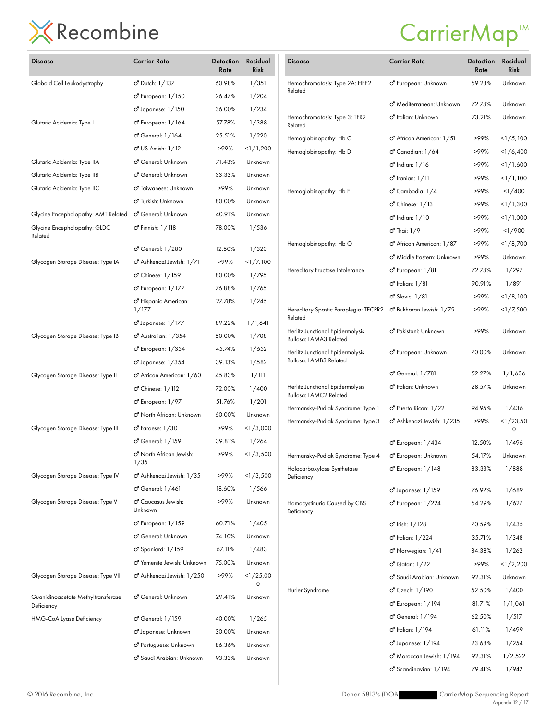| <b>Disease</b>                                   | <b>Carrier Rate</b>                        | Detection<br>Rate | Residual<br>Risk | <b>Disease</b>                                             | <b>Carrier Rate</b>                    | Detection<br>Rate | Residual<br>Risk |
|--------------------------------------------------|--------------------------------------------|-------------------|------------------|------------------------------------------------------------|----------------------------------------|-------------------|------------------|
| Globoid Cell Leukodystrophy                      | o' Dutch: 1/137                            | 60.98%            | 1/351            | Hemochromatosis: Type 2A: HFE2                             | o <sup>7</sup> European: Unknown       | 69.23%            | Unknown          |
|                                                  | $\sigma$ European: $1/150$                 | 26.47%            | 1/204            | Related                                                    |                                        |                   |                  |
|                                                  | o <sup>7</sup> Japanese: 1/150             | 36.00%            | 1/234            |                                                            | o" Mediterranean: Unknown              | 72.73%            | Unknown          |
| Glutaric Acidemia: Type I                        | o <sup>7</sup> European: 1/164             | 57.78%            | 1/388            | Hemochromatosis: Type 3: TFR2<br>Related                   | o" Italian: Unknown                    | 73.21%            | Unknown          |
|                                                  | o <sup>7</sup> General: 1/164              | 25.51%            | 1/220            | Hemoglobinopathy: Hb C                                     | o <sup>7</sup> African American: 1/51  | >99%              | $<$ 1/5,100      |
|                                                  | o <sup>7</sup> US Amish: 1/12              | >99%              | <1/1,200         | Hemoglobinopathy: Hb D                                     | o <sup>7</sup> Canadian: 1/64          | >99%              | <1/6,400         |
| Glutaric Acidemia: Type IIA                      | o General: Unknown                         | 71.43%            | Unknown          |                                                            | $\sigma$ Indian: $1/16$                | >99%              | <1/1,600         |
| Glutaric Acidemia: Type IIB                      | ඒ General: Unknown                         | 33.33%            | Unknown          |                                                            | <b>්</b> Iranian: 1/11                 | >99%              | <1/1,100         |
| Glutaric Acidemia: Type IIC                      | o <sup>7</sup> Taiwanese: Unknown          | >99%              | Unknown          | Hemoglobinopathy: Hb E                                     | o' Cambodia: 1/4                       | >99%              | 1/400            |
|                                                  | ් Turkish: Unknown                         | 80.00%            | Unknown          |                                                            | $\sigma$ <sup>'</sup> Chinese: $1/13$  | >99%              | <1/1,300         |
| Glycine Encephalopathy: AMT Related              | o' General: Unknown                        | 40.91%            | Unknown          |                                                            | o' Indian: 1/10                        | >99%              | <1/1,000         |
| Glycine Encephalopathy: GLDC                     | <b>්</b> Finnish: 1/118                    | 78.00%            | 1/536            |                                                            | $\sigma$ <sup>Thai: 1/9</sup>          | >99%              | 1/900            |
| Related                                          |                                            |                   |                  | Hemoglobinopathy: Hb O                                     | o <sup>7</sup> African American: 1/87  | >99%              | <1/8,700         |
|                                                  | ෆ් General: 1/280                          | 12.50%            | 1/320            |                                                            | o <sup>n</sup> Middle Eastern: Unknown | >99%              | Unknown          |
| Glycogen Storage Disease: Type IA                | o <sup>7</sup> Ashkenazi Jewish: 1/71      | >99%              | <1/7,100         | Hereditary Fructose Intolerance                            | o <sup>7</sup> European: 1/81          | 72.73%            | 1/297            |
|                                                  | o' Chinese: 1/159                          | 80.00%            | 1/795            |                                                            | o' Italian: 1/81                       | 90.91%            | 1/891            |
|                                                  | o <sup>7</sup> European: 1/177             | 76.88%            | 1/765            |                                                            | o' Slavic: 1/81                        | >99%              | $<$ 1/8,100      |
|                                                  | o <sup>7</sup> Hispanic American:<br>1/177 | 27.78%            | 1/245            | Hereditary Spastic Paraplegia: TECPR2                      | o <sup>7</sup> Bukharan Jewish: 1/75   | >99%              | <1/7,500         |
|                                                  | $\sigma$ Japanese: $1/177$                 | 89.22%            | 1/1,641          | Related                                                    |                                        |                   |                  |
| Glycogen Storage Disease: Type IB                | $\sigma$ Australian: $1/354$               | 50.00%            | 1/708            | Herlitz Junctional Epidermolysis                           | o <sup>7</sup> Pakistani: Unknown      | >99%              | Unknown          |
|                                                  | $\sigma$ European: $1/354$                 | 45.74%            | 1/652            | Bullosa: LAMA3 Related                                     |                                        |                   |                  |
|                                                  | $\sigma$ Japanese: $1/354$                 | 39.13%            | 1/582            | Herlitz Junctional Epidermolysis<br>Bullosa: LAMB3 Related | o <sup>7</sup> European: Unknown       | 70.00%            | Unknown          |
| Glycogen Storage Disease: Type II                | o <sup>7</sup> African American: 1/60      | 45.83%            | 1/111            |                                                            | ර General: 1/781                       | 52.27%            | 1/1,636          |
|                                                  | $\sigma$ <sup>'</sup> Chinese: $1/112$     | 72.00%            | 1/400            | Herlitz Junctional Epidermolysis                           | o <sup>n</sup> Italian: Unknown        | 28.57%            | Unknown          |
|                                                  | o <sup>7</sup> European: 1/97              | 51.76%            | 1/201            | Bullosa: LAMC2 Related                                     |                                        |                   |                  |
|                                                  | o <sup>n</sup> North African: Unknown      | 60.00%            | Unknown          | Hermansky-Pudlak Syndrome: Type 1                          | o <sup>7</sup> Puerto Rican: 1/22      | 94.95%            | 1/436            |
| Glycogen Storage Disease: Type III               | $\sigma$ <sup>7</sup> Faroese: $1/30$      | >99%              | <1/3,000         | Hermansky-Pudlak Syndrome: Type 3                          | o <sup>7</sup> Ashkenazi Jewish: 1/235 | >99%              | <1/23,50<br>0    |
|                                                  | o <sup>7</sup> General: 1/159              | 39.81%            | 1/264            |                                                            | o <sup>7</sup> European: 1/434         | 12.50%            | 1/496            |
|                                                  | o <sup>"</sup> North African Jewish:       | >99%              | <1/3,500         | Hermansky-Pudlak Syndrome: Type 4                          | o" European: Unknown                   | 54.17%            | Unknown          |
|                                                  | 1/35                                       |                   |                  | Holocarboxylase Synthetase                                 | o <sup>7</sup> European: 1/148         | 83.33%            | 1/888            |
| Glycogen Storage Disease: Type IV                | o <sup>n</sup> Ashkenazi Jewish: 1/35      | >99%              | <1/3,500         | Deficiency                                                 |                                        |                   |                  |
|                                                  | o' General: 1/461                          | 18.60%            | 1/566            |                                                            | o <sup>7</sup> Japanese: 1/159         | 76.92%            | 1/689            |
| Glycogen Storage Disease: Type V                 | o" Caucasus Jewish:<br>Unknown             | >99%              | Unknown          | Homocystinuria Caused by CBS<br>Deficiency                 | o <sup>7</sup> European: 1/224         | 64.29%            | 1/627            |
|                                                  | o <sup>7</sup> European: 1/159             | 60.71%            | 1/405            |                                                            | o <sup>7</sup> Irish: 1/128            | 70.59%            | 1/435            |
|                                                  | o General: Unknown                         | 74.10%            | Unknown          |                                                            | o <sup>7</sup> Italian: 1/224          | 35.71%            | 1/348            |
|                                                  | <b>්</b> Spaniard: 1/159                   | 67.11%            | 1/483            |                                                            | o <sup>7</sup> Norwegian: 1/41         | 84.38%            | 1/262            |
|                                                  | o" Yemenite Jewish: Unknown                | 75.00%            | Unknown          |                                                            | $\sigma$ <sup>7</sup> Qatari: $1/22$   | >99%              | <1/2,200         |
| Glycogen Storage Disease: Type VII               | o <sup>7</sup> Ashkenazi Jewish: 1/250     | >99%              | 1/25,00          |                                                            | o" Saudi Arabian: Unknown              | 92.31%            | Unknown          |
|                                                  |                                            |                   | 0                | Hurler Syndrome                                            | o' Czech: 1/190                        | 52.50%            | 1/400            |
| Guanidinoacetate Methyltransferase<br>Deficiency | <b>්</b> General: Unknown                  | 29.41%            | Unknown          |                                                            | o <sup>7</sup> European: 1/194         | 81.71%            | 1/1,061          |
| HMG-CoA Lyase Deficiency                         | ෆ් General: 1/159                          | 40.00%            | 1/265            |                                                            | o' General: 1/194                      | 62.50%            | 1/517            |
|                                                  | O' Japanese: Unknown                       | 30.00%            | Unknown          |                                                            | o <sup>n</sup> Italian: 1/194          | 61.11%            | 1/499            |
|                                                  | O' Portuguese: Unknown                     | 86.36%            | Unknown          |                                                            | o <sup>7</sup> Japanese: 1/194         | 23.68%            | 1/254            |
|                                                  | O' Saudi Arabian: Unknown                  | 93.33%            | Unknown          |                                                            | o <sup>7</sup> Moroccan Jewish: 1/194  | 92.31%            | 1/2,522          |
|                                                  |                                            |                   |                  |                                                            | o <sup>7</sup> Scandinavian: 1/194     | 79.41%            | 1/942            |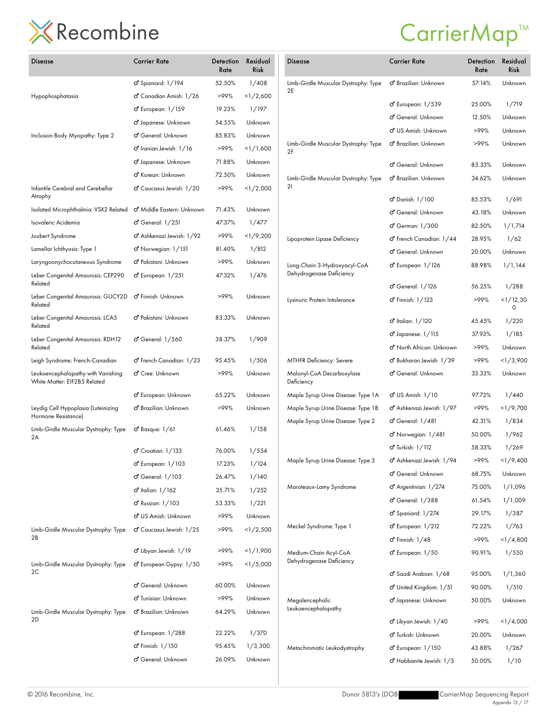| Disease                                                            | <b>Carrier Rate</b>                    | Detection<br>Rate | Residual<br><b>Risk</b> | Disease                                           | <b>Carrier Rate</b>                   | Detection<br>Rate | Residual<br><b>Risk</b> |
|--------------------------------------------------------------------|----------------------------------------|-------------------|-------------------------|---------------------------------------------------|---------------------------------------|-------------------|-------------------------|
|                                                                    | o <sup>7</sup> Spaniard: 1/194         | 52.50%            | 1/408                   | Limb-Girdle Muscular Dystrophy: Type              | o <sup>®</sup> Brazilian: Unknown     | 57.14%            | Unknown                 |
| Hypophosphatasia                                                   | o Canadian Amish: 1/26                 | >99%              | <1/2,600                | 2E                                                | o <sup>7</sup> European: 1/539        | 25.00%            | 1/719                   |
|                                                                    | o <sup>7</sup> European: 1/159         | 19.23%            | 1/197                   |                                                   | o <sup>7</sup> General: Unknown       | 12.50%            | Unknown                 |
|                                                                    | o Japanese: Unknown                    | 54.55%            | Unknown                 |                                                   | o <sup>7</sup> US Amish: Unknown      | >99%              | Unknown                 |
| Inclusion Body Myopathy: Type 2                                    | o' General: Unknown                    | 85.83%            | Unknown                 | Limb-Girdle Muscular Dystrophy: Type              | o <sup>®</sup> Brazilian: Unknown     | >99%              | Unknown                 |
|                                                                    | $\sigma$ Iranian Jewish: $1/16$        | >99%              | <1/1,600                | 2F                                                |                                       |                   |                         |
|                                                                    | o Japanese: Unknown                    | 71.88%            | Unknown                 |                                                   | o <sup>7</sup> General: Unknown       | 83.33%            | Unknown                 |
|                                                                    | o <sup>7</sup> Korean: Unknown         | 72.50%            | Unknown                 | Limb-Girdle Muscular Dystrophy: Type              | o <sup>7</sup> Brazilian: Unknown     | 34.62%            | Unknown                 |
| Infantile Cerebral and Cerebellar<br>Atrophy                       | o <sup>7</sup> Caucasus Jewish: 1/20   | >99%              | <1/2,000                | 21                                                | o' Danish: 1/100                      | 85.53%            | 1/691                   |
| Isolated Microphthalmia: VSX2 Related                              | o <sup>7</sup> Middle Eastern: Unknown | 71.43%            | Unknown                 |                                                   | o <sup>7</sup> General: Unknown       | 43.18%            | Unknown                 |
| Isovaleric Acidemia                                                | $\sigma$ <sup>7</sup> General: $1/251$ | 47.37%            | 1/477                   |                                                   | o' German: 1/300                      | 82.50%            | 1/1,714                 |
| Joubert Syndrome                                                   | o <sup>7</sup> Ashkenazi Jewish: 1/92  | >99%              | <1/9,200                | Lipoprotein Lipase Deficiency                     | o <sup>7</sup> French Canadian: 1/44  | 28.95%            | 1/62                    |
| Lamellar Ichthyosis: Type 1                                        | o <sup>7</sup> Norwegian: 1/151        | 81.40%            | 1/812                   |                                                   | o' General: Unknown                   | 20.00%            | Unknown                 |
| Laryngoonychocutaneous Syndrome                                    | o <sup>n</sup> Pakistani: Unknown      | >99%              | Unknown                 | Long-Chain 3-Hydroxyacyl-CoA                      | o <sup>7</sup> European: 1/126        | 88.98%            | 1/1,144                 |
| Leber Congenital Amaurosis: CEP290<br>Related                      | o <sup>7</sup> European: 1/251         | 47.32%            | 1/476                   | Dehydrogenase Deficiency                          | o <sup>7</sup> General: 1/126         | 56.25%            | 1/288                   |
| Leber Congenital Amaurosis: GUCY2D o' Finnish: Unknown<br>Related  |                                        | >99%              | Unknown                 | Lysinuric Protein Intolerance                     | o <sup>7</sup> Finnish: 1/123         | >99%              | 1/12,30<br>0            |
| Leber Congenital Amaurosis: LCA5<br>Related                        | O <sup>7</sup> Pakistani: Unknown      | 83.33%            | Unknown                 |                                                   | o <sup>7</sup> Italian: 1/120         | 45.45%            | 1/220                   |
| Leber Congenital Amaurosis: RDH12                                  | o' General: 1/560                      | 38.37%            | 1/909                   |                                                   | $\sigma$ Japanese: $1/115$            | 37.93%            | 1/185                   |
| Related                                                            |                                        |                   |                         |                                                   | o <sup>7</sup> North African: Unknown | >99%              | Unknown                 |
| Leigh Syndrome: French-Canadian                                    | o <sup>7</sup> French Canadian: 1/23   | 95.45%            | 1/506                   | MTHFR Deficiency: Severe                          | O' Bukharan Jewish: 1/39              | >99%              | <1/3,900                |
| Leukoencephalopathy with Vanishing<br>White Matter: EIF2B5 Related | o <sup>7</sup> Cree: Unknown           | >99%              | Unknown                 | Malonyl-CoA Decarboxylase<br>Deficiency           | o <sup>7</sup> General: Unknown       | 33.33%            | Unknown                 |
|                                                                    | o <sup>7</sup> European: Unknown       | 65.22%            | Unknown                 | Maple Syrup Urine Disease: Type 1A                | o'' US Amish: 1/10                    | 97.73%            | 1/440                   |
| Leydig Cell Hypoplasia (Luteinizing                                | o <sup>7</sup> Brazilian: Unknown      | >99%              | Unknown                 | Maple Syrup Urine Disease: Type 1B                | o <sup>7</sup> Ashkenazi Jewish: 1/97 | >99%              | <1/9,700                |
| Hormone Resistance)                                                |                                        |                   |                         | Maple Syrup Urine Disease: Type 2                 | ෆ් General: 1/481                     | 42.31%            | 1/834                   |
| Limb-Girdle Muscular Dystrophy: Type<br>2A                         | $\sigma$ <sup>2</sup> Basque: $1/61$   | 61.46%            | 1/158                   |                                                   | o <sup>7</sup> Norwegian: 1/481       | 50.00%            | 1/962                   |
|                                                                    | $\sigma$ Croatian: $1/133$             | 76.00%            | 1/554                   |                                                   | o <sup>7</sup> Turkish: 1/112         | 58.33%            | 1/269                   |
|                                                                    | o <sup>7</sup> European: 1/103         | 17.23%            | 1/124                   | Maple Syrup Urine Disease: Type 3                 | O' Ashkenazi Jewish: 1/94             | >99%              | 1/9,400                 |
|                                                                    | o' General: 1/103                      | 26.47%            | 1/140                   |                                                   | o <sup>7</sup> General: Unknown       | 68.75%            | Unknown                 |
|                                                                    | o <sup>7</sup> Italian: 1/162          | 35.71%            | 1/252                   | Maroteaux-Lamy Syndrome                           | o <sup>7</sup> Argentinian: 1/274     | 75.00%            | 1/1,096                 |
|                                                                    | o <sup>7</sup> Russian: 1/103          | 53.33%            | 1/221                   |                                                   | o <sup>7</sup> General: 1/388         | 61.54%            | 1/1,009                 |
|                                                                    | o <sup>7</sup> US Amish: Unknown       | >99%              | Unknown                 |                                                   | o <sup>7</sup> Spaniard: 1/274        | 29.17%            | 1/387                   |
| Limb-Girdle Muscular Dystrophy: Type                               | $\sigma$ Caucasus Jewish: $1/25$       | >99%              | <1/2,500                | Meckel Syndrome: Type 1                           | o <sup>7</sup> European: 1/212        | 72.22%            | 1/763                   |
| 2B                                                                 |                                        |                   |                         |                                                   | o <sup>7</sup> Finnish: 1/48          | >99%              | 1/4,800                 |
|                                                                    | o <sup>7</sup> Libyan Jewish: 1/19     | >99%              | <1/1,900                | Medium-Chain Acyl-CoA<br>Dehydrogenase Deficiency | o <sup>7</sup> European: 1/50         | 90.91%            | 1/550                   |
| Limb-Girdle Muscular Dystrophy: Type<br>2C                         | o <sup>7</sup> European Gypsy: 1/50    | >99%              | <1/5,000                |                                                   | o <sup>7</sup> Saudi Arabian: 1/68    | 95.00%            | 1/1,360                 |
|                                                                    | <b>්</b> General: Unknown              | 60.00%            | Unknown                 |                                                   | o <sup>7</sup> United Kingdom: 1/51   | 90.00%            | 1/510                   |
|                                                                    | o <sup>7</sup> Tunisian: Unknown       | >99%              | Unknown                 | Megalencephalic                                   | o Japanese: Unknown                   | 50.00%            | Unknown                 |
| Limb-Girdle Muscular Dystrophy: Type                               | o <sup>7</sup> Brazilian: Unknown      | 64.29%            | Unknown                 | Leukoencephalopathy                               |                                       |                   |                         |
| 2D                                                                 |                                        |                   |                         |                                                   | o <sup>n</sup> Libyan Jewish: 1/40    | >99%              | <1/4,000                |
|                                                                    | o <sup>7</sup> European: 1/288         | 22.22%            | 1/370                   |                                                   | o <sup>7</sup> Turkish: Unknown       | 20.00%            | Unknown                 |
|                                                                    | o <sup>7</sup> Finnish: 1/150          | 95.45%            | 1/3,300                 | Metachromatic Leukodystrophy                      | o <sup>7</sup> European: 1/150        | 43.88%            | 1/267                   |
|                                                                    | o' General: Unknown                    | 26.09%            | Unknown                 |                                                   | o <sup>7</sup> Habbanite Jewish: 1/5  | 50.00%            | 1/10                    |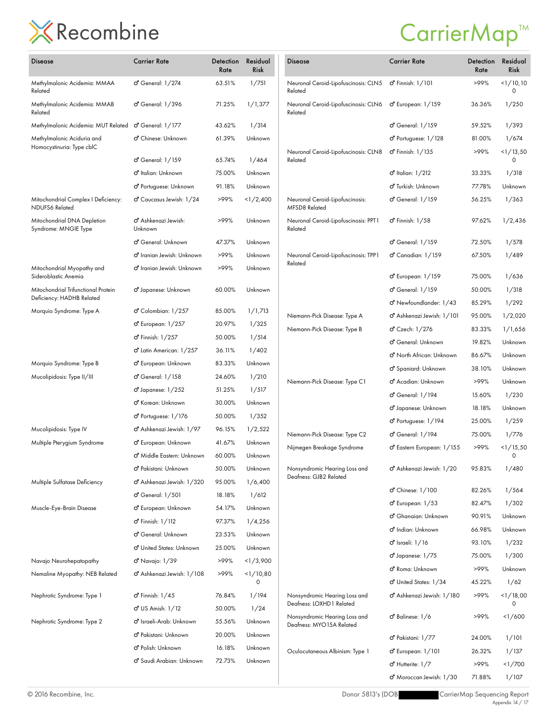### CarrierMap<sup>™</sup>

Detection Residual

Carrier Rate

| <b>Disease</b>                                                   | <b>Carrier Rate</b>                         | Detection<br>Rate | Residual<br>Risk | Disease                                                 |
|------------------------------------------------------------------|---------------------------------------------|-------------------|------------------|---------------------------------------------------------|
| Methylmalonic Acidemia: MMAA<br>Related                          | ර General: 1/274                            | 63.51%            | 1/751            | Neuronal Ceroid-Lipofuscinos<br>Related                 |
| Methylmalonic Acidemia: MMAB<br>Related                          | o <sup>7</sup> General: 1/396               | 71.25%            | 1/1,377          | Neuronal Ceroid-Lipofuscinos<br>Related                 |
| Methylmalonic Acidemia: MUT Related o' General: 1/177            |                                             | 43.62%            | 1/314            |                                                         |
| Methylmalonic Aciduria and<br>Homocystinuria: Type cblC          | o <sup>n</sup> Chinese: Unknown             | 61.39%            | Unknown          | Neuronal Ceroid-Lipofuscinos                            |
|                                                                  | o <sup>7</sup> General: 1/159               | 65.74%            | 1/464            | Related                                                 |
|                                                                  | o <sup>7</sup> Italian: Unknown             | 75.00%            | Unknown          |                                                         |
|                                                                  | o <sup>7</sup> Portuguese: Unknown          | 91.18%            | Unknown          |                                                         |
| Mitochondrial Complex I Deficiency:<br>NDUFS6 Related            | o <sup>7</sup> Caucasus Jewish: 1/24        | >99%              | <1/2,400         | Neuronal Ceroid-Lipofuscinos<br>MFSD8 Related           |
| Mitochondrial DNA Depletion<br>Syndrome: MNGIE Type              | o <sup>7</sup> Ashkenazi Jewish:<br>Unknown | >99%              | Unknown          | Neuronal Ceroid-Lipofuscinos<br>Related                 |
|                                                                  | o <sup>7</sup> General: Unknown             | 47.37%            | Unknown          |                                                         |
|                                                                  | O' Iranian Jewish: Unknown                  | >99%              | Unknown          | Neuronal Ceroid-Lipofuscinos                            |
| Mitochondrial Myopathy and<br>Sideroblastic Anemia               | o <sup>n</sup> Iranian Jewish: Unknown      | >99%              | Unknown          | Related                                                 |
| Mitochondrial Trifunctional Protein<br>Deficiency: HADHB Related | O' Japanese: Unknown                        | 60.00%            | Unknown          |                                                         |
| Morquio Syndrome: Type A                                         | o Colombian: 1/257                          | 85.00%            | 1/1,713          | Niemann-Pick Disease: Type /                            |
|                                                                  | o <sup>7</sup> European: 1/257              | 20.97%            | 1/325            | Niemann-Pick Disease: Type I                            |
|                                                                  | o <sup>7</sup> Finnish: 1/257               | 50.00%            | 1/514            |                                                         |
|                                                                  | o <sup>7</sup> Latin American: 1/257        | 36.11%            | 1/402            |                                                         |
| Morquio Syndrome: Type B                                         | o <sup>7</sup> European: Unknown            | 83.33%            | Unknown          |                                                         |
| Mucolipidosis: Type II/III                                       | o <sup>7</sup> General: 1/158               | 24.60%            | 1/210            | Niemann-Pick Disease: Type (                            |
|                                                                  | $\sigma$ Japanese: $1/252$                  | 51.25%            | 1/517            |                                                         |
|                                                                  | o <sup>7</sup> Korean: Unknown              | 30.00%            | Unknown          |                                                         |
|                                                                  | $\sigma$ <sup>7</sup> Portuguese: $1/176$   | 50.00%            | 1/352            |                                                         |
| Mucolipidosis: Type IV                                           | o <sup>n</sup> Ashkenazi Jewish: 1/97       | 96.15%            | 1/2,522          | Niemann-Pick Disease: Type (                            |
| Multiple Pterygium Syndrome                                      | o <sup>7</sup> European: Unknown            | 41.67%            | Unknown          | Nijmegen Breakage Syndrom                               |
|                                                                  | o" Middle Eastern: Unknown                  | 60.00%            | Unknown          |                                                         |
|                                                                  | o <sup>n</sup> Pakistani: Unknown           | 50.00%            | Unknown          | Nonsyndromic Hearing Loss c                             |
| Multiple Sulfatase Deficiency                                    | o <sup>7</sup> Ashkenazi Jewish: 1/320      | 95.00%            | 1/6,400          | Deafness: GJB2 Related                                  |
|                                                                  | o <sup>7</sup> General: 1/501               | 18.18%            | 1/612            |                                                         |
| Muscle-Eye-Brain Disease                                         | o <sup>7</sup> European: Unknown            | 54.17%            | Unknown          |                                                         |
|                                                                  | o <sup>7</sup> Finnish: 1/112               | 97.37%            | 1/4,256          |                                                         |
|                                                                  | <b>්</b> General: Unknown                   | 23.53%            | Unknown          |                                                         |
|                                                                  | O' United States: Unknown                   | 25.00%            | Unknown          |                                                         |
| Navajo Neurohepatopathy                                          | o <sup>7</sup> Navajo: 1/39                 | >99%              | <1/3,900         |                                                         |
| Nemaline Myopathy: NEB Related                                   | o <sup>n</sup> Ashkenazi Jewish: 1/108      | >99%              | <1/10,80<br>0    |                                                         |
| Nephrotic Syndrome: Type 1                                       | $\sigma$ Finnish: $1/45$                    | 76.84%            | 1/194            | Nonsyndromic Hearing Loss c<br>Deafness: LOXHD1 Related |
|                                                                  | <b>්</b> US Amish: 1/12                     | 50.00%            | 1/24             | Nonsyndromic Hearing Loss c                             |
| Nephrotic Syndrome: Type 2                                       | o <sup>n</sup> Israeli-Arab: Unknown        | 55.56%            | Unknown          | Deafness: MYO15A Related                                |
|                                                                  | o <sup>n</sup> Pakistani: Unknown           | 20.00%            | Unknown          |                                                         |
|                                                                  | o <sup>7</sup> Polish: Unknown              | 16.18%            | Unknown          | Oculocutaneous Albinism: Typ                            |
|                                                                  | O' Saudi Arabian: Unknown                   | 72.73%            | Unknown          |                                                         |
|                                                                  |                                             |                   |                  |                                                         |

|                                                           |                                           | Rate   | Risk             |
|-----------------------------------------------------------|-------------------------------------------|--------|------------------|
| Neuronal Ceroid-Lipofuscinosis: CLN5<br>Related           | <b>්</b> Finnish: 1/101                   | >99%   | $<$ 1/10,10<br>0 |
| Neuronal Ceroid-Lipofuscinosis: CLN6<br>Related           | o European: 1/159                         | 36.36% | 1/250            |
|                                                           | ෆ් General: 1/159                         | 59.52% | 1/393            |
|                                                           | $\sigma$ <sup>7</sup> Portuguese: $1/128$ | 81.00% | 1/674            |
| Neuronal Ceroid-Lipofuscinosis: CLN8<br>Related           | o'' Finnish: 1/135                        | >99%   | <1/13,50<br>0    |
|                                                           | o <sup>7</sup> Italian: 1/212             | 33.33% | 1/318            |
|                                                           | o <sup>n</sup> Turkish: Unknown           | 77.78% | Unknown          |
| Neuronal Ceroid-Lipofuscinosis:<br>MFSD8 Related          | ර General: 1/159                          | 56.25% | 1/363            |
| Neuronal Ceroid-Lipofuscinosis: PPT1<br>Related           | $\sigma$ <sup>r</sup> Finnish: $1/58$     | 97.62% | 1/2,436          |
|                                                           | ර General: 1/159                          | 72.50% | 1/578            |
| Neuronal Ceroid-Lipofuscinosis: TPP1<br>Related           | o <sup>7</sup> Canadian: 1/159            | 67.50% | 1/489            |
|                                                           | <b>ි</b> European: 1/159                  | 75.00% | 1/636            |
|                                                           | ර General: 1/159                          | 50.00% | 1/318            |
|                                                           | o" Newfoundlander: 1/43                   | 85.29% | 1/292            |
| Niemann-Pick Disease: Type A                              | o <sup>n</sup> Ashkenazi Jewish: 1/101    | 95.00% | 1/2,020          |
| Niemann-Pick Disease: Type B                              | ඒ Czech: 1/276                            | 83.33% | 1/1,656          |
|                                                           | ඒ General: Unknown                        | 19.82% | Unknown          |
|                                                           | o <sup>n</sup> North African: Unknown     | 86.67% | Unknown          |
|                                                           | ඒ Spaniard: Unknown                       | 38.10% | Unknown          |
| Niemann-Pick Disease: Type C1                             | o" Acadian: Unknown                       | >99%   | Unknown          |
|                                                           | ර General: 1/194                          | 15.60% | 1/230            |
|                                                           | O' Japanese: Unknown                      | 18.18% | Unknown          |
|                                                           | o <sup>n</sup> Portuguese: 1/194          | 25.00% | 1/259            |
| Niemann-Pick Disease: Type C2                             | ර General: 1/194                          | 75.00% | 1/776            |
| Nijmegen Breakage Syndrome                                | O' Eastern European: 1/155                | >99%   | <1/15,50<br>0    |
| Nonsyndromic Hearing Loss and<br>Deafness: GJB2 Related   | ර Ashkenazi Jewish: 1/20                  | 95.83% | 1/480            |
|                                                           | <b>්</b> Chinese: 1/100                   | 82.26% | 1/564            |
|                                                           | o <sup>7</sup> European: 1/53             | 82.47% | 1/302            |
|                                                           | o <sup>n</sup> Ghanaian: Unknown          | 90.91% | Unknown          |
|                                                           | o <sup>n</sup> Indian: Unknown            | 66.98% | Unknown          |
|                                                           | ර' Israeli: 1/16                          | 93.10% | 1/232            |
|                                                           | o <sup>7</sup> Japanese: 1/75             | 75.00% | 1/300            |
|                                                           | o <sup>n</sup> Roma: Unknown              | >99%   | Unknown          |
|                                                           | O United States: 1/34                     | 45.22% | 1/62             |
| Nonsyndromic Hearing Loss and<br>Deafness: LOXHD1 Related | o" Ashkenazi Jewish: 1/180                | >99%   | <1/18,00<br>0    |
| Nonsyndromic Hearing Loss and<br>Deafness: MYO15A Related | ර Balinese: 1/6                           | >99%   | <1/600           |
|                                                           | o" Pakistani: 1/77                        | 24.00% | 1/101            |
| Oculocutaneous Albinism: Type 1                           | ර් European: 1/101                        | 26.32% | 1/137            |
|                                                           | $\sigma$ <sup>'</sup> Hutterite: $1/7$    | >99%   | <1/700           |
|                                                           | ඒ Moroccan Jewish: 1/30                   | 71.88% | 1/107            |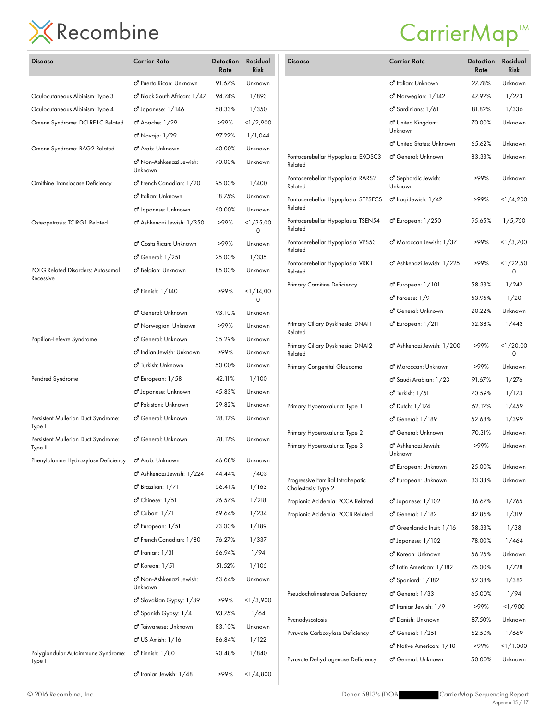| Disease                                        | <b>Carrier Rate</b>                             | Detection<br>Rate | Residual<br><b>Risk</b> |  |
|------------------------------------------------|-------------------------------------------------|-------------------|-------------------------|--|
|                                                | O' Puerto Rican: Unknown                        | 91.67%            | Unknown                 |  |
| Oculocutaneous Albinism: Type 3                | o Black South African: 1/47                     | 94.74%            | 1/893                   |  |
| Oculocutaneous Albinism: Type 4                | $\sigma$ Japanese: $1/146$                      | 58.33%            | 1/350                   |  |
| Omenn Syndrome: DCLRE1C Related                | ර Apache: 1/29                                  | >99%              | 1/2,900                 |  |
|                                                | o'' Navajo: 1/29                                | 97.22%            | 1/1,044                 |  |
| Omenn Syndrome: RAG2 Related                   | o <sup>7</sup> Arab: Unknown                    | 40.00%            | Unknown                 |  |
|                                                | o <sup>7</sup> Non-Ashkenazi Jewish:<br>Unknown | 70.00%            | Unknown                 |  |
| Ornithine Translocase Deficiency               | o <sup>7</sup> French Canadian: 1/20            | 95.00%            | 1/400                   |  |
|                                                | ් Italian: Unknown                              | 18.75%            | Unknown                 |  |
|                                                | o <sup>7</sup> Japanese: Unknown                | 60.00%            | Unknown                 |  |
| Osteopetrosis: TCIRG1 Related                  | o <sup>n</sup> Ashkenazi Jewish: 1/350          | >99%              | <1/35,00<br>0           |  |
|                                                | o <sup>n</sup> Costa Rican: Unknown             | >99%              | Unknown                 |  |
|                                                | $\sigma$ <sup>'</sup> General: $1/251$          | 25.00%            | 1/335                   |  |
| POLG Related Disorders: Autosomal<br>Recessive | ් Belgian: Unknown                              | 85.00%            | Unknown                 |  |
|                                                | <b>්</b> Finnish: 1/140                         | >99%              | 1/14,00<br>0            |  |
|                                                | <b>්</b> General: Unknown                       | 93.10%            | Unknown                 |  |
|                                                | o" Norwegian: Unknown                           | >99%              | Unknown                 |  |
| Papillon-Lefevre Syndrome                      | <b>්</b> General: Unknown                       | 35.29%            | Unknown                 |  |
|                                                | o" Indian Jewish: Unknown                       | >99%              | Unknown                 |  |
|                                                | o <sup>n</sup> Turkish: Unknown                 | 50.00%            | Unknown                 |  |
| Pendred Syndrome                               | o <sup>7</sup> European: 1/58                   | 42.11%            | 1/100                   |  |
|                                                | o Japanese: Unknown                             | 45.83%            | Unknown                 |  |
|                                                | o <sup>n</sup> Pakistani: Unknown               | 29.82%            | Unknown                 |  |
| Persistent Mullerian Duct Syndrome:<br>Type I  | ඒ General: Unknown                              | 28.12%            | Unknown                 |  |
| Persistent Mullerian Duct Syndrome:<br>Type II | o <sup>7</sup> General: Unknown                 | 78.12%            | Unknown                 |  |
| Phenylalanine Hydroxylase Deficiency           | o <sup>n</sup> Arab: Unknown                    | 46.08%            | Unknown                 |  |
|                                                | o <sup>7</sup> Ashkenazi Jewish: 1/224          | 44.44%            | 1/403                   |  |
|                                                | o <sup>n</sup> Brazilian: 1/71                  | 56.41%            | 1/163                   |  |
|                                                | $\sigma$ <sup>'</sup> Chinese: $1/51$           | 76.57%            | 1/218                   |  |
|                                                | o' Cuban: 1/71                                  | 69.64%            | 1/234                   |  |
|                                                | o <sup>7</sup> European: 1/51                   | 73.00%            | 1/189                   |  |
|                                                | o <sup>7</sup> French Canadian: 1/80            | 76.27%            | 1/337                   |  |
|                                                | $\sigma$ Iranian: $1/31$                        | 66.94%            | 1/94                    |  |
|                                                | o <sup>7</sup> Korean: 1/51                     | 51.52%            | 1/105                   |  |
|                                                | o <sup>n</sup> Non-Ashkenazi Jewish:<br>Unknown | 63.64%            | Unknown                 |  |
|                                                | O' Slovakian Gypsy: 1/39                        | >99%              | <1/3,900                |  |
|                                                | o <sup>7</sup> Spanish Gypsy: 1/4               | 93.75%            | 1/64                    |  |
|                                                | o' Taiwanese: Unknown                           | 83.10%            | Unknown                 |  |
|                                                | <b>්</b> US Amish: 1/16                         | 86.84%            | 1/122                   |  |
| Polyglandular Autoimmune Syndrome:<br>Type I   | <b>්</b> Finnish: 1/80                          | 90.48%            | 1/840                   |  |
|                                                | $\sigma$ Iranian Jewish: $1/48$                 | >99%              | 1/4,800                 |  |

| <b>Disease</b>                                           | <b>Carrier Rate</b>                       | Detection<br>Rate | Residual<br><b>Risk</b> |
|----------------------------------------------------------|-------------------------------------------|-------------------|-------------------------|
|                                                          | o <sup>n</sup> Italian: Unknown           | 27.78%            | Unknown                 |
|                                                          | ඒ Norwegian: 1/142                        | 47.92%            | 1/273                   |
|                                                          | o <sup>7</sup> Sardinians: 1/61           | 81.82%            | 1/336                   |
|                                                          | o <sup>n</sup> United Kingdom:<br>Unknown | 70.00%            | Unknown                 |
|                                                          | O' United States: Unknown                 | 65.62%            | Unknown                 |
| Pontocerebellar Hypoplasia: EXOSC3<br>Related            | o <sup>7</sup> General: Unknown           | 83.33%            | Unknown                 |
| Pontocerebellar Hypoplasia: RARS2<br>Related             | O' Sephardic Jewish:<br>Unknown           | >99%              | Unknown                 |
| Pontocerebellar Hypoplasia: SEPSECS<br>Related           | $\sigma$ Iraqi Jewish: $1/42$             | >99%              | <1/4,200                |
| Pontocerebellar Hypoplasia: TSEN54<br>Related            | ෆ් European: 1/250                        | 95.65%            | 1/5,750                 |
| Pontocerebellar Hypoplasia: VPS53<br>Related             | o <sup>7</sup> Moroccan Jewish: 1/37      | >99%              | <1/3,700                |
| Pontocerebellar Hypoplasia: VRK1<br>Related              | o <sup>n</sup> Ashkenazi Jewish: 1/225    | >99%              | <1/22.50<br>0           |
| Primary Carnitine Deficiency                             | o <sup>7</sup> European: 1/101            | 58.33%            | 1/242                   |
|                                                          | o <sup>7</sup> Faroese: 1/9               | 53.95%            | 1/20                    |
|                                                          | d' General: Unknown                       | 20.22%            | Unknown                 |
| Primary Ciliary Dyskinesia: DNAI1<br>Related             | ර European: 1/211                         | 52.38%            | 1/443                   |
| Primary Ciliary Dyskinesia: DNAI2<br>Related             | o" Ashkenazi Jewish: 1/200                | >99%              | <1/20,00<br>0           |
| Primary Congenital Glaucoma                              | o <sup>7</sup> Moroccan: Unknown          | >99%              | Unknown                 |
|                                                          | ඒ Saudi Arabian: 1/23                     | 91.67%            | 1/276                   |
|                                                          | <b>්</b> Turkish: 1/51                    | 70.59%            | 1/173                   |
| Primary Hyperoxaluria: Type 1                            | ඒ Dutch: 1/174                            | 62.12%            | 1/459                   |
|                                                          | ර General: 1/189                          | 52.68%            | 1/399                   |
| Primary Hyperoxaluria: Type 2                            | <b>්</b> General: Unknown                 | 70.31%            | Unknown                 |
| Primary Hyperoxaluria: Type 3                            | <b>්</b> Ashkenazi Jewish:<br>Unknown     | >99%              | Unknown                 |
|                                                          | o <sup>n</sup> European: Unknown          | 25.00%            | Unknown                 |
| Progressive Familial Intrahepatic<br>Cholestasis: Type 2 | o <sup>n</sup> European: Unknown          | 33.33%            | Unknown                 |
| Propionic Acidemia: PCCA Related                         | o <sup>7</sup> Japanese: 1/102            | 86.67%            | 1/765                   |
| Propionic Acidemia: PCCB Related                         | o <sup>7</sup> General: 1/182             | 42.86%            | 1/319                   |
|                                                          | o <sup>7</sup> Greenlandic Inuit: 1/16    | 58.33%            | 1/38                    |
|                                                          | $\sigma$ Japanese: $1/102$                | 78.00%            | 1/464                   |
|                                                          | o <sup>7</sup> Korean: Unknown            | 56.25%            | Unknown                 |
|                                                          | o <sup>7</sup> Latin American: 1/182      | 75.00%            | 1/728                   |
|                                                          | o <sup>n</sup> Spaniard: 1/182            | 52.38%            | 1/382                   |
| Pseudocholinesterase Deficiency                          | $\sigma$ <sup>7</sup> General: $1/33$     | 65.00%            | 1/94                    |
|                                                          | o <sup>7</sup> Iranian Jewish: 1/9        | >99%              | 1/900                   |
| Pycnodysostosis                                          | o <sup>7</sup> Danish: Unknown            | 87.50%            | Unknown                 |
| Pyruvate Carboxylase Deficiency                          | $\sigma$ <sup>'</sup> General: $1/251$    | 62.50%            | 1/669                   |
|                                                          | o <sup>7</sup> Native American: 1/10      | >99%              | <1/1,000                |
| Pyruvate Dehydrogenase Deficiency                        | ඒ General: Unknown                        | 50.00%            | Unknown                 |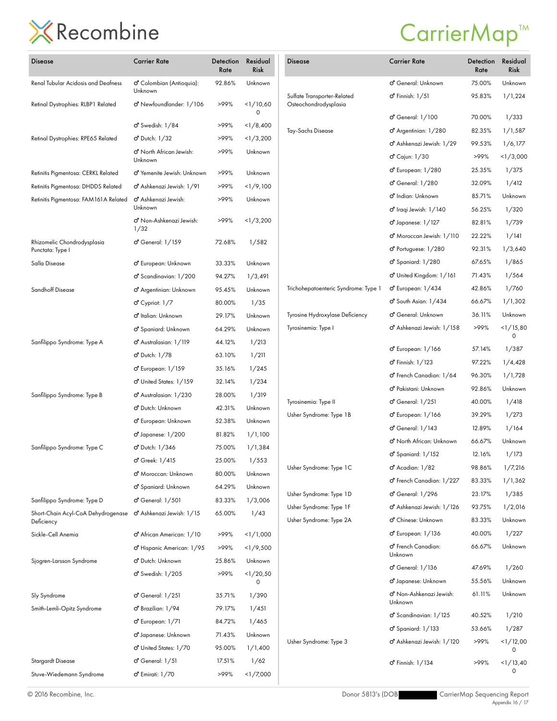## CarrierMap<sup>™</sup>

| Disease                                          | Carrier Rate                                 | Detection<br>Rate | Residual<br><b>Risk</b> |
|--------------------------------------------------|----------------------------------------------|-------------------|-------------------------|
| Renal Tubular Acidosis and Deafness              | ඒ Colombian (Antioquia):<br>Unknown          | 92.86%            | Unknown                 |
| Retinal Dystrophies: RLBP1 Related               | o <sup>n</sup> Newfoundlander: 1/106         | >99%              | <1/10,60<br>0           |
|                                                  | $\sigma$ Swedish: $1/84$                     | >99%              | <1/8,400                |
| Retinal Dystrophies: RPE65 Related               | <b>්</b> Dutch: 1/32                         | >99%              | <1/3,200                |
|                                                  | O' North African Jewish:<br>Unknown          | >99%              | Unknown                 |
| Retinitis Pigmentosa: CERKL Related              | o" Yemenite Jewish: Unknown                  | >99%              | Unknown                 |
| Retinitis Pigmentosa: DHDDS Related              | O' Ashkenazi Jewish: 1/91                    | >99%              | <1/9,100                |
| Retinitis Pigmentosa: FAM 161 A Related          | o <sup>7</sup> Ashkenazi Jewish:<br>Unknown  | >99%              | Unknown                 |
|                                                  | o <sup>n</sup> Non-Ashkenazi Jewish:<br>1/32 | >99%              | <1/3,200                |
| Rhizomelic Chondrodysplasia<br>Punctata: Type I  | ර General: 1/159                             | 72.68%            | 1/582                   |
| Salla Disease                                    | o <sup>7</sup> European: Unknown             | 33.33%            | Unknown                 |
|                                                  | o <sup>n</sup> Scandinavian: 1/200           | 94.27%            | 1/3,491                 |
| Sandhoff Disease                                 | o <sup>n</sup> Argentinian: Unknown          | 95.45%            | Unknown                 |
|                                                  | $\sigma$ <sup>2</sup> Cypriot: $1/7$         | 80.00%            | 1/35                    |
|                                                  | o <sup>n</sup> Italian: Unknown              | 29.17%            | Unknown                 |
|                                                  | ඒ Spaniard: Unknown                          | 64.29%            | Unknown                 |
| Sanfilippo Syndrome: Type A                      | ඒ Australasian: 1/119                        | 44.12%            | 1/213                   |
|                                                  | ඒ Dutch: 1/78                                | 63.10%            | 1/211                   |
|                                                  | ර European: 1/159                            | 35.16%            | 1/245                   |
|                                                  | o <sup>7</sup> United States: 1/159          | 32.14%            | 1/234                   |
| Sanfilippo Syndrome: Type B                      | o <sup>7</sup> Australasian: 1/230           | 28.00%            | 1/319                   |
|                                                  | O' Dutch: Unknown                            | 42.31%            | Unknown                 |
|                                                  | ඒ European: Unknown                          | 52.38%            | Unknown                 |
|                                                  | <b>්</b> Japanese: 1/200                     | 81.82%            | 1/1,100                 |
| Sanfilippo Syndrome: Type C                      | ඒ Dutch: 1/346                               | 75.00%            | 1/1,384                 |
|                                                  | ර Greek: 1/415                               | 25.00%            | 1/553                   |
|                                                  | ඒ Moroccan: Unknown                          | 80.00%            | Unknown                 |
|                                                  | ඒ Spaniard: Unknown                          | 64.29%            | Unknown                 |
| Sanfilippo Syndrome: Type D                      | o <sup>7</sup> General: 1/501                | 83.33%            | 1/3,006                 |
| Short-Chain Acyl-CoA Dehydrogenase<br>Deficiency | o <sup>7</sup> Ashkenazi Jewish: 1/15        | 65.00%            | 1/43                    |
| Sickle-Cell Anemia                               | o <sup>n</sup> African American: 1/10        | >99%              | 1/1,000                 |
|                                                  | o <sup>7</sup> Hispanic American: 1/95       | >99%              | <1/9,500                |
| Sjogren-Larsson Syndrome                         | o <sup>7</sup> Dutch: Unknown                | 25.86%            | Unknown                 |
|                                                  | $\sigma$ Swedish: $1/205$                    | >99%              | <1/20,50<br>0           |
| Sly Syndrome                                     | ර General: 1/251                             | 35.71%            | 1/390                   |
| Smith-Lemli-Opitz Syndrome                       | o <sup>7</sup> Brazilian: 1/94               | 79.17%            | 1/451                   |
|                                                  | ර European: 1/71                             | 84.72%            | 1/465                   |
|                                                  | ඒ Japanese: Unknown                          | 71.43%            | Unknown                 |
|                                                  | o <sup>7</sup> United States: 1/70           | 95.00%            | 1/1,400                 |
| Stargardt Disease                                | $\sigma$ <sup>'</sup> General: $1/51$        | 17.51%            | 1/62                    |
| Stuve-Wiedemann Syndrome                         | <b>්</b> Emirati: 1/70                       | >99%              | <1/7,000                |

| <b>Disease</b>                                       | <b>Carrier Rate</b>                        | Detection<br>Rate | Residual<br>Risk |
|------------------------------------------------------|--------------------------------------------|-------------------|------------------|
|                                                      | <b>්</b> General: Unknown                  | 75.00%            | Unknown          |
| Sulfate Transporter-Related<br>Osteochondrodysplasia | $\sigma$ <sup>'</sup> Finnish: $1/51$      | 95.83%            | 1/1,224          |
|                                                      | ර් General: 1/100                          | 70.00%            | 1/333            |
| Tay-Sachs Disease                                    | o <sup>7</sup> Argentinian: 1/280          | 82.35%            | 1/1,587          |
|                                                      | o" Ashkenazi Jewish: 1/29                  | 99.53%            | 1/6,177          |
|                                                      | o'' Cajun: 1/30                            | >99%              | 1/3,000          |
|                                                      | ෆ් European: 1/280                         | 25.35%            | 1/375            |
|                                                      | ර General: 1/280                           | 32.09%            | 1/412            |
|                                                      | o" Indian: Unknown                         | 85.71%            | Unknown          |
|                                                      | ඒ Iraqi Jewish: 1/140                      | 56.25%            | 1/320            |
|                                                      | $\sigma$ Japanese: $1/127$                 | 82.81%            | 1/739            |
|                                                      | o <sup>7</sup> Moroccan Jewish: 1/110      | 22.22%            | 1/141            |
|                                                      | o <sup>7</sup> Portuguese: 1/280           | 92.31%            | 1/3,640          |
|                                                      | o <sup>n</sup> Spaniard: 1/280             | 67.65%            | 1/865            |
|                                                      | o <sup>7</sup> United Kingdom: 1/161       | 71.43%            | 1/564            |
| Trichohepatoenteric Syndrome: Type 1                 | o <sup>7</sup> European: 1/434             | 42.86%            | 1/760            |
|                                                      | $\sigma$ South Asian: $1/434$              | 66.67%            | 1/1,302          |
| Tyrosine Hydroxylase Deficiency                      | o <sup>7</sup> General: Unknown            | 36.11%            | Unknown          |
| Tyrosinemia: Type I                                  | o" Ashkenazi Jewish: 1/158                 | >99%              | 1/15,80<br>0     |
|                                                      | ඒ European: 1/166                          | 57.14%            | 1/387            |
|                                                      | o <sup>7</sup> Finnish: 1/123              | 97.22%            | 1/4,428          |
|                                                      | o <sup>7</sup> French Canadian: 1/64       | 96.30%            | 1/1,728          |
|                                                      | o <sup>n</sup> Pakistani: Unknown          | 92.86%            | Unknown          |
| Tyrosinemia: Type II                                 | ර General: 1/251                           | 40.00%            | 1/418            |
| Usher Syndrome: Type 1B                              | <b>්</b> European: 1/166                   | 39.29%            | 1/273            |
|                                                      | ර General: 1/143                           | 12.89%            | 1/164            |
|                                                      | o <sup>n</sup> North African: Unknown      | 66.67%            | Unknown          |
|                                                      | o <sup>n</sup> Spaniard: 1/152             | 12.16%            | 1/173            |
| Usher Syndrome: Type 1C                              | $\sigma$ <sup>2</sup> Acadian: $1/82$      | 98.86%            | 1/7,216          |
|                                                      | o <sup>7</sup> French Canadian: 1/227      | 83.33%            | 1/1,362          |
| Usher Syndrome: Type 1D                              | ඒ General: 1/296                           | 23.17%            | 1/385            |
| Usher Syndrome: Type 1F                              | o <sup>n</sup> Ashkenazi Jewish: 1/126     | 93.75%            | 1/2,016          |
| Usher Syndrome: Type 2A                              | o <sup>7</sup> Chinese: Unknown            | 83.33%            | Unknown          |
|                                                      | o <sup>7</sup> European: 1/136             | 40.00%            | 1/227            |
|                                                      | o <sup>n</sup> French Canadian:<br>Unknown | 66.67%            | Unknown          |
|                                                      | ඒ General: 1/136                           | 47.69%            | 1/260            |
|                                                      | o" Japanese: Unknown                       | 55.56%            | Unknown          |
|                                                      | o" Non-Ashkenazi Jewish:<br>Unknown        | 61.11%            | Unknown          |
|                                                      | $\sigma$ Scandinavian: $1/125$             | 40.52%            | 1/210            |
|                                                      | O' Spaniard: 1/133                         | 53.66%            | 1/287            |
| Usher Syndrome: Type 3                               | o" Ashkenazi Jewish: 1/120                 | >99%              | 1/12,00<br>0     |
|                                                      | <b>්</b> Finnish: 1/134                    | >99%              | <1/13,40<br>0    |

© 2016 Recombine, Inc.